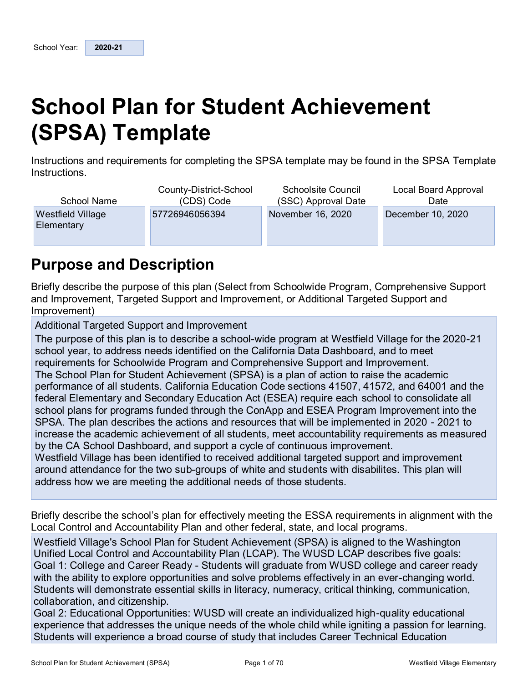# **School Plan for Student Achievement (SPSA) Template**

Instructions and requirements for completing the SPSA template may be found in the SPSA Template Instructions.

| School Name                     | County-District-School | <b>Schoolsite Council</b> | Local Board Approval |
|---------------------------------|------------------------|---------------------------|----------------------|
|                                 | (CDS) Code             | (SSC) Approval Date       | Date                 |
| Westfield Village<br>Elementary | 57726946056394         | November 16, 2020         | December 10, 2020    |

## **Purpose and Description**

Briefly describe the purpose of this plan (Select from Schoolwide Program, Comprehensive Support and Improvement, Targeted Support and Improvement, or Additional Targeted Support and Improvement)

Additional Targeted Support and Improvement

The purpose of this plan is to describe a school-wide program at Westfield Village for the 2020-21 school year, to address needs identified on the California Data Dashboard, and to meet requirements for Schoolwide Program and Comprehensive Support and Improvement. The School Plan for Student Achievement (SPSA) is a plan of action to raise the academic performance of all students. California Education Code sections 41507, 41572, and 64001 and the federal Elementary and Secondary Education Act (ESEA) require each school to consolidate all school plans for programs funded through the ConApp and ESEA Program Improvement into the SPSA. The plan describes the actions and resources that will be implemented in 2020 - 2021 to increase the academic achievement of all students, meet accountability requirements as measured by the CA School Dashboard, and support a cycle of continuous improvement.

Westfield Village has been identified to received additional targeted support and improvement around attendance for the two sub-groups of white and students with disabilites. This plan will address how we are meeting the additional needs of those students.

Briefly describe the school's plan for effectively meeting the ESSA requirements in alignment with the Local Control and Accountability Plan and other federal, state, and local programs.

Westfield Village's School Plan for Student Achievement (SPSA) is aligned to the Washington Unified Local Control and Accountability Plan (LCAP). The WUSD LCAP describes five goals: Goal 1: College and Career Ready - Students will graduate from WUSD college and career ready with the ability to explore opportunities and solve problems effectively in an ever-changing world. Students will demonstrate essential skills in literacy, numeracy, critical thinking, communication, collaboration, and citizenship.

Goal 2: Educational Opportunities: WUSD will create an individualized high-quality educational experience that addresses the unique needs of the whole child while igniting a passion for learning. Students will experience a broad course of study that includes Career Technical Education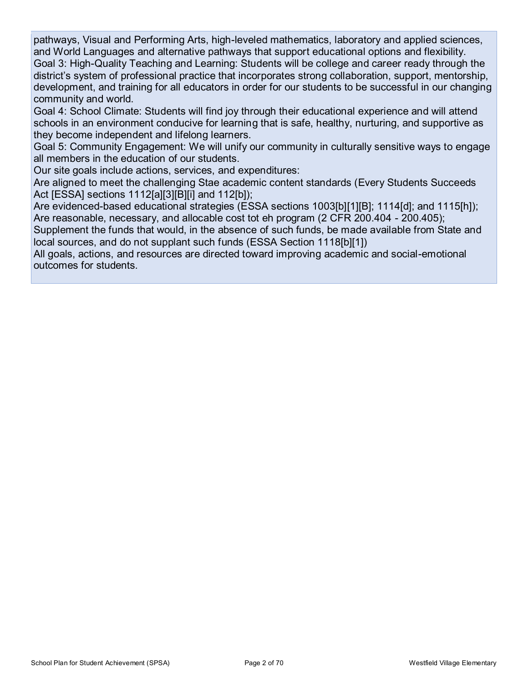pathways, Visual and Performing Arts, high-leveled mathematics, laboratory and applied sciences, and World Languages and alternative pathways that support educational options and flexibility. Goal 3: High-Quality Teaching and Learning: Students will be college and career ready through the district's system of professional practice that incorporates strong collaboration, support, mentorship, development, and training for all educators in order for our students to be successful in our changing community and world.

Goal 4: School Climate: Students will find joy through their educational experience and will attend schools in an environment conducive for learning that is safe, healthy, nurturing, and supportive as they become independent and lifelong learners.

Goal 5: Community Engagement: We will unify our community in culturally sensitive ways to engage all members in the education of our students.

Our site goals include actions, services, and expenditures:

Are aligned to meet the challenging Stae academic content standards (Every Students Succeeds Act [ESSA] sections 1112[a][3][B][i] and 112[b]);

Are evidenced-based educational strategies (ESSA sections 1003[b][1][B]; 1114[d]; and 1115[h]); Are reasonable, necessary, and allocable cost tot eh program (2 CFR 200.404 - 200.405);

Supplement the funds that would, in the absence of such funds, be made available from State and local sources, and do not supplant such funds (ESSA Section 1118[b][1])

All goals, actions, and resources are directed toward improving academic and social-emotional outcomes for students.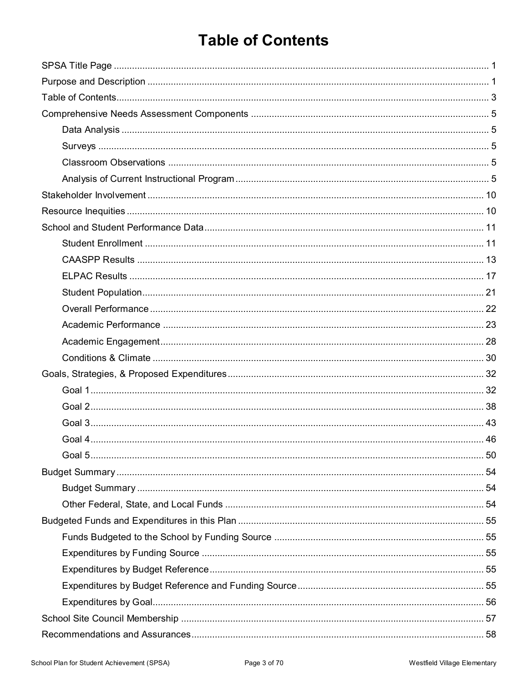# **Table of Contents**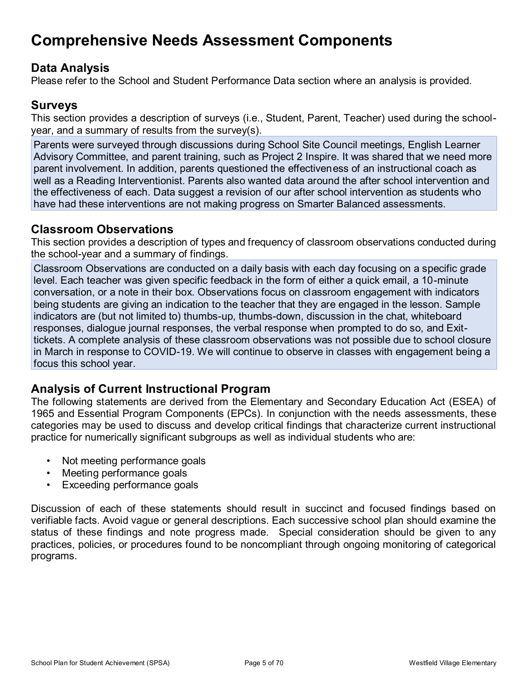## **Comprehensive Needs Assessment Components**

## **Data Analysis**

Please refer to the School and Student Performance Data section where an analysis is provided.

## **Surveys**

This section provides a description of surveys (i.e., Student, Parent, Teacher) used during the schoolyear, and a summary of results from the survey(s).

Parents were surveyed through discussions during School Site Council meetings, English Learner Advisory Committee, and parent training, such as Project 2 Inspire. It was shared that we need more parent involvement. In addition, parents questioned the effectiveness of an instructional coach as well as a Reading Interventionist. Parents also wanted data around the after school intervention and the effectiveness of each. Data suggest a revision of our after school intervention as students who have had these interventions are not making progress on Smarter Balanced assessments.

### **Classroom Observations**

This section provides a description of types and frequency of classroom observations conducted during the school-year and a summary of findings.

Classroom Observations are conducted on a daily basis with each day focusing on a specific grade level. Each teacher was given specific feedback in the form of either a quick email, a 10-minute conversation, or a note in their box. Observations focus on classroom engagement with indicators being students are giving an indication to the teacher that they are engaged in the lesson. Sample indicators are (but not limited to) thumbs-up, thumbs-down, discussion in the chat, whiteboard responses, dialogue journal responses, the verbal response when prompted to do so, and Exittickets. A complete analysis of these classroom observations was not possible due to school closure in March in response to COVID-19. We will continue to observe in classes with engagement being a focus this school year.

## **Analysis of Current Instructional Program**

The following statements are derived from the Elementary and Secondary Education Act (ESEA) of 1965 and Essential Program Components (EPCs). In conjunction with the needs assessments, these categories may be used to discuss and develop critical findings that characterize current instructional practice for numerically significant subgroups as well as individual students who are:

- Not meeting performance goals
- Meeting performance goals
- Exceeding performance goals

Discussion of each of these statements should result in succinct and focused findings based on verifiable facts. Avoid vague or general descriptions. Each successive school plan should examine the status of these findings and note progress made. Special consideration should be given to any practices, policies, or procedures found to be noncompliant through ongoing monitoring of categorical programs.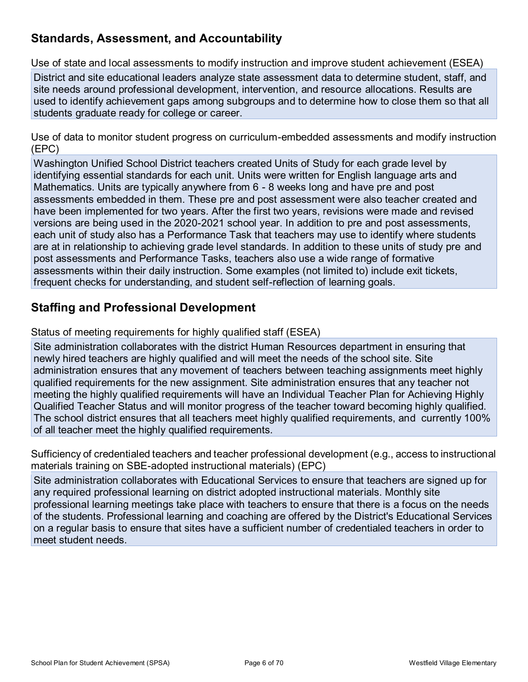## **Standards, Assessment, and Accountability**

Use of state and local assessments to modify instruction and improve student achievement (ESEA)

District and site educational leaders analyze state assessment data to determine student, staff, and site needs around professional development, intervention, and resource allocations. Results are used to identify achievement gaps among subgroups and to determine how to close them so that all students graduate ready for college or career.

Use of data to monitor student progress on curriculum-embedded assessments and modify instruction (EPC)

Washington Unified School District teachers created Units of Study for each grade level by identifying essential standards for each unit. Units were written for English language arts and Mathematics. Units are typically anywhere from 6 - 8 weeks long and have pre and post assessments embedded in them. These pre and post assessment were also teacher created and have been implemented for two years. After the first two years, revisions were made and revised versions are being used in the 2020-2021 school year. In addition to pre and post assessments, each unit of study also has a Performance Task that teachers may use to identify where students are at in relationship to achieving grade level standards. In addition to these units of study pre and post assessments and Performance Tasks, teachers also use a wide range of formative assessments within their daily instruction. Some examples (not limited to) include exit tickets, frequent checks for understanding, and student self-reflection of learning goals.

### **Staffing and Professional Development**

Status of meeting requirements for highly qualified staff (ESEA)

Site administration collaborates with the district Human Resources department in ensuring that newly hired teachers are highly qualified and will meet the needs of the school site. Site administration ensures that any movement of teachers between teaching assignments meet highly qualified requirements for the new assignment. Site administration ensures that any teacher not meeting the highly qualified requirements will have an Individual Teacher Plan for Achieving Highly Qualified Teacher Status and will monitor progress of the teacher toward becoming highly qualified. The school district ensures that all teachers meet highly qualified requirements, and currently 100% of all teacher meet the highly qualified requirements.

Sufficiency of credentialed teachers and teacher professional development (e.g., access to instructional materials training on SBE-adopted instructional materials) (EPC)

Site administration collaborates with Educational Services to ensure that teachers are signed up for any required professional learning on district adopted instructional materials. Monthly site professional learning meetings take place with teachers to ensure that there is a focus on the needs of the students. Professional learning and coaching are offered by the District's Educational Services on a regular basis to ensure that sites have a sufficient number of credentialed teachers in order to meet student needs.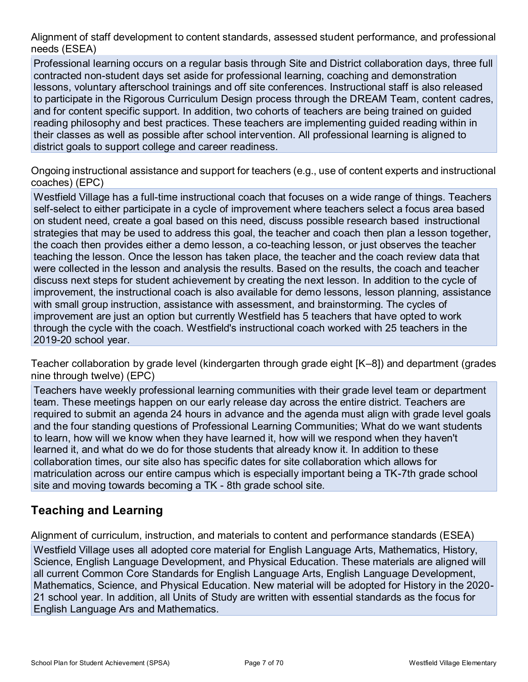Alignment of staff development to content standards, assessed student performance, and professional needs (ESEA)

Professional learning occurs on a regular basis through Site and District collaboration days, three full contracted non-student days set aside for professional learning, coaching and demonstration lessons, voluntary afterschool trainings and off site conferences. Instructional staff is also released to participate in the Rigorous Curriculum Design process through the DREAM Team, content cadres, and for content specific support. In addition, two cohorts of teachers are being trained on guided reading philosophy and best practices. These teachers are implementing guided reading within in their classes as well as possible after school intervention. All professional learning is aligned to district goals to support college and career readiness.

Ongoing instructional assistance and support for teachers (e.g., use of content experts and instructional coaches) (EPC)

Westfield Village has a full-time instructional coach that focuses on a wide range of things. Teachers self-select to either participate in a cycle of improvement where teachers select a focus area based on student need, create a goal based on this need, discuss possible research based instructional strategies that may be used to address this goal, the teacher and coach then plan a lesson together, the coach then provides either a demo lesson, a co-teaching lesson, or just observes the teacher teaching the lesson. Once the lesson has taken place, the teacher and the coach review data that were collected in the lesson and analysis the results. Based on the results, the coach and teacher discuss next steps for student achievement by creating the next lesson. In addition to the cycle of improvement, the instructional coach is also available for demo lessons, lesson planning, assistance with small group instruction, assistance with assessment, and brainstorming. The cycles of improvement are just an option but currently Westfield has 5 teachers that have opted to work through the cycle with the coach. Westfield's instructional coach worked with 25 teachers in the 2019-20 school year.

Teacher collaboration by grade level (kindergarten through grade eight [K–8]) and department (grades nine through twelve) (EPC)

Teachers have weekly professional learning communities with their grade level team or department team. These meetings happen on our early release day across the entire district. Teachers are required to submit an agenda 24 hours in advance and the agenda must align with grade level goals and the four standing questions of Professional Learning Communities; What do we want students to learn, how will we know when they have learned it, how will we respond when they haven't learned it, and what do we do for those students that already know it. In addition to these collaboration times, our site also has specific dates for site collaboration which allows for matriculation across our entire campus which is especially important being a TK-7th grade school site and moving towards becoming a TK - 8th grade school site.

## **Teaching and Learning**

Alignment of curriculum, instruction, and materials to content and performance standards (ESEA)

Westfield Village uses all adopted core material for English Language Arts, Mathematics, History, Science, English Language Development, and Physical Education. These materials are aligned will all current Common Core Standards for English Language Arts, English Language Development, Mathematics, Science, and Physical Education. New material will be adopted for History in the 2020- 21 school year. In addition, all Units of Study are written with essential standards as the focus for English Language Ars and Mathematics.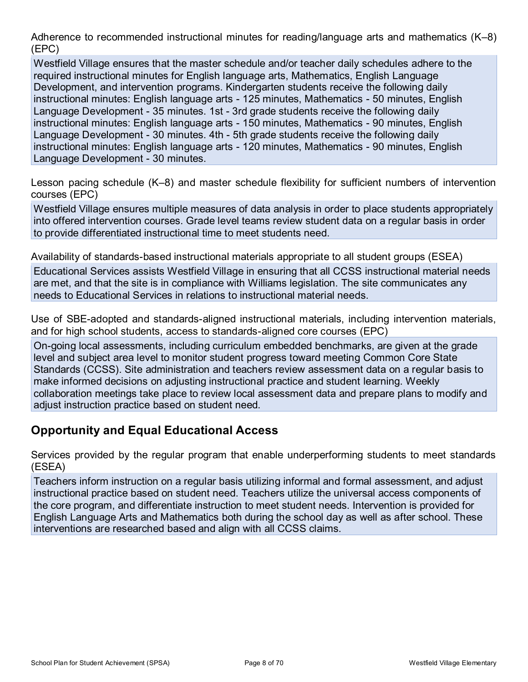Adherence to recommended instructional minutes for reading/language arts and mathematics (K–8) (EPC)

Westfield Village ensures that the master schedule and/or teacher daily schedules adhere to the required instructional minutes for English language arts, Mathematics, English Language Development, and intervention programs. Kindergarten students receive the following daily instructional minutes: English language arts - 125 minutes, Mathematics - 50 minutes, English Language Development - 35 minutes. 1st - 3rd grade students receive the following daily instructional minutes: English language arts - 150 minutes, Mathematics - 90 minutes, English Language Development - 30 minutes. 4th - 5th grade students receive the following daily instructional minutes: English language arts - 120 minutes, Mathematics - 90 minutes, English Language Development - 30 minutes.

Lesson pacing schedule (K–8) and master schedule flexibility for sufficient numbers of intervention courses (EPC)

Westfield Village ensures multiple measures of data analysis in order to place students appropriately into offered intervention courses. Grade level teams review student data on a regular basis in order to provide differentiated instructional time to meet students need.

Availability of standards-based instructional materials appropriate to all student groups (ESEA)

Educational Services assists Westfield Village in ensuring that all CCSS instructional material needs are met, and that the site is in compliance with Williams legislation. The site communicates any needs to Educational Services in relations to instructional material needs.

Use of SBE-adopted and standards-aligned instructional materials, including intervention materials, and for high school students, access to standards-aligned core courses (EPC)

On-going local assessments, including curriculum embedded benchmarks, are given at the grade level and subject area level to monitor student progress toward meeting Common Core State Standards (CCSS). Site administration and teachers review assessment data on a regular basis to make informed decisions on adjusting instructional practice and student learning. Weekly collaboration meetings take place to review local assessment data and prepare plans to modify and adjust instruction practice based on student need.

## **Opportunity and Equal Educational Access**

Services provided by the regular program that enable underperforming students to meet standards (ESEA)

Teachers inform instruction on a regular basis utilizing informal and formal assessment, and adjust instructional practice based on student need. Teachers utilize the universal access components of the core program, and differentiate instruction to meet student needs. Intervention is provided for English Language Arts and Mathematics both during the school day as well as after school. These interventions are researched based and align with all CCSS claims.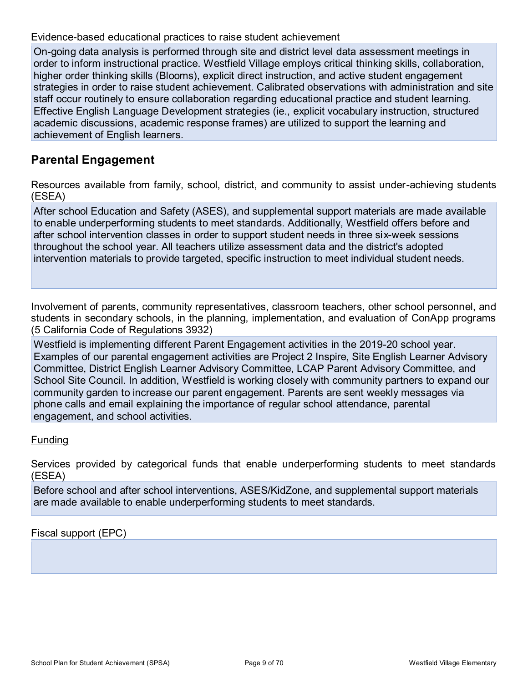Evidence-based educational practices to raise student achievement

On-going data analysis is performed through site and district level data assessment meetings in order to inform instructional practice. Westfield Village employs critical thinking skills, collaboration, higher order thinking skills (Blooms), explicit direct instruction, and active student engagement strategies in order to raise student achievement. Calibrated observations with administration and site staff occur routinely to ensure collaboration regarding educational practice and student learning. Effective English Language Development strategies (ie., explicit vocabulary instruction, structured academic discussions, academic response frames) are utilized to support the learning and achievement of English learners.

### **Parental Engagement**

Resources available from family, school, district, and community to assist under-achieving students (ESEA)

After school Education and Safety (ASES), and supplemental support materials are made available to enable underperforming students to meet standards. Additionally, Westfield offers before and after school intervention classes in order to support student needs in three six-week sessions throughout the school year. All teachers utilize assessment data and the district's adopted intervention materials to provide targeted, specific instruction to meet individual student needs.

Involvement of parents, community representatives, classroom teachers, other school personnel, and students in secondary schools, in the planning, implementation, and evaluation of ConApp programs (5 California Code of Regulations 3932)

Westfield is implementing different Parent Engagement activities in the 2019-20 school year. Examples of our parental engagement activities are Project 2 Inspire, Site English Learner Advisory Committee, District English Learner Advisory Committee, LCAP Parent Advisory Committee, and School Site Council. In addition, Westfield is working closely with community partners to expand our community garden to increase our parent engagement. Parents are sent weekly messages via phone calls and email explaining the importance of regular school attendance, parental engagement, and school activities.

#### Funding

Services provided by categorical funds that enable underperforming students to meet standards (ESEA)

Before school and after school interventions, ASES/KidZone, and supplemental support materials are made available to enable underperforming students to meet standards.

Fiscal support (EPC)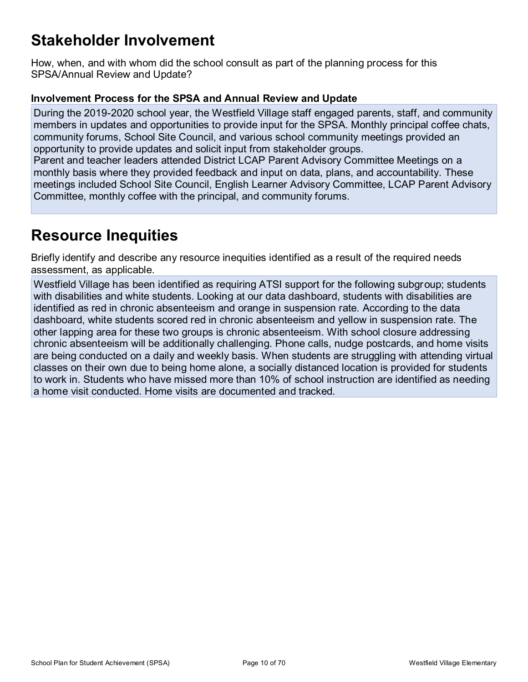## **Stakeholder Involvement**

How, when, and with whom did the school consult as part of the planning process for this SPSA/Annual Review and Update?

#### **Involvement Process for the SPSA and Annual Review and Update**

During the 2019-2020 school year, the Westfield Village staff engaged parents, staff, and community members in updates and opportunities to provide input for the SPSA. Monthly principal coffee chats, community forums, School Site Council, and various school community meetings provided an opportunity to provide updates and solicit input from stakeholder groups.

Parent and teacher leaders attended District LCAP Parent Advisory Committee Meetings on a monthly basis where they provided feedback and input on data, plans, and accountability. These meetings included School Site Council, English Learner Advisory Committee, LCAP Parent Advisory Committee, monthly coffee with the principal, and community forums.

## **Resource Inequities**

Briefly identify and describe any resource inequities identified as a result of the required needs assessment, as applicable.

Westfield Village has been identified as requiring ATSI support for the following subgroup; students with disabilities and white students. Looking at our data dashboard, students with disabilities are identified as red in chronic absenteeism and orange in suspension rate. According to the data dashboard, white students scored red in chronic absenteeism and yellow in suspension rate. The other lapping area for these two groups is chronic absenteeism. With school closure addressing chronic absenteeism will be additionally challenging. Phone calls, nudge postcards, and home visits are being conducted on a daily and weekly basis. When students are struggling with attending virtual classes on their own due to being home alone, a socially distanced location is provided for students to work in. Students who have missed more than 10% of school instruction are identified as needing a home visit conducted. Home visits are documented and tracked.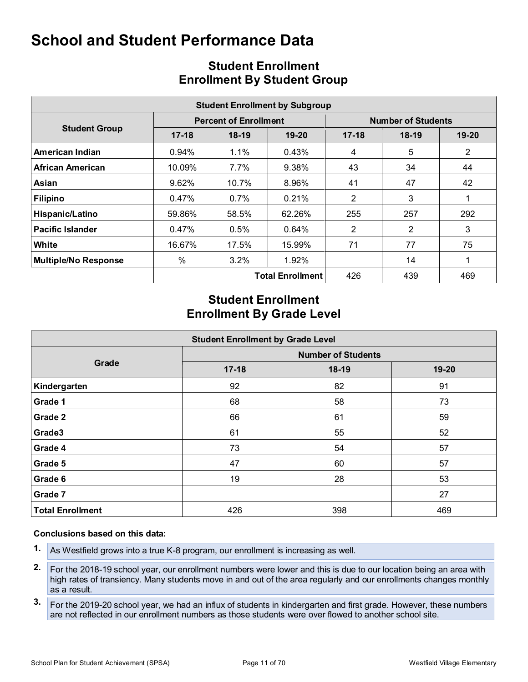|                             | <b>Student Enrollment by Subgroup</b> |                              |                         |                           |         |                |  |  |  |  |  |  |
|-----------------------------|---------------------------------------|------------------------------|-------------------------|---------------------------|---------|----------------|--|--|--|--|--|--|
|                             |                                       | <b>Percent of Enrollment</b> |                         | <b>Number of Students</b> |         |                |  |  |  |  |  |  |
| <b>Student Group</b>        | $17 - 18$                             | $18-19$                      | $19 - 20$               | $17-18$                   | $18-19$ | $19 - 20$      |  |  |  |  |  |  |
| American Indian             | 0.94%                                 | 1.1%                         | 0.43%                   | 4                         | 5       | $\overline{2}$ |  |  |  |  |  |  |
| African American            | 10.09%                                | $7.7\%$                      | 9.38%                   | 43                        | 34      | 44             |  |  |  |  |  |  |
| Asian                       | 9.62%                                 | 10.7%                        | 8.96%                   | 41                        | 47      | 42             |  |  |  |  |  |  |
| <b>Filipino</b>             | 0.47%                                 | $0.7\%$                      | 0.21%                   | $\overline{2}$            | 3       |                |  |  |  |  |  |  |
| Hispanic/Latino             | 59.86%                                | 58.5%                        | 62.26%                  | 255                       | 257     | 292            |  |  |  |  |  |  |
| <b>Pacific Islander</b>     | 0.47%                                 | 0.5%                         | 0.64%                   | $\overline{2}$            | 2       | 3              |  |  |  |  |  |  |
| White                       | 16.67%                                | 17.5%                        | 15.99%                  | 71                        | 77      | 75             |  |  |  |  |  |  |
| <b>Multiple/No Response</b> | %                                     | $3.2\%$                      | 1.92%                   |                           | 14      | 1              |  |  |  |  |  |  |
|                             |                                       |                              | <b>Total Enrollment</b> | 426                       | 439     | 469            |  |  |  |  |  |  |

## **Student Enrollment Enrollment By Student Group**

## **Student Enrollment Enrollment By Grade Level**

|                         | <b>Student Enrollment by Grade Level</b> |         |       |  |  |  |  |  |  |  |  |
|-------------------------|------------------------------------------|---------|-------|--|--|--|--|--|--|--|--|
|                         | <b>Number of Students</b>                |         |       |  |  |  |  |  |  |  |  |
| Grade                   | $17 - 18$                                | $18-19$ | 19-20 |  |  |  |  |  |  |  |  |
| Kindergarten            | 92                                       | 82      | 91    |  |  |  |  |  |  |  |  |
| Grade 1                 | 68                                       | 58      | 73    |  |  |  |  |  |  |  |  |
| Grade 2                 | 66                                       | 61      | 59    |  |  |  |  |  |  |  |  |
| Grade3                  | 61                                       | 55      | 52    |  |  |  |  |  |  |  |  |
| Grade 4                 | 73                                       | 54      | 57    |  |  |  |  |  |  |  |  |
| Grade 5                 | 47                                       | 60      | 57    |  |  |  |  |  |  |  |  |
| Grade 6                 | 19                                       | 28      | 53    |  |  |  |  |  |  |  |  |
| Grade 7                 |                                          |         | 27    |  |  |  |  |  |  |  |  |
| <b>Total Enrollment</b> | 426                                      | 398     | 469   |  |  |  |  |  |  |  |  |

#### **Conclusions based on this data:**

- **1.** As Westfield grows into a true K-8 program, our enrollment is increasing as well.
- **2.** For the 2018-19 school year, our enrollment numbers were lower and this is due to our location being an area with high rates of transiency. Many students move in and out of the area regularly and our enrollments changes monthly as a result.
- **3.** For the 2019-20 school year, we had an influx of students in kindergarten and first grade. However, these numbers are not reflected in our enrollment numbers as those students were over flowed to another school site.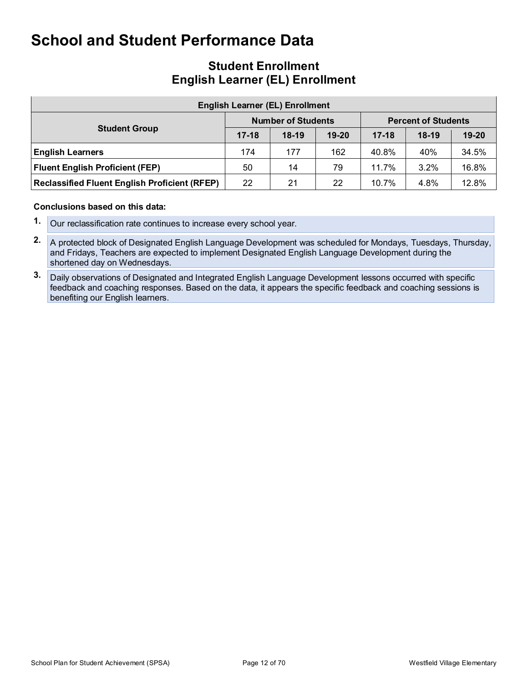### **Student Enrollment English Learner (EL) Enrollment**

| <b>English Learner (EL) Enrollment</b>               |           |                           |           |                            |         |           |  |  |  |  |  |
|------------------------------------------------------|-----------|---------------------------|-----------|----------------------------|---------|-----------|--|--|--|--|--|
|                                                      |           | <b>Number of Students</b> |           | <b>Percent of Students</b> |         |           |  |  |  |  |  |
| <b>Student Group</b>                                 | $17 - 18$ | $18-19$                   | $19 - 20$ | $17 - 18$                  | $18-19$ | $19 - 20$ |  |  |  |  |  |
| <b>English Learners</b>                              | 174       | 177                       | 162       | 40.8%                      | 40%     | 34.5%     |  |  |  |  |  |
| <b>Fluent English Proficient (FEP)</b>               | 50        | 14                        | 79        | 11.7%                      | 3.2%    | 16.8%     |  |  |  |  |  |
| <b>Reclassified Fluent English Proficient (RFEP)</b> | 22        | 21                        | 22        | 10.7%                      | 4.8%    | 12.8%     |  |  |  |  |  |

#### **Conclusions based on this data:**

- **1.** Our reclassification rate continues to increase every school year.
- **2.** A protected block of Designated English Language Development was scheduled for Mondays, Tuesdays, Thursday, and Fridays, Teachers are expected to implement Designated English Language Development during the shortened day on Wednesdays.
- **3.** Daily observations of Designated and Integrated English Language Development lessons occurred with specific feedback and coaching responses. Based on the data, it appears the specific feedback and coaching sessions is benefiting our English learners.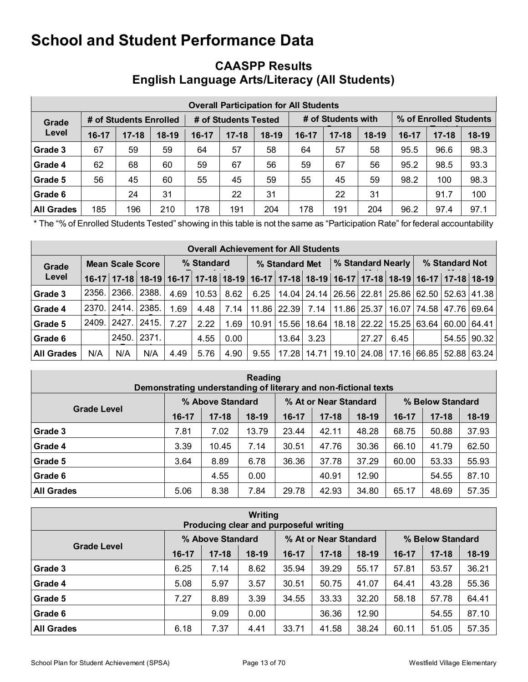|                                 | <b>Overall Participation for All Students</b> |           |         |                      |           |         |                    |           |         |         |                        |         |  |  |
|---------------------------------|-----------------------------------------------|-----------|---------|----------------------|-----------|---------|--------------------|-----------|---------|---------|------------------------|---------|--|--|
| # of Students Enrolled<br>Grade |                                               |           |         | # of Students Tested |           |         | # of Students with |           |         |         | % of Enrolled Students |         |  |  |
| Level                           | $16-17$                                       | $17 - 18$ | $18-19$ | $16-17$              | $17 - 18$ | $18-19$ | $16 - 17$          | $17 - 18$ | $18-19$ | $16-17$ | $17 - 18$              | $18-19$ |  |  |
| Grade 3                         | 67                                            | 59        | 59      | 64                   | 57        | 58      | 64                 | 57        | 58      | 95.5    | 96.6                   | 98.3    |  |  |
| Grade 4                         | 62                                            | 68        | 60      | 59                   | 67        | 56      | 59                 | 67        | 56      | 95.2    | 98.5                   | 93.3    |  |  |
| Grade 5                         | 56                                            | 45        | 60      | 55                   | 45        | 59      | 55                 | 45        | 59      | 98.2    | 100                    | 98.3    |  |  |
| Grade 6                         |                                               | 24        | 31      |                      | 22        | 31      |                    | 22        | 31      |         | 91.7                   | 100     |  |  |
| <b>All Grades</b>               | 185                                           | 196       | 210     | 178                  | 191       | 204     | 178                | 191       | 204     | 96.2    | 97.4                   | 97.1    |  |  |

## **CAASPP Results English Language Arts/Literacy (All Students)**

\* The "% of Enrolled Students Tested" showing in this table is not the same as "Participation Rate" for federal accountability

|                   | <b>Overall Achievement for All Students</b> |       |       |            |                                                                                                                       |      |                |       |       |                   |             |      |                |       |                                                               |
|-------------------|---------------------------------------------|-------|-------|------------|-----------------------------------------------------------------------------------------------------------------------|------|----------------|-------|-------|-------------------|-------------|------|----------------|-------|---------------------------------------------------------------|
| Grade             | <b>Mean Scale Score</b>                     |       |       | % Standard |                                                                                                                       |      | % Standard Met |       |       | % Standard Nearly |             |      | % Standard Not |       |                                                               |
| Level             |                                             |       |       |            | 16-17   17-18   18-19   16-17   17-18   18-19   16-17   17-18   18-19   16-17   17-18   18-19   16-17   17-18   18-19 |      |                |       |       |                   |             |      |                |       |                                                               |
| Grade 3           | 2356.                                       | 2366. | 2388. | 4.69       | 10.53                                                                                                                 | 8.62 | 6.25           |       |       |                   |             |      |                |       | 14.04   24.14   26.56   22.81   25.86   62.50   52.63   41.38 |
| Grade 4           | 2370.                                       | 2414. | 2385. | 1.69       | 4.48                                                                                                                  | 7.14 | 11.86          | 22.39 | 7.14  |                   | 11.86 25.37 |      |                |       | 16.07   74.58   47.76   69.64                                 |
| Grade 5           | 2409.                                       | 2427. | 2415. | 7.27       | 2.22                                                                                                                  | 1.69 | 10.91          | 15.56 | 18.64 |                   | 18.18 22.22 |      | 15.25 63.64    | 60.00 | 64.41                                                         |
| Grade 6           |                                             | 2450. | 2371. |            | 4.55                                                                                                                  | 0.00 |                | 13.64 | 3.23  |                   | 27.27       | 6.45 |                |       | 54.55 90.32                                                   |
| <b>All Grades</b> | N/A                                         | N/A   | N/A   | 4.49       | 5.76                                                                                                                  | 4.90 | 9.55           | 17.28 | 14.71 |                   | 19.10 24.08 |      |                |       | 17.16 66.85 52.88 63.24                                       |

| Reading<br>Demonstrating understanding of literary and non-fictional texts |         |                  |         |       |                       |         |         |                  |         |  |  |
|----------------------------------------------------------------------------|---------|------------------|---------|-------|-----------------------|---------|---------|------------------|---------|--|--|
|                                                                            |         | % Above Standard |         |       | % At or Near Standard |         |         | % Below Standard |         |  |  |
| <b>Grade Level</b>                                                         | $16-17$ | $17 - 18$        | $18-19$ | 16-17 | $17 - 18$             | $18-19$ | $16-17$ | $17 - 18$        | $18-19$ |  |  |
| Grade 3                                                                    | 7.81    | 7.02             | 13.79   | 23.44 | 42.11                 | 48.28   | 68.75   | 50.88            | 37.93   |  |  |
| Grade 4                                                                    | 3.39    | 10.45            | 7.14    | 30.51 | 47.76                 | 30.36   | 66.10   | 41.79            | 62.50   |  |  |
| Grade 5                                                                    | 3.64    | 8.89             | 6.78    | 36.36 | 37.78                 | 37.29   | 60.00   | 53.33            | 55.93   |  |  |
| Grade 6                                                                    |         | 4.55             | 0.00    |       | 40.91                 | 12.90   |         | 54.55            | 87.10   |  |  |
| <b>All Grades</b>                                                          | 5.06    | 8.38             | 7.84    | 29.78 | 42.93                 | 34.80   | 65.17   | 48.69            | 57.35   |  |  |

| Writing<br>Producing clear and purposeful writing |       |                  |         |                       |           |         |       |                  |         |  |  |
|---------------------------------------------------|-------|------------------|---------|-----------------------|-----------|---------|-------|------------------|---------|--|--|
|                                                   |       | % Above Standard |         | % At or Near Standard |           |         |       | % Below Standard |         |  |  |
| <b>Grade Level</b>                                | 16-17 | $17 - 18$        | $18-19$ | 16-17                 | $17 - 18$ | $18-19$ | 16-17 | $17 - 18$        | $18-19$ |  |  |
| Grade 3                                           | 6.25  | 7.14             | 8.62    | 35.94                 | 39.29     | 55.17   | 57.81 | 53.57            | 36.21   |  |  |
| Grade 4                                           | 5.08  | 5.97             | 3.57    | 30.51                 | 50.75     | 41.07   | 64.41 | 43.28            | 55.36   |  |  |
| Grade 5                                           | 7.27  | 8.89             | 3.39    | 34.55                 | 33.33     | 32.20   | 58.18 | 57.78            | 64.41   |  |  |
| Grade 6                                           |       | 9.09             | 0.00    |                       | 36.36     | 12.90   |       | 54.55            | 87.10   |  |  |
| <b>All Grades</b>                                 | 6.18  | 7.37             | 4.41    | 33.71                 | 41.58     | 38.24   | 60.11 | 51.05            | 57.35   |  |  |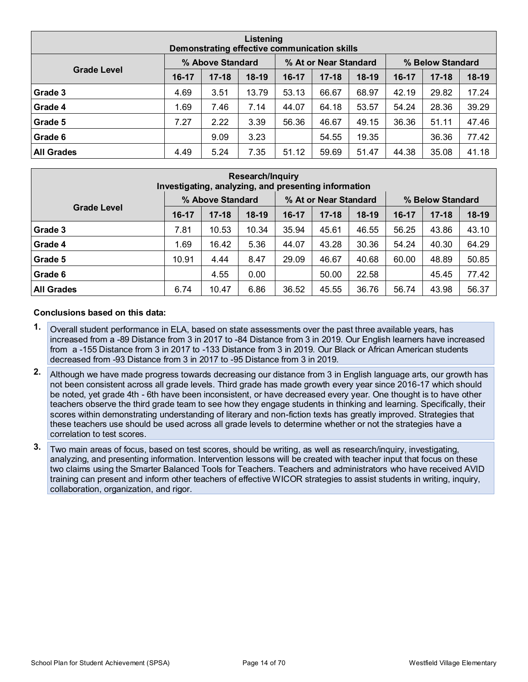| Listening<br>Demonstrating effective communication skills |       |                  |         |                       |           |         |                  |           |       |  |  |
|-----------------------------------------------------------|-------|------------------|---------|-----------------------|-----------|---------|------------------|-----------|-------|--|--|
| <b>Grade Level</b>                                        |       | % Above Standard |         | % At or Near Standard |           |         | % Below Standard |           |       |  |  |
|                                                           | 16-17 | $17 - 18$        | $18-19$ | $16-17$               | $17 - 18$ | $18-19$ | 16-17            | $17 - 18$ | 18-19 |  |  |
| Grade 3                                                   | 4.69  | 3.51             | 13.79   | 53.13                 | 66.67     | 68.97   | 42.19            | 29.82     | 17.24 |  |  |
| Grade 4                                                   | 1.69  | 7.46             | 7.14    | 44.07                 | 64.18     | 53.57   | 54.24            | 28.36     | 39.29 |  |  |
| Grade 5                                                   | 7.27  | 2.22             | 3.39    | 56.36                 | 46.67     | 49.15   | 36.36            | 51.11     | 47.46 |  |  |
| Grade 6                                                   |       | 9.09             | 3.23    |                       | 54.55     | 19.35   |                  | 36.36     | 77.42 |  |  |
| <b>All Grades</b>                                         | 4.49  | 5.24             | 7.35    | 51.12                 | 59.69     | 51.47   | 44.38            | 35.08     | 41.18 |  |  |

| <b>Research/Inquiry</b><br>Investigating, analyzing, and presenting information |         |                  |         |         |                       |         |                  |           |         |  |  |  |
|---------------------------------------------------------------------------------|---------|------------------|---------|---------|-----------------------|---------|------------------|-----------|---------|--|--|--|
|                                                                                 |         | % Above Standard |         |         | % At or Near Standard |         | % Below Standard |           |         |  |  |  |
| <b>Grade Level</b>                                                              | $16-17$ | $17 - 18$        | $18-19$ | $16-17$ | $17 - 18$             | $18-19$ | $16-17$          | $17 - 18$ | $18-19$ |  |  |  |
| Grade 3                                                                         | 7.81    | 10.53            | 10.34   | 35.94   | 45.61                 | 46.55   | 56.25            | 43.86     | 43.10   |  |  |  |
| Grade 4                                                                         | 1.69    | 16.42            | 5.36    | 44.07   | 43.28                 | 30.36   | 54.24            | 40.30     | 64.29   |  |  |  |
| Grade 5                                                                         | 10.91   | 4.44             | 8.47    | 29.09   | 46.67                 | 40.68   | 60.00            | 48.89     | 50.85   |  |  |  |
| Grade 6                                                                         |         | 4.55             | 0.00    |         | 50.00                 | 22.58   |                  | 45.45     | 77.42   |  |  |  |
| <b>All Grades</b>                                                               | 6.74    | 10.47            | 6.86    | 36.52   | 45.55                 | 36.76   | 56.74            | 43.98     | 56.37   |  |  |  |

#### **Conclusions based on this data:**

- **1.** Overall student performance in ELA, based on state assessments over the past three available years, has increased from a -89 Distance from 3 in 2017 to -84 Distance from 3 in 2019. Our English learners have increased from a -155 Distance from 3 in 2017 to -133 Distance from 3 in 2019. Our Black or African American students decreased from -93 Distance from 3 in 2017 to -95 Distance from 3 in 2019.
- **2.** Although we have made progress towards decreasing our distance from 3 in English language arts, our growth has not been consistent across all grade levels. Third grade has made growth every year since 2016-17 which should be noted, yet grade 4th - 6th have been inconsistent, or have decreased every year. One thought is to have other teachers observe the third grade team to see how they engage students in thinking and learning. Specifically, their scores within demonstrating understanding of literary and non-fiction texts has greatly improved. Strategies that these teachers use should be used across all grade levels to determine whether or not the strategies have a correlation to test scores.
- **3.** Two main areas of focus, based on test scores, should be writing, as well as research/inquiry, investigating, analyzing, and presenting information. Intervention lessons will be created with teacher input that focus on these two claims using the Smarter Balanced Tools for Teachers. Teachers and administrators who have received AVID training can present and inform other teachers of effective WICOR strategies to assist students in writing, inquiry, collaboration, organization, and rigor.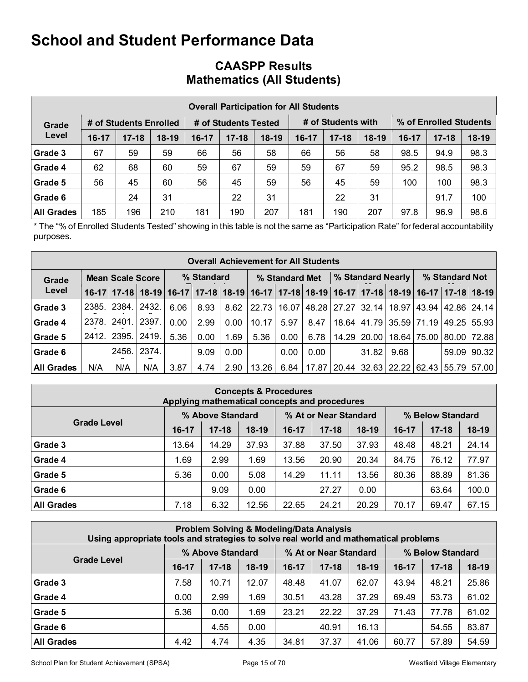|                   | <b>Overall Participation for All Students</b> |                        |         |         |                      |         |         |                    |         |           |                        |         |  |  |
|-------------------|-----------------------------------------------|------------------------|---------|---------|----------------------|---------|---------|--------------------|---------|-----------|------------------------|---------|--|--|
| Grade             |                                               | # of Students Enrolled |         |         | # of Students Tested |         |         | # of Students with |         |           | % of Enrolled Students |         |  |  |
| Level             | $16-17$                                       | $17 - 18$              | $18-19$ | $16-17$ | $17 - 18$            | $18-19$ | $16-17$ | $17 - 18$          | $18-19$ | $16 - 17$ | $17 - 18$              | $18-19$ |  |  |
| Grade 3           | 67                                            | 59                     | 59      | 66      | 56                   | 58      | 66      | 56                 | 58      | 98.5      | 94.9                   | 98.3    |  |  |
| Grade 4           | 62                                            | 68                     | 60      | 59      | 67                   | 59      | 59      | 67                 | 59      | 95.2      | 98.5                   | 98.3    |  |  |
| Grade 5           | 56                                            | 45                     | 60      | 56      | 45                   | 59      | 56      | 45                 | 59      | 100       | 100                    | 98.3    |  |  |
| Grade 6           |                                               | 24                     | 31      |         | 22                   | 31      |         | 22                 | 31      |           | 91.7                   | 100     |  |  |
| <b>All Grades</b> | 185                                           | 196                    | 210     | 181     | 190                  | 207     | 181     | 190                | 207     | 97.8      | 96.9                   | 98.6    |  |  |

## **CAASPP Results Mathematics (All Students)**

\* The "% of Enrolled Students Tested" showing in this table is not the same as "Participation Rate" for federal accountability purposes.

|                   | <b>Overall Achievement for All Students</b> |                         |                   |      |            |      |                                                                   |       |             |       |       |                   |                |       |                                       |
|-------------------|---------------------------------------------|-------------------------|-------------------|------|------------|------|-------------------------------------------------------------------|-------|-------------|-------|-------|-------------------|----------------|-------|---------------------------------------|
| Grade             |                                             | <b>Mean Scale Score</b> |                   |      | % Standard |      | % Standard Met                                                    |       |             |       |       | % Standard Nearly | % Standard Not |       |                                       |
| Level             | $16-17$                                     |                         | 17-18 18-19 16-17 |      |            |      | 17-18 18-19 16-17 17-18 18-19 16-17 17-18 18-19 16-17 17-18 18-19 |       |             |       |       |                   |                |       |                                       |
| Grade 3           | 2385.                                       | 2384.                   | 2432.             | 6.06 | 8.93       | 8.62 | 22.73                                                             | 16.07 | 48.28 27.27 |       |       |                   |                |       | 32.14   18.97   43.94   42.86   24.14 |
| Grade 4           | 2378.                                       | 2401.                   | 2397.             | 0.00 | 2.99       | 0.00 | 10.17                                                             | 5.97  | 8.47        | 18.64 |       | 41.79 35.59 71.19 |                | 49.25 | 55.93                                 |
| Grade 5           | 2412.                                       | 2395.                   | 2419.             | 5.36 | 0.00       | 1.69 | 5.36                                                              | 0.00  | 6.78        | 14.29 | 20.00 |                   | 18.64 75.00    | 80.00 | 72.88                                 |
| Grade 6           |                                             | 2456.                   | 2374.             |      | 9.09       | 0.00 |                                                                   | 0.00  | 0.00        |       | 31.82 | 9.68              |                | 59.09 | 90.32                                 |
| <b>All Grades</b> | N/A                                         | N/A                     | N/A               | 3.87 | 4.74       | 2.90 | 13.26                                                             | 6.84  | 17.87       | 20.44 |       | 32.63 22.22 62.43 |                | 55.79 | 57.00                                 |

| <b>Concepts &amp; Procedures</b><br>Applying mathematical concepts and procedures |                                                               |           |         |       |           |       |       |           |         |  |  |  |
|-----------------------------------------------------------------------------------|---------------------------------------------------------------|-----------|---------|-------|-----------|-------|-------|-----------|---------|--|--|--|
|                                                                                   | % Above Standard<br>% At or Near Standard<br>% Below Standard |           |         |       |           |       |       |           |         |  |  |  |
| <b>Grade Level</b>                                                                | 16-17                                                         | $17 - 18$ | $18-19$ | 16-17 | $17 - 18$ | 18-19 | 16-17 | $17 - 18$ | $18-19$ |  |  |  |
| Grade 3                                                                           | 13.64                                                         | 14.29     | 37.93   | 37.88 | 37.50     | 37.93 | 48.48 | 48.21     | 24.14   |  |  |  |
| Grade 4                                                                           | 1.69                                                          | 2.99      | 1.69    | 13.56 | 20.90     | 20.34 | 84.75 | 76.12     | 77.97   |  |  |  |
| Grade 5                                                                           | 5.36                                                          | 0.00      | 5.08    | 14.29 | 11.11     | 13.56 | 80.36 | 88.89     | 81.36   |  |  |  |
| Grade 6                                                                           |                                                               | 9.09      | 0.00    |       | 27.27     | 0.00  |       | 63.64     | 100.0   |  |  |  |
| <b>All Grades</b>                                                                 | 7.18                                                          | 6.32      | 12.56   | 22.65 | 24.21     | 20.29 | 70.17 | 69.47     | 67.15   |  |  |  |

| <b>Problem Solving &amp; Modeling/Data Analysis</b><br>Using appropriate tools and strategies to solve real world and mathematical problems |         |                  |         |                                           |           |         |         |           |         |  |  |  |  |
|---------------------------------------------------------------------------------------------------------------------------------------------|---------|------------------|---------|-------------------------------------------|-----------|---------|---------|-----------|---------|--|--|--|--|
|                                                                                                                                             |         | % Above Standard |         | % At or Near Standard<br>% Below Standard |           |         |         |           |         |  |  |  |  |
| <b>Grade Level</b>                                                                                                                          | $16-17$ | $17 - 18$        | $18-19$ | $16-17$                                   | $17 - 18$ | $18-19$ | $16-17$ | $17 - 18$ | $18-19$ |  |  |  |  |
| Grade 3                                                                                                                                     | 7.58    | 10.71            | 12.07   | 48.48                                     | 41.07     | 62.07   | 43.94   | 48.21     | 25.86   |  |  |  |  |
| Grade 4                                                                                                                                     | 0.00    | 2.99             | 1.69    | 30.51                                     | 43.28     | 37.29   | 69.49   | 53.73     | 61.02   |  |  |  |  |
| Grade 5                                                                                                                                     | 5.36    | 0.00             | 1.69    | 23.21                                     | 22.22     | 37.29   | 71.43   | 77.78     | 61.02   |  |  |  |  |
| Grade 6                                                                                                                                     |         | 4.55             | 0.00    |                                           | 40.91     | 16.13   |         | 54.55     | 83.87   |  |  |  |  |
| <b>All Grades</b>                                                                                                                           | 4.42    | 4.74             | 4.35    | 34.81                                     | 37.37     | 41.06   | 60.77   | 57.89     | 54.59   |  |  |  |  |

School Plan for Student Achievement (SPSA) Page 15 of 70 Westfield Village Elementary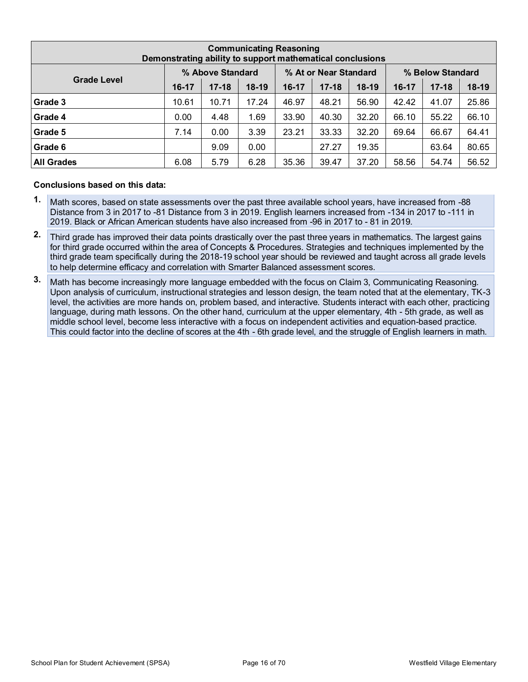| <b>Communicating Reasoning</b><br>Demonstrating ability to support mathematical conclusions |         |           |         |       |           |         |       |           |         |  |  |  |  |
|---------------------------------------------------------------------------------------------|---------|-----------|---------|-------|-----------|---------|-------|-----------|---------|--|--|--|--|
| % At or Near Standard<br>% Above Standard<br>% Below Standard                               |         |           |         |       |           |         |       |           |         |  |  |  |  |
| <b>Grade Level</b>                                                                          | $16-17$ | $17 - 18$ | $18-19$ | 16-17 | $17 - 18$ | $18-19$ | 16-17 | $17 - 18$ | $18-19$ |  |  |  |  |
| Grade 3                                                                                     | 10.61   | 10.71     | 17.24   | 46.97 | 48.21     | 56.90   | 42.42 | 41.07     | 25.86   |  |  |  |  |
| Grade 4                                                                                     | 0.00    | 4.48      | 1.69    | 33.90 | 40.30     | 32.20   | 66.10 | 55.22     | 66.10   |  |  |  |  |
| Grade 5                                                                                     | 7.14    | 0.00      | 3.39    | 23.21 | 33.33     | 32.20   | 69.64 | 66.67     | 64.41   |  |  |  |  |
| Grade 6                                                                                     |         | 9.09      | 0.00    |       | 27.27     | 19.35   |       | 63.64     | 80.65   |  |  |  |  |
| <b>All Grades</b>                                                                           | 6.08    | 5.79      | 6.28    | 35.36 | 39.47     | 37.20   | 58.56 | 54.74     | 56.52   |  |  |  |  |

#### **Conclusions based on this data:**

- **1.** Math scores, based on state assessments over the past three available school years, have increased from -88 Distance from 3 in 2017 to -81 Distance from 3 in 2019. English learners increased from -134 in 2017 to -111 in 2019. Black or African American students have also increased from -96 in 2017 to - 81 in 2019.
- **2.** Third grade has improved their data points drastically over the past three years in mathematics. The largest gains for third grade occurred within the area of Concepts & Procedures. Strategies and techniques implemented by the third grade team specifically during the 2018-19 school year should be reviewed and taught across all grade levels to help determine efficacy and correlation with Smarter Balanced assessment scores.
- **3.** Math has become increasingly more language embedded with the focus on Claim 3, Communicating Reasoning. Upon analysis of curriculum, instructional strategies and lesson design, the team noted that at the elementary, TK-3 level, the activities are more hands on, problem based, and interactive. Students interact with each other, practicing language, during math lessons. On the other hand, curriculum at the upper elementary, 4th - 5th grade, as well as middle school level, become less interactive with a focus on independent activities and equation-based practice. This could factor into the decline of scores at the 4th - 6th grade level, and the struggle of English learners in math.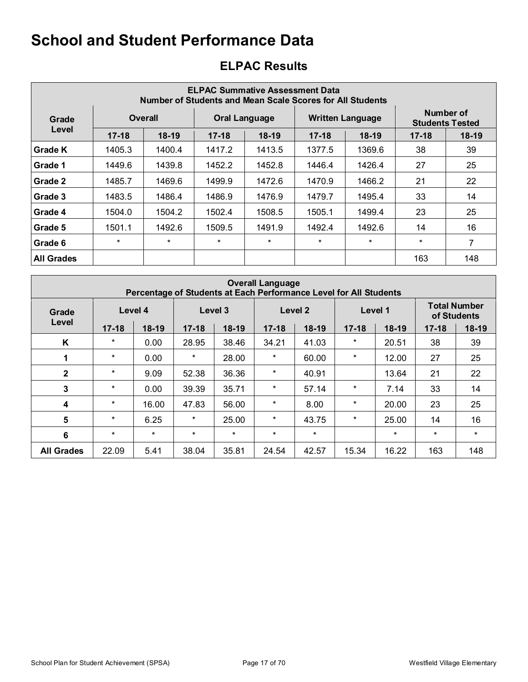| <b>ELPAC Summative Assessment Data</b><br>Number of Students and Mean Scale Scores for All Students |           |         |           |                      |           |                         |                                     |         |  |  |  |  |  |
|-----------------------------------------------------------------------------------------------------|-----------|---------|-----------|----------------------|-----------|-------------------------|-------------------------------------|---------|--|--|--|--|--|
| Grade                                                                                               |           | Overall |           | <b>Oral Language</b> |           | <b>Written Language</b> | Number of<br><b>Students Tested</b> |         |  |  |  |  |  |
| Level                                                                                               | $17 - 18$ | $18-19$ | $17 - 18$ | $18-19$              | $17 - 18$ | $18-19$                 | $17 - 18$                           | $18-19$ |  |  |  |  |  |
| Grade K                                                                                             | 1405.3    | 1400.4  | 1417.2    | 1413.5               | 1377.5    | 1369.6                  | 38                                  | 39      |  |  |  |  |  |
| Grade 1                                                                                             | 1449.6    | 1439.8  | 1452.2    | 1452.8               | 1446.4    | 1426.4                  | 27                                  | 25      |  |  |  |  |  |
| Grade 2                                                                                             | 1485.7    | 1469.6  | 1499.9    | 1472.6               | 1470.9    | 1466.2                  | 21                                  | 22      |  |  |  |  |  |
| Grade 3                                                                                             | 1483.5    | 1486.4  | 1486.9    | 1476.9               | 1479.7    | 1495.4                  | 33                                  | 14      |  |  |  |  |  |
| Grade 4                                                                                             | 1504.0    | 1504.2  | 1502.4    | 1508.5               | 1505.1    | 1499.4                  | 23                                  | 25      |  |  |  |  |  |
| Grade 5                                                                                             | 1501.1    | 1492.6  | 1509.5    | 1491.9               | 1492.4    | 1492.6                  | 14                                  | 16      |  |  |  |  |  |
| Grade 6                                                                                             | $\star$   | $\star$ | $\star$   | $\star$              | $^\star$  | $\ast$                  | $\star$                             | 7       |  |  |  |  |  |
| <b>All Grades</b>                                                                                   |           |         |           |                      |           |                         | 163                                 | 148     |  |  |  |  |  |

## **ELPAC Results**

|                         | <b>Overall Language</b><br>Percentage of Students at Each Performance Level for All Students |         |           |         |           |         |           |         |                                    |         |  |  |  |  |  |
|-------------------------|----------------------------------------------------------------------------------------------|---------|-----------|---------|-----------|---------|-----------|---------|------------------------------------|---------|--|--|--|--|--|
| Grade                   |                                                                                              | Level 4 |           | Level 3 |           | Level 2 | Level 1   |         | <b>Total Number</b><br>of Students |         |  |  |  |  |  |
| Level                   | $17 - 18$                                                                                    | $18-19$ | $17 - 18$ | $18-19$ | $17 - 18$ | $18-19$ | $17 - 18$ | $18-19$ | $17 - 18$                          | 18-19   |  |  |  |  |  |
| K                       | $\star$                                                                                      | 0.00    | 28.95     | 38.46   | 34.21     | 41.03   | $^\star$  | 20.51   | 38                                 | 39      |  |  |  |  |  |
| 1                       | $\star$                                                                                      | 0.00    | $\star$   | 28.00   | $\star$   | 60.00   | $\star$   | 12.00   | 27                                 | 25      |  |  |  |  |  |
| $\mathbf{2}$            | $\star$                                                                                      | 9.09    | 52.38     | 36.36   | $^\star$  | 40.91   |           | 13.64   | 21                                 | 22      |  |  |  |  |  |
| 3                       | $\star$                                                                                      | 0.00    | 39.39     | 35.71   | $\star$   | 57.14   | $\star$   | 7.14    | 33                                 | 14      |  |  |  |  |  |
| $\overline{\mathbf{4}}$ | $\star$                                                                                      | 16.00   | 47.83     | 56.00   | $^\star$  | 8.00    | $\star$   | 20.00   | 23                                 | 25      |  |  |  |  |  |
| 5                       | $\star$                                                                                      | 6.25    | $\star$   | 25.00   | $^\star$  | 43.75   | $\star$   | 25.00   | 14                                 | 16      |  |  |  |  |  |
| 6                       | $\star$                                                                                      | $\star$ | $\star$   | $\star$ | $\star$   | $\star$ |           | $\star$ | $\star$                            | $\star$ |  |  |  |  |  |
| <b>All Grades</b>       | 22.09                                                                                        | 5.41    | 38.04     | 35.81   | 24.54     | 42.57   | 15.34     | 16.22   | 163                                | 148     |  |  |  |  |  |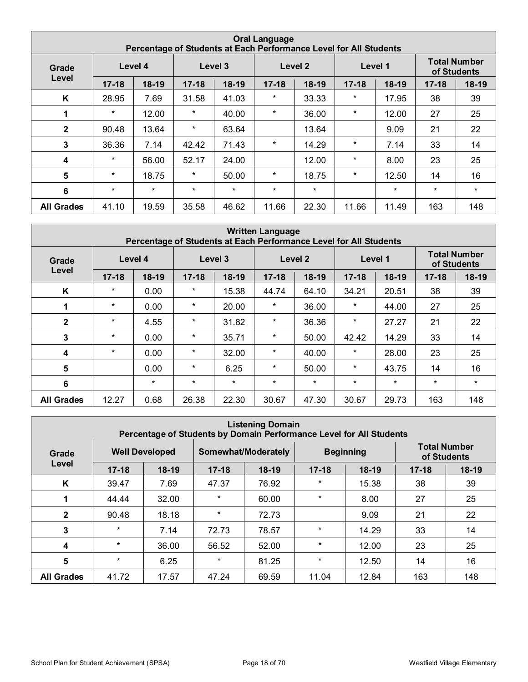|                         | <b>Oral Language</b><br>Percentage of Students at Each Performance Level for All Students |         |           |         |           |         |           |         |                                    |         |  |  |  |  |  |
|-------------------------|-------------------------------------------------------------------------------------------|---------|-----------|---------|-----------|---------|-----------|---------|------------------------------------|---------|--|--|--|--|--|
| Grade                   |                                                                                           | Level 4 |           | Level 3 |           | Level 2 |           | Level 1 | <b>Total Number</b><br>of Students |         |  |  |  |  |  |
| Level                   | $17 - 18$                                                                                 | $18-19$ | $17 - 18$ | $18-19$ | $17 - 18$ | $18-19$ | $17 - 18$ | $18-19$ | $17 - 18$                          | $18-19$ |  |  |  |  |  |
| K                       | 28.95                                                                                     | 7.69    | 31.58     | 41.03   | $^\star$  | 33.33   | *         | 17.95   | 38                                 | 39      |  |  |  |  |  |
| 1                       | $\star$                                                                                   | 12.00   | $\ast$    | 40.00   | $\star$   | 36.00   | *         | 12.00   | 27                                 | 25      |  |  |  |  |  |
| $\mathbf{2}$            | 90.48                                                                                     | 13.64   | $\ast$    | 63.64   |           | 13.64   |           | 9.09    | 21                                 | 22      |  |  |  |  |  |
| 3                       | 36.36                                                                                     | 7.14    | 42.42     | 71.43   | $^\star$  | 14.29   | *         | 7.14    | 33                                 | 14      |  |  |  |  |  |
| $\overline{\mathbf{4}}$ | $^\star$                                                                                  | 56.00   | 52.17     | 24.00   |           | 12.00   | *         | 8.00    | 23                                 | 25      |  |  |  |  |  |
| 5                       | $\star$                                                                                   | 18.75   | $\ast$    | 50.00   | $\star$   | 18.75   | *         | 12.50   | 14                                 | 16      |  |  |  |  |  |
| 6                       | $\star$                                                                                   | $\star$ | $\star$   | $\star$ | $\star$   | $\star$ |           | $\star$ | $\star$                            | $\star$ |  |  |  |  |  |
| <b>All Grades</b>       | 41.10                                                                                     | 19.59   | 35.58     | 46.62   | 11.66     | 22.30   | 11.66     | 11.49   | 163                                | 148     |  |  |  |  |  |

|                   | <b>Written Language</b><br>Percentage of Students at Each Performance Level for All Students |         |           |         |           |          |           |         |                                    |         |  |  |  |  |  |
|-------------------|----------------------------------------------------------------------------------------------|---------|-----------|---------|-----------|----------|-----------|---------|------------------------------------|---------|--|--|--|--|--|
| Grade             |                                                                                              | Level 4 | Level 3   |         |           | Level 2  |           | Level 1 | <b>Total Number</b><br>of Students |         |  |  |  |  |  |
| Level             | $17 - 18$                                                                                    | $18-19$ | $17 - 18$ | $18-19$ | $17 - 18$ | $18-19$  | $17 - 18$ | $18-19$ | $17 - 18$                          | 18-19   |  |  |  |  |  |
| K                 | $\star$                                                                                      | 0.00    | $^\star$  | 15.38   | 44.74     | 64.10    | 34.21     | 20.51   | 38                                 | 39      |  |  |  |  |  |
| 1                 | $\star$                                                                                      | 0.00    | $\star$   | 20.00   | $^\star$  | 36.00    | *         | 44.00   | 27                                 | 25      |  |  |  |  |  |
| $\mathbf{2}$      | $\star$                                                                                      | 4.55    | $\star$   | 31.82   | $\star$   | 36.36    | $^\star$  | 27.27   | 21                                 | 22      |  |  |  |  |  |
| 3                 | $\star$                                                                                      | 0.00    | $\star$   | 35.71   | $^\star$  | 50.00    | 42.42     | 14.29   | 33                                 | 14      |  |  |  |  |  |
| 4                 | $^\star$                                                                                     | 0.00    | $\star$   | 32.00   | $^\star$  | 40.00    | *         | 28.00   | 23                                 | 25      |  |  |  |  |  |
| 5                 |                                                                                              | 0.00    | $\star$   | 6.25    | $\star$   | 50.00    | $\ast$    | 43.75   | 14                                 | 16      |  |  |  |  |  |
| 6                 |                                                                                              | $\star$ | $\star$   | $\star$ | $\star$   | $^\star$ | *         | $\star$ | $\star$                            | $\star$ |  |  |  |  |  |
| <b>All Grades</b> | 12.27                                                                                        | 0.68    | 26.38     | 22.30   | 30.67     | 47.30    | 30.67     | 29.73   | 163                                | 148     |  |  |  |  |  |

|                   | <b>Listening Domain</b><br>Percentage of Students by Domain Performance Level for All Students |                       |           |                     |           |                  |                                    |         |  |  |  |  |  |  |
|-------------------|------------------------------------------------------------------------------------------------|-----------------------|-----------|---------------------|-----------|------------------|------------------------------------|---------|--|--|--|--|--|--|
| Grade             |                                                                                                | <b>Well Developed</b> |           | Somewhat/Moderately |           | <b>Beginning</b> | <b>Total Number</b><br>of Students |         |  |  |  |  |  |  |
| Level             | $17 - 18$                                                                                      | $18-19$               | $17 - 18$ | $18-19$             | $17 - 18$ | $18-19$          | $17 - 18$                          | $18-19$ |  |  |  |  |  |  |
| K                 | 39.47                                                                                          | 7.69                  | 47.37     | 76.92               | $\star$   | 15.38            | 38                                 | 39      |  |  |  |  |  |  |
|                   | 44.44                                                                                          | 32.00                 | $\star$   | 60.00               | $\star$   | 8.00             | 27                                 | 25      |  |  |  |  |  |  |
| $\mathbf{2}$      | 90.48                                                                                          | 18.18                 | $\star$   | 72.73               |           | 9.09             | 21                                 | 22      |  |  |  |  |  |  |
| 3                 | $\star$                                                                                        | 7.14                  | 72.73     | 78.57               | $\star$   | 14.29            | 33                                 | 14      |  |  |  |  |  |  |
| 4                 | $\star$                                                                                        | 36.00                 | 56.52     | 52.00               | $\star$   | 12.00            | 23                                 | 25      |  |  |  |  |  |  |
| 5                 | $\ast$                                                                                         | 6.25                  | $\star$   | 81.25               | $\star$   | 12.50            | 14                                 | 16      |  |  |  |  |  |  |
| <b>All Grades</b> | 41.72                                                                                          | 17.57                 | 47.24     | 69.59               | 11.04     | 12.84            | 163                                | 148     |  |  |  |  |  |  |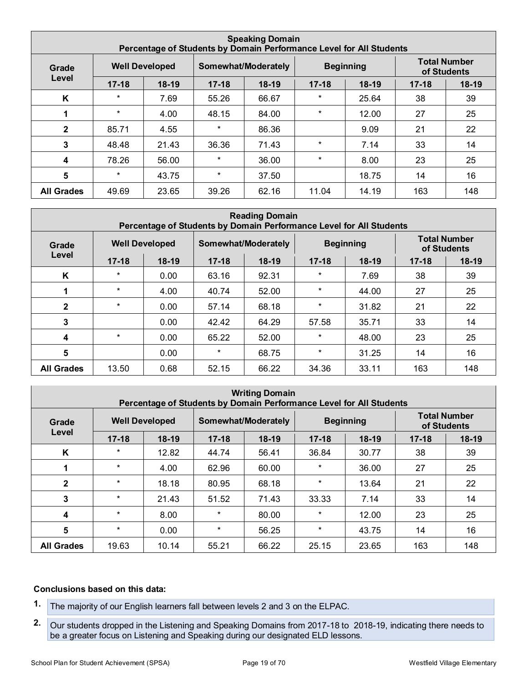|                         | <b>Speaking Domain</b><br>Percentage of Students by Domain Performance Level for All Students |                       |           |                     |           |                  |                                    |         |  |  |  |  |  |  |
|-------------------------|-----------------------------------------------------------------------------------------------|-----------------------|-----------|---------------------|-----------|------------------|------------------------------------|---------|--|--|--|--|--|--|
| Grade                   |                                                                                               | <b>Well Developed</b> |           | Somewhat/Moderately |           | <b>Beginning</b> | <b>Total Number</b><br>of Students |         |  |  |  |  |  |  |
| Level                   | $17 - 18$                                                                                     | $18-19$               | $17 - 18$ | $18-19$             | $17 - 18$ | $18-19$          | $17 - 18$                          | $18-19$ |  |  |  |  |  |  |
| K                       | $\star$                                                                                       | 7.69                  | 55.26     | 66.67               | $\star$   | 25.64            | 38                                 | 39      |  |  |  |  |  |  |
|                         | $\star$                                                                                       | 4.00                  | 48.15     | 84.00               | $\star$   | 12.00            | 27                                 | 25      |  |  |  |  |  |  |
| $\mathbf{2}$            | 85.71                                                                                         | 4.55                  | $\star$   | 86.36               |           | 9.09             | 21                                 | 22      |  |  |  |  |  |  |
| 3                       | 48.48                                                                                         | 21.43                 | 36.36     | 71.43               | $\star$   | 7.14             | 33                                 | 14      |  |  |  |  |  |  |
| $\overline{\mathbf{4}}$ | 78.26                                                                                         | 56.00                 | $\star$   | 36.00               | $\star$   | 8.00             | 23                                 | 25      |  |  |  |  |  |  |
| 5                       | $\star$                                                                                       | 43.75                 | $\star$   | 37.50               |           | 18.75            | 14                                 | 16      |  |  |  |  |  |  |
| <b>All Grades</b>       | 49.69                                                                                         | 23.65                 | 39.26     | 62.16               | 11.04     | 14.19            | 163                                | 148     |  |  |  |  |  |  |

|                         | <b>Reading Domain</b><br>Percentage of Students by Domain Performance Level for All Students |                       |           |                     |           |                  |                                    |         |  |  |  |  |  |  |
|-------------------------|----------------------------------------------------------------------------------------------|-----------------------|-----------|---------------------|-----------|------------------|------------------------------------|---------|--|--|--|--|--|--|
| Grade                   |                                                                                              | <b>Well Developed</b> |           | Somewhat/Moderately |           | <b>Beginning</b> | <b>Total Number</b><br>of Students |         |  |  |  |  |  |  |
| Level                   | $17 - 18$                                                                                    | $18-19$               | $17 - 18$ | 18-19               | $17 - 18$ | $18-19$          | $17 - 18$                          | $18-19$ |  |  |  |  |  |  |
| K                       | $\ast$                                                                                       | 0.00                  | 63.16     | 92.31               | $\star$   | 7.69             | 38                                 | 39      |  |  |  |  |  |  |
| 1                       | $\ast$                                                                                       | 4.00                  | 40.74     | 52.00               | $^\star$  | 44.00            | 27                                 | 25      |  |  |  |  |  |  |
| $\overline{2}$          | $\ast$                                                                                       | 0.00                  | 57.14     | 68.18               | $\star$   | 31.82            | 21                                 | 22      |  |  |  |  |  |  |
| 3                       |                                                                                              | 0.00                  | 42.42     | 64.29               | 57.58     | 35.71            | 33                                 | 14      |  |  |  |  |  |  |
| $\overline{\mathbf{4}}$ | $\ast$                                                                                       | 0.00                  | 65.22     | 52.00               | $^\star$  | 48.00            | 23                                 | 25      |  |  |  |  |  |  |
| $5\phantom{1}$          |                                                                                              | 0.00                  | $\ast$    | 68.75               | $\star$   | 31.25            | 14                                 | 16      |  |  |  |  |  |  |
| <b>All Grades</b>       | 13.50                                                                                        | 0.68                  | 52.15     | 66.22               | 34.36     | 33.11            | 163                                | 148     |  |  |  |  |  |  |

| <b>Writing Domain</b><br>Percentage of Students by Domain Performance Level for All Students |           |                                              |           |         |                  |         |                                    |         |
|----------------------------------------------------------------------------------------------|-----------|----------------------------------------------|-----------|---------|------------------|---------|------------------------------------|---------|
| Grade                                                                                        |           | <b>Well Developed</b><br>Somewhat/Moderately |           |         | <b>Beginning</b> |         | <b>Total Number</b><br>of Students |         |
| Level                                                                                        | $17 - 18$ | $18-19$                                      | $17 - 18$ | $18-19$ | $17 - 18$        | $18-19$ | $17 - 18$                          | $18-19$ |
| K                                                                                            | *         | 12.82                                        | 44.74     | 56.41   | 36.84            | 30.77   | 38                                 | 39      |
| 1                                                                                            | $\star$   | 4.00                                         | 62.96     | 60.00   | $\star$          | 36.00   | 27                                 | 25      |
| $\mathbf{2}$                                                                                 | $\star$   | 18.18                                        | 80.95     | 68.18   | $\star$          | 13.64   | 21                                 | 22      |
| 3                                                                                            | $\star$   | 21.43                                        | 51.52     | 71.43   | 33.33            | 7.14    | 33                                 | 14      |
| $\boldsymbol{4}$                                                                             | $\star$   | 8.00                                         | $\star$   | 80.00   | $\star$          | 12.00   | 23                                 | 25      |
| 5                                                                                            | $\star$   | 0.00                                         | $\star$   | 56.25   | $\ast$           | 43.75   | 14                                 | 16      |
| <b>All Grades</b>                                                                            | 19.63     | 10.14                                        | 55.21     | 66.22   | 25.15            | 23.65   | 163                                | 148     |

#### **Conclusions based on this data:**

- **1.** The majority of our English learners fall between levels 2 and 3 on the ELPAC.
- **2.** Our students dropped in the Listening and Speaking Domains from 2017-18 to 2018-19, indicating there needs to be a greater focus on Listening and Speaking during our designated ELD lessons.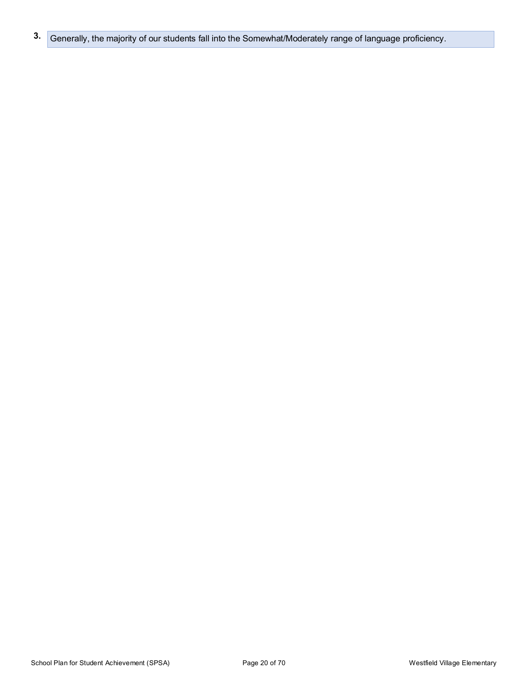**3.** Generally, the majority of our students fall into the Somewhat/Moderately range of language proficiency.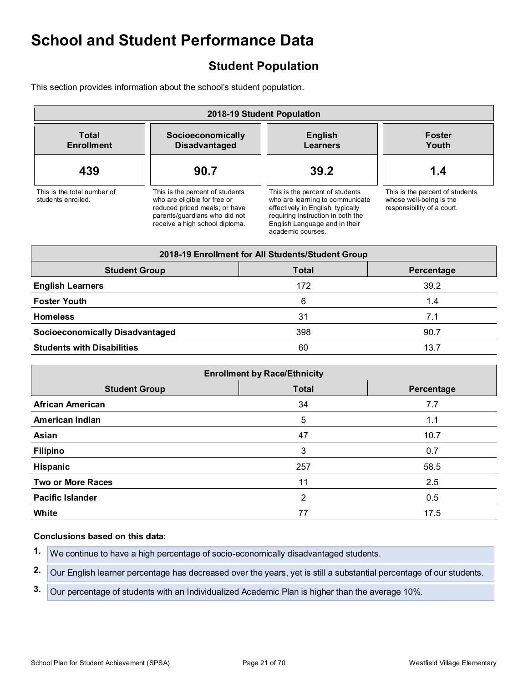## **Student Population**

This section provides information about the school's student population.

| 2018-19 Student Population                                                     |                                                                                                                                                                     |                                                                                                                                                                                                    |                                                                                          |  |  |
|--------------------------------------------------------------------------------|---------------------------------------------------------------------------------------------------------------------------------------------------------------------|----------------------------------------------------------------------------------------------------------------------------------------------------------------------------------------------------|------------------------------------------------------------------------------------------|--|--|
| <b>Total</b><br>Socioeconomically<br><b>Enrollment</b><br><b>Disadvantaged</b> |                                                                                                                                                                     | <b>English</b><br>Learners                                                                                                                                                                         | <b>Foster</b><br>Youth                                                                   |  |  |
| 439                                                                            | 90.7                                                                                                                                                                | 39.2                                                                                                                                                                                               | 1.4                                                                                      |  |  |
| This is the total number of<br>students enrolled.                              | This is the percent of students<br>who are eligible for free or<br>reduced priced meals; or have<br>parents/guardians who did not<br>receive a high school diploma. | This is the percent of students<br>who are learning to communicate<br>effectively in English, typically<br>requiring instruction in both the<br>English Language and in their<br>academic courses. | This is the percent of students<br>whose well-being is the<br>responsibility of a court. |  |  |
|                                                                                |                                                                                                                                                                     | 2018-19 Enrollment for All Students/Student Group                                                                                                                                                  |                                                                                          |  |  |
| <b>Student Group</b>                                                           |                                                                                                                                                                     | <b>Total</b>                                                                                                                                                                                       | Percentage                                                                               |  |  |
| <b>English Learners</b>                                                        |                                                                                                                                                                     | 172                                                                                                                                                                                                | 39.2                                                                                     |  |  |
| <b>Foster Youth</b>                                                            |                                                                                                                                                                     | 6                                                                                                                                                                                                  | 1.4                                                                                      |  |  |
| <b>Homeless</b>                                                                |                                                                                                                                                                     | 31                                                                                                                                                                                                 | 7.1                                                                                      |  |  |
| <b>Socioeconomically Disadvantaged</b>                                         |                                                                                                                                                                     | 398                                                                                                                                                                                                | 90.7                                                                                     |  |  |

| <b>Students with Disabilities</b> |  |
|-----------------------------------|--|

| <b>Enrollment by Race/Ethnicity</b> |              |            |  |  |
|-------------------------------------|--------------|------------|--|--|
| <b>Student Group</b>                | <b>Total</b> | Percentage |  |  |
| <b>African American</b>             | 34           | 7.7        |  |  |
| <b>American Indian</b>              | 5            | 1.1        |  |  |
| Asian                               | 47           | 10.7       |  |  |
| <b>Filipino</b>                     | 3            | 0.7        |  |  |
| Hispanic                            | 257          | 58.5       |  |  |
| <b>Two or More Races</b>            | 11           | 2.5        |  |  |
| <b>Pacific Islander</b>             | 2            | 0.5        |  |  |
| White                               | 77           | 17.5       |  |  |

#### **Conclusions based on this data:**

**1.** We continue to have a high percentage of socio-economically disadvantaged students.

**2.** Our English learner percentage has decreased over the years, yet is still a substantial percentage of our students.

**3.** Our percentage of students with an Individualized Academic Plan is higher than the average 10%.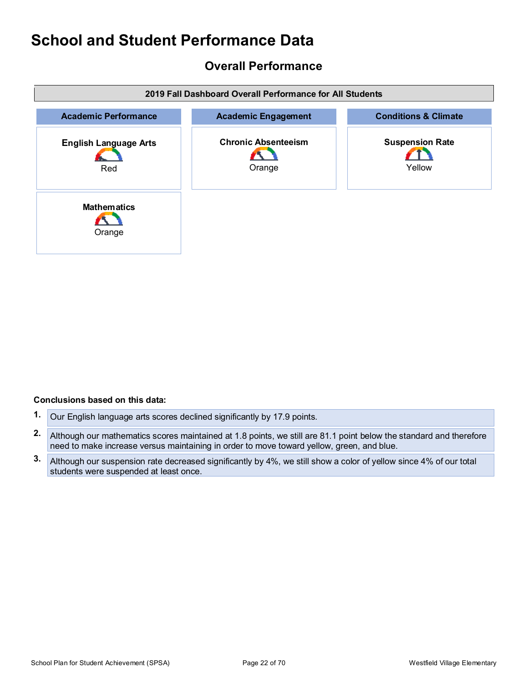### **Overall Performance**

| 2019 Fall Dashboard Overall Performance for All Students |                                      |                                  |  |  |
|----------------------------------------------------------|--------------------------------------|----------------------------------|--|--|
| <b>Academic Performance</b>                              | <b>Academic Engagement</b>           | <b>Conditions &amp; Climate</b>  |  |  |
| <b>English Language Arts</b><br>Red                      | <b>Chronic Absenteeism</b><br>Orange | <b>Suspension Rate</b><br>Yellow |  |  |
| <b>Mathematics</b><br>Orange                             |                                      |                                  |  |  |

#### **Conclusions based on this data:**

- **1.** Our English language arts scores declined significantly by 17.9 points.
- **2.** Although our mathematics scores maintained at 1.8 points, we still are 81.1 point below the standard and therefore need to make increase versus maintaining in order to move toward yellow, green, and blue.
- **3.** Although our suspension rate decreased significantly by 4%, we still show a color of yellow since 4% of our total students were suspended at least once.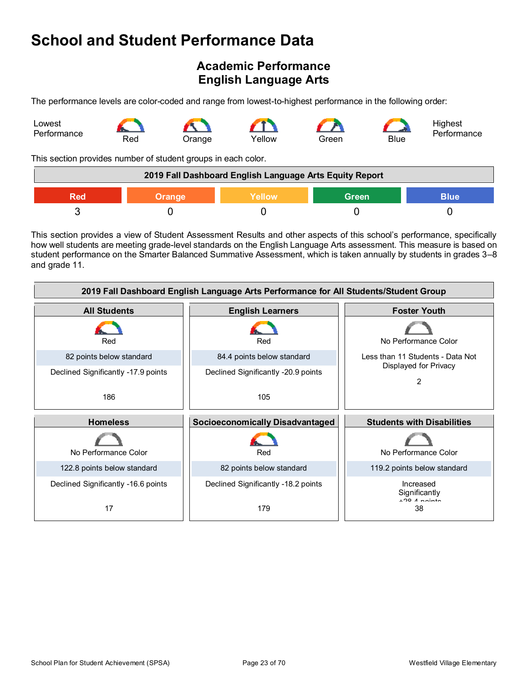## **Academic Performance English Language Arts**

The performance levels are color-coded and range from lowest-to-highest performance in the following order:



This section provides number of student groups in each color.

| 2019 Fall Dashboard English Language Arts Equity Report       |  |  |  |  |
|---------------------------------------------------------------|--|--|--|--|
| Green<br><b>Yellow</b><br><b>Blue</b><br><b>Orange</b><br>Red |  |  |  |  |
|                                                               |  |  |  |  |

This section provides a view of Student Assessment Results and other aspects of this school's performance, specifically how well students are meeting grade-level standards on the English Language Arts assessment. This measure is based on student performance on the Smarter Balanced Summative Assessment, which is taken annually by students in grades 3–8 and grade 11.

| 2019 Fall Dashboard English Language Arts Performance for All Students/Student Group |                                        |                                                 |  |  |
|--------------------------------------------------------------------------------------|----------------------------------------|-------------------------------------------------|--|--|
| <b>All Students</b>                                                                  | <b>English Learners</b>                | <b>Foster Youth</b>                             |  |  |
| Red                                                                                  | Red                                    | No Performance Color                            |  |  |
| 82 points below standard                                                             | 84.4 points below standard             | Less than 11 Students - Data Not                |  |  |
| Declined Significantly -17.9 points                                                  | Declined Significantly -20.9 points    | Displayed for Privacy<br>2                      |  |  |
| 186                                                                                  | 105                                    |                                                 |  |  |
|                                                                                      |                                        |                                                 |  |  |
| <b>Homeless</b>                                                                      | <b>Socioeconomically Disadvantaged</b> | <b>Students with Disabilities</b>               |  |  |
| No Performance Color                                                                 | Red                                    | No Performance Color                            |  |  |
| 122.8 points below standard                                                          | 82 points below standard               | 119.2 points below standard                     |  |  |
| Declined Significantly -16.6 points                                                  | Declined Significantly -18.2 points    | Increased<br>Significantly<br>$\pm$ 20 A nointo |  |  |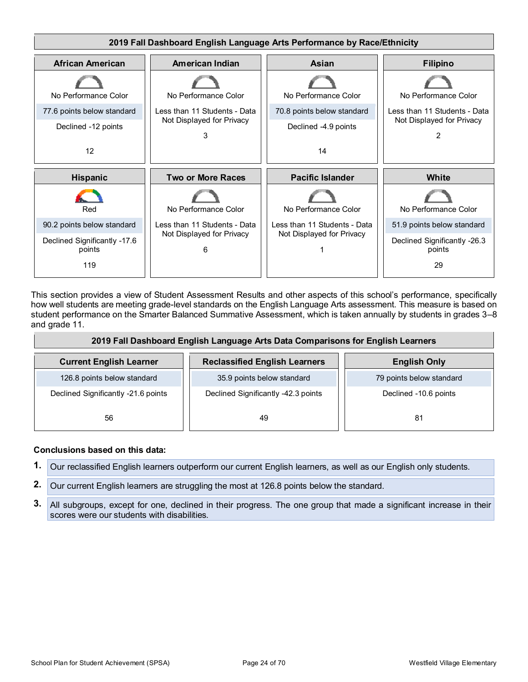

This section provides a view of Student Assessment Results and other aspects of this school's performance, specifically how well students are meeting grade-level standards on the English Language Arts assessment. This measure is based on student performance on the Smarter Balanced Summative Assessment, which is taken annually by students in grades 3–8 and grade 11.

| 2019 Fall Dashboard English Language Arts Data Comparisons for English Learners |                                      |                          |  |  |
|---------------------------------------------------------------------------------|--------------------------------------|--------------------------|--|--|
| <b>Current English Learner</b>                                                  | <b>Reclassified English Learners</b> | <b>English Only</b>      |  |  |
| 126.8 points below standard                                                     | 35.9 points below standard           | 79 points below standard |  |  |
| Declined Significantly -21.6 points                                             | Declined Significantly -42.3 points  | Declined -10.6 points    |  |  |
| 56                                                                              | 49                                   | -81                      |  |  |

#### **Conclusions based on this data:**

- **1.** Our reclassified English learners outperform our current English learners, as well as our English only students.
- **2.** Our current English learners are struggling the most at 126.8 points below the standard.
- **3.** All subgroups, except for one, declined in their progress. The one group that made a significant increase in their scores were our students with disabilities.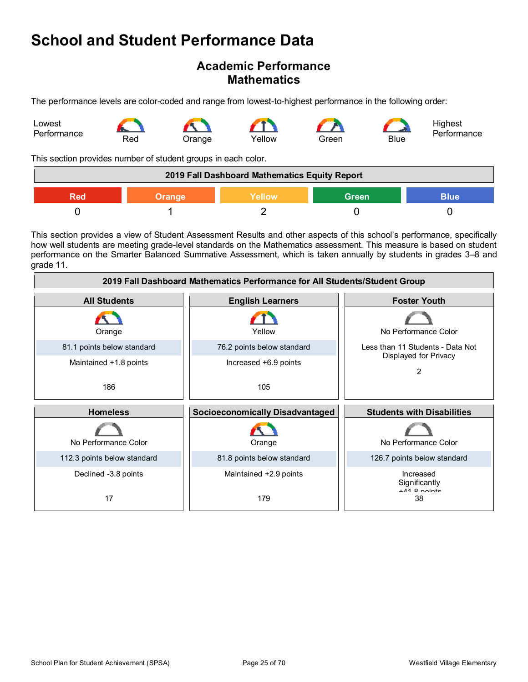### **Academic Performance Mathematics**

The performance levels are color-coded and range from lowest-to-highest performance in the following order:



This section provides number of student groups in each color.

| 2019 Fall Dashboard Mathematics Equity Report |               |               |              |             |
|-----------------------------------------------|---------------|---------------|--------------|-------------|
| Red                                           | <b>Orange</b> | <b>Yellow</b> | <b>Green</b> | <b>Blue</b> |
|                                               |               |               |              |             |

This section provides a view of Student Assessment Results and other aspects of this school's performance, specifically how well students are meeting grade-level standards on the Mathematics assessment. This measure is based on student performance on the Smarter Balanced Summative Assessment, which is taken annually by students in grades 3–8 and grade 11.

| 2019 Fall Dashboard Mathematics Performance for All Students/Student Group |                                        |                                                    |  |  |
|----------------------------------------------------------------------------|----------------------------------------|----------------------------------------------------|--|--|
| <b>All Students</b>                                                        | <b>English Learners</b>                | <b>Foster Youth</b>                                |  |  |
| Orange                                                                     | Yellow                                 | No Performance Color                               |  |  |
| 81.1 points below standard                                                 | 76.2 points below standard             | Less than 11 Students - Data Not                   |  |  |
| Maintained +1.8 points                                                     | Increased +6.9 points                  | Displayed for Privacy<br>2                         |  |  |
| 186                                                                        | 105                                    |                                                    |  |  |
| <b>Homeless</b>                                                            | <b>Socioeconomically Disadvantaged</b> | <b>Students with Disabilities</b>                  |  |  |
| No Performance Color                                                       | Orange                                 | No Performance Color                               |  |  |
| 112.3 points below standard                                                | 81.8 points below standard             | 126.7 points below standard                        |  |  |
| Declined -3.8 points<br>17                                                 | Maintained +2.9 points<br>179          | Increased<br>Significantly<br>$+44$ 8 nointe<br>38 |  |  |
|                                                                            |                                        |                                                    |  |  |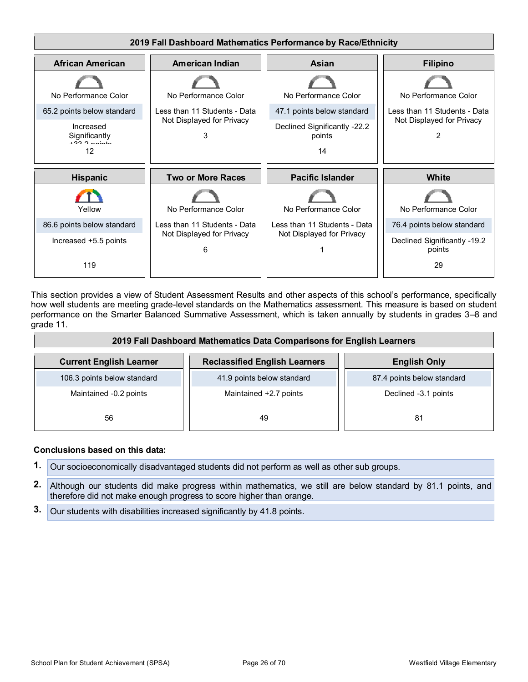

This section provides a view of Student Assessment Results and other aspects of this school's performance, specifically how well students are meeting grade-level standards on the Mathematics assessment. This measure is based on student performance on the Smarter Balanced Summative Assessment, which is taken annually by students in grades 3–8 and grade 11.

| 2019 Fall Dashboard Mathematics Data Comparisons for English Learners |                                      |                            |  |  |
|-----------------------------------------------------------------------|--------------------------------------|----------------------------|--|--|
| <b>Current English Learner</b>                                        | <b>Reclassified English Learners</b> | <b>English Only</b>        |  |  |
| 106.3 points below standard                                           | 41.9 points below standard           | 87.4 points below standard |  |  |
| Maintained -0.2 points                                                | Maintained +2.7 points               | Declined -3.1 points       |  |  |
| 56                                                                    | 49                                   | 81                         |  |  |

#### **Conclusions based on this data:**

- **1.** Our socioeconomically disadvantaged students did not perform as well as other sub groups.
- **2.** Although our students did make progress within mathematics, we still are below standard by 81.1 points, and therefore did not make enough progress to score higher than orange.
- **3.** Our students with disabilities increased significantly by 41.8 points.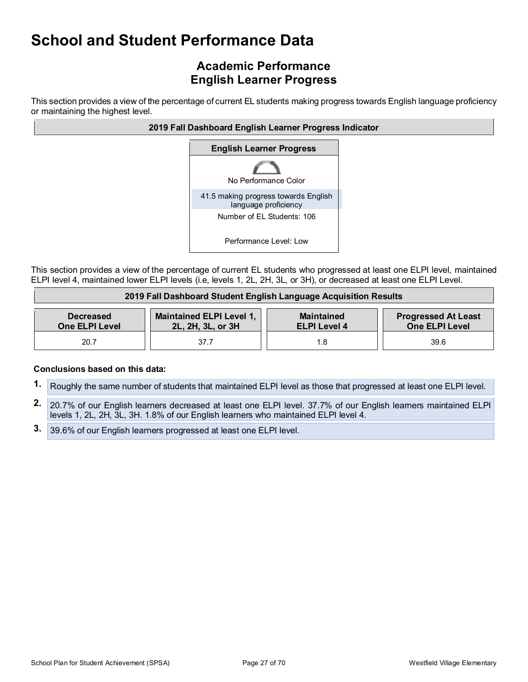## **Academic Performance English Learner Progress**

This section provides a view of the percentage of current EL students making progress towards English language proficiency or maintaining the highest level.



This section provides a view of the percentage of current EL students who progressed at least one ELPI level, maintained ELPI level 4, maintained lower ELPI levels (i.e, levels 1, 2L, 2H, 3L, or 3H), or decreased at least one ELPI Level.

| 2019 Fall Dashboard Student English Language Acquisition Results |                                                      |                                          |                                              |  |
|------------------------------------------------------------------|------------------------------------------------------|------------------------------------------|----------------------------------------------|--|
| <b>Decreased</b><br><b>One ELPI Level</b>                        | <b>Maintained ELPI Level 1,</b><br>2L, 2H, 3L, or 3H | <b>Maintained</b><br><b>ELPI Level 4</b> | <b>Progressed At Least</b><br>One ELPI Level |  |
| 20.7                                                             | 37.7                                                 |                                          | 39.6                                         |  |

#### **Conclusions based on this data:**

- **1.** Roughly the same number of students that maintained ELPI level as those that progressed at least one ELPI level.
- **2.** 20.7% of our English learners decreased at least one ELPI level. 37.7% of our English learners maintained ELPI levels 1, 2L, 2H, 3L, 3H. 1.8% of our English learners who maintained ELPI level 4.
- **3.** 39.6% of our English learners progressed at least one ELPI level.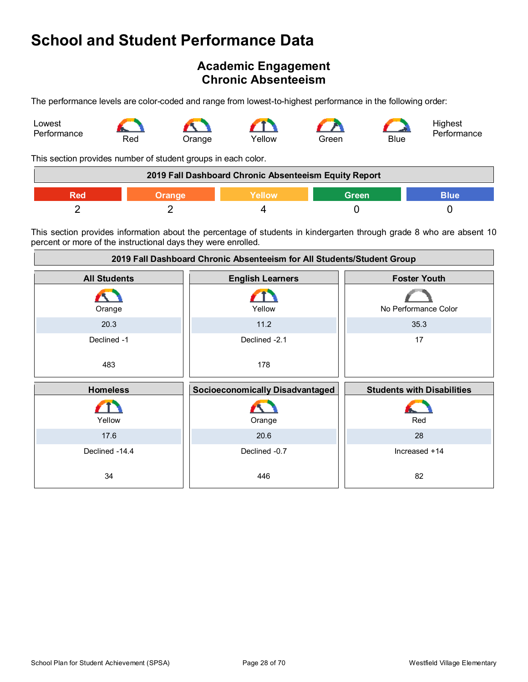### **Academic Engagement Chronic Absenteeism**

The performance levels are color-coded and range from lowest-to-highest performance in the following order:



This section provides number of student groups in each color.

| 2019 Fall Dashboard Chronic Absenteeism Equity Report |  |  |  |  |
|-------------------------------------------------------|--|--|--|--|
| Green<br><b>Yellow</b><br>Blue                        |  |  |  |  |
|                                                       |  |  |  |  |

This section provides information about the percentage of students in kindergarten through grade 8 who are absent 10 percent or more of the instructional days they were enrolled.

| 2019 Fall Dashboard Chronic Absenteeism for All Students/Student Group |                                        |                                   |
|------------------------------------------------------------------------|----------------------------------------|-----------------------------------|
| <b>All Students</b>                                                    | <b>English Learners</b>                | <b>Foster Youth</b>               |
| Orange                                                                 | Yellow                                 | No Performance Color              |
| 20.3                                                                   | 11.2                                   | 35.3                              |
| Declined -1                                                            | Declined -2.1                          | 17                                |
| 483                                                                    | 178                                    |                                   |
|                                                                        |                                        |                                   |
| <b>Homeless</b>                                                        | <b>Socioeconomically Disadvantaged</b> | <b>Students with Disabilities</b> |
| Yellow                                                                 | Orange                                 | Red                               |
| 17.6                                                                   | 20.6                                   | 28                                |
| Declined -14.4                                                         | Declined -0.7                          | Increased +14                     |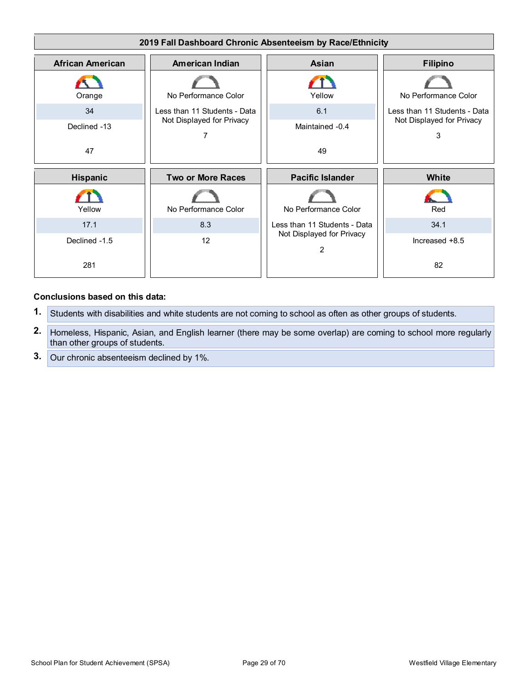

#### **Conclusions based on this data:**

- **1.** Students with disabilities and white students are not coming to school as often as other groups of students.
- **2.** Homeless, Hispanic, Asian, and English learner (there may be some overlap) are coming to school more regularly than other groups of students.
- **3.** Our chronic absenteeism declined by 1%.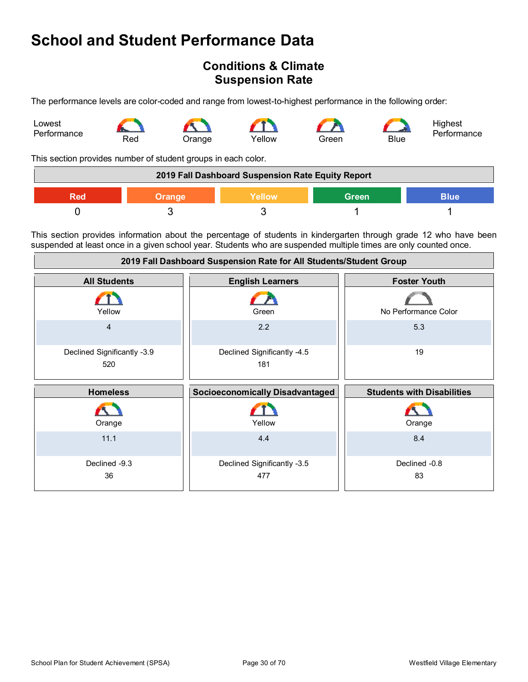### **Conditions & Climate Suspension Rate**

The performance levels are color-coded and range from lowest-to-highest performance in the following order:



This section provides number of student groups in each color.

| 2019 Fall Dashboard Suspension Rate Equity Report                    |  |  |  |  |
|----------------------------------------------------------------------|--|--|--|--|
| <b>Green</b><br><b>Blue</b><br><b>Yellow</b><br><b>Orange</b><br>Red |  |  |  |  |
|                                                                      |  |  |  |  |

This section provides information about the percentage of students in kindergarten through grade 12 who have been suspended at least once in a given school year. Students who are suspended multiple times are only counted once.

| 2019 Fall Dashboard Suspension Rate for All Students/Student Group |                                        |                                   |
|--------------------------------------------------------------------|----------------------------------------|-----------------------------------|
| <b>All Students</b>                                                | <b>English Learners</b>                | <b>Foster Youth</b>               |
| Yellow                                                             | Green                                  | No Performance Color              |
| $\overline{4}$                                                     | 2.2                                    | 5.3                               |
| Declined Significantly -3.9<br>520                                 | Declined Significantly -4.5<br>181     | 19                                |
| <b>Homeless</b>                                                    | <b>Socioeconomically Disadvantaged</b> | <b>Students with Disabilities</b> |
| Orange                                                             | Yellow                                 | Orange                            |
| 11.1                                                               | 4.4                                    | 8.4                               |
| Declined -9.3<br>36                                                | Declined Significantly -3.5<br>477     | Declined -0.8<br>83               |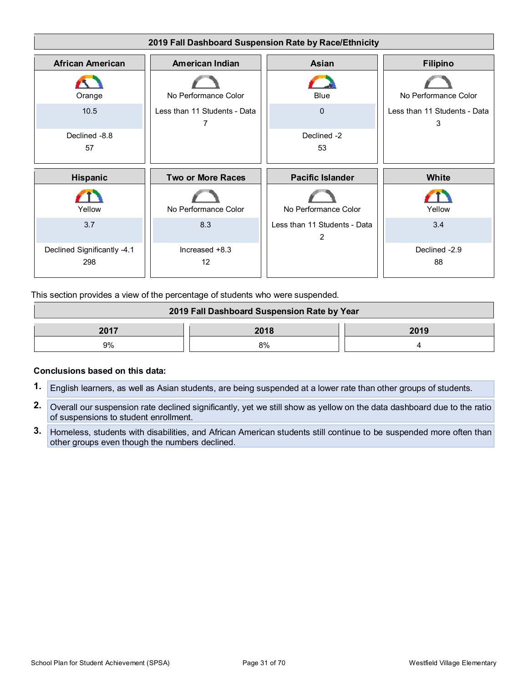

This section provides a view of the percentage of students who were suspended.

| 2019 Fall Dashboard Suspension Rate by Year |      |      |
|---------------------------------------------|------|------|
| 2017                                        | 2018 | 2019 |
| 9%                                          | 8%   |      |

#### **Conclusions based on this data:**

- **1.** English learners, as well as Asian students, are being suspended at a lower rate than other groups of students.
- **2.** Overall our suspension rate declined significantly, yet we still show as yellow on the data dashboard due to the ratio of suspensions to student enrollment.
- **3.** Homeless, students with disabilities, and African American students still continue to be suspended more often than other groups even though the numbers declined.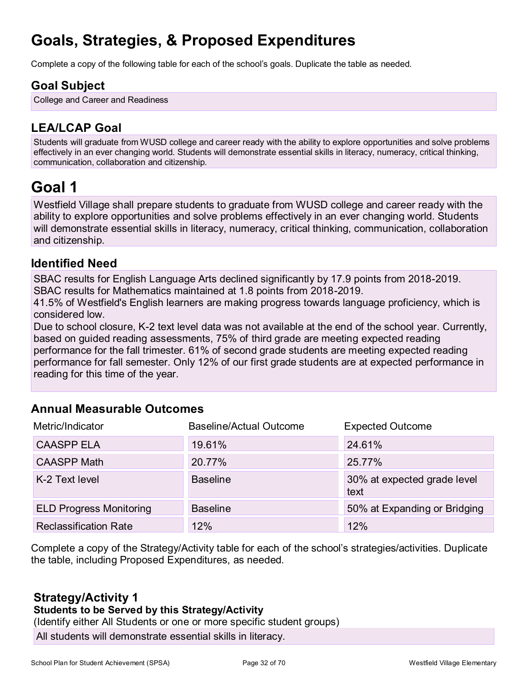## **Goals, Strategies, & Proposed Expenditures**

Complete a copy of the following table for each of the school's goals. Duplicate the table as needed.

## **Goal Subject**

College and Career and Readiness

## **LEA/LCAP Goal**

Students will graduate from WUSD college and career ready with the ability to explore opportunities and solve problems effectively in an ever changing world. Students will demonstrate essential skills in literacy, numeracy, critical thinking, communication, collaboration and citizenship.

## **Goal 1**

Westfield Village shall prepare students to graduate from WUSD college and career ready with the ability to explore opportunities and solve problems effectively in an ever changing world. Students will demonstrate essential skills in literacy, numeracy, critical thinking, communication, collaboration and citizenship.

## **Identified Need**

SBAC results for English Language Arts declined significantly by 17.9 points from 2018-2019. SBAC results for Mathematics maintained at 1.8 points from 2018-2019.

41.5% of Westfield's English learners are making progress towards language proficiency, which is considered low.

Due to school closure, K-2 text level data was not available at the end of the school year. Currently, based on guided reading assessments, 75% of third grade are meeting expected reading performance for the fall trimester. 61% of second grade students are meeting expected reading

performance for fall semester. Only 12% of our first grade students are at expected performance in reading for this time of the year.

## **Annual Measurable Outcomes**

| Metric/Indicator               | Baseline/Actual Outcome | <b>Expected Outcome</b>             |
|--------------------------------|-------------------------|-------------------------------------|
| <b>CAASPP ELA</b>              | 19.61%                  | 24.61%                              |
| <b>CAASPP Math</b>             | 20.77%                  | 25.77%                              |
| K-2 Text level                 | <b>Baseline</b>         | 30% at expected grade level<br>text |
| <b>ELD Progress Monitoring</b> | <b>Baseline</b>         | 50% at Expanding or Bridging        |
| <b>Reclassification Rate</b>   | 12%                     | 12%                                 |

Complete a copy of the Strategy/Activity table for each of the school's strategies/activities. Duplicate the table, including Proposed Expenditures, as needed.

## **Strategy/Activity 1**

#### **Students to be Served by this Strategy/Activity**

(Identify either All Students or one or more specific student groups)

All students will demonstrate essential skills in literacy.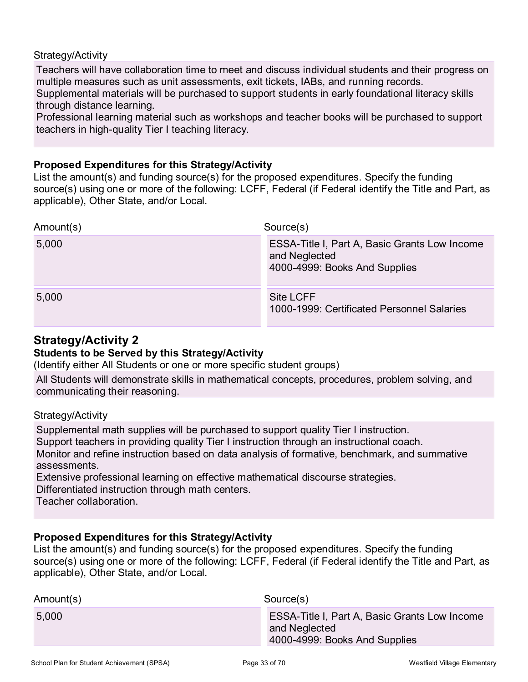#### Strategy/Activity

Teachers will have collaboration time to meet and discuss individual students and their progress on multiple measures such as unit assessments, exit tickets, IABs, and running records. Supplemental materials will be purchased to support students in early foundational literacy skills through distance learning.

Professional learning material such as workshops and teacher books will be purchased to support teachers in high-quality Tier I teaching literacy.

#### **Proposed Expenditures for this Strategy/Activity**

List the amount(s) and funding source(s) for the proposed expenditures. Specify the funding source(s) using one or more of the following: LCFF, Federal (if Federal identify the Title and Part, as applicable), Other State, and/or Local.

| Amount(s) | Source(s)                                                                                       |
|-----------|-------------------------------------------------------------------------------------------------|
| 5,000     | ESSA-Title I, Part A, Basic Grants Low Income<br>and Neglected<br>4000-4999: Books And Supplies |
| 5,000     | <b>Site LCFF</b><br>1000-1999: Certificated Personnel Salaries                                  |

### **Strategy/Activity 2**

#### **Students to be Served by this Strategy/Activity**

(Identify either All Students or one or more specific student groups)

All Students will demonstrate skills in mathematical concepts, procedures, problem solving, and communicating their reasoning.

#### Strategy/Activity

Supplemental math supplies will be purchased to support quality Tier I instruction. Support teachers in providing quality Tier I instruction through an instructional coach. Monitor and refine instruction based on data analysis of formative, benchmark, and summative assessments. Extensive professional learning on effective mathematical discourse strategies.

Differentiated instruction through math centers.

Teacher collaboration.

#### **Proposed Expenditures for this Strategy/Activity**

List the amount(s) and funding source(s) for the proposed expenditures. Specify the funding source(s) using one or more of the following: LCFF, Federal (if Federal identify the Title and Part, as applicable), Other State, and/or Local.

| Amount(s) | Source(s)                                                                                              |
|-----------|--------------------------------------------------------------------------------------------------------|
| 5,000     | <b>ESSA-Title I, Part A, Basic Grants Low Income</b><br>and Neglected<br>4000-4999: Books And Supplies |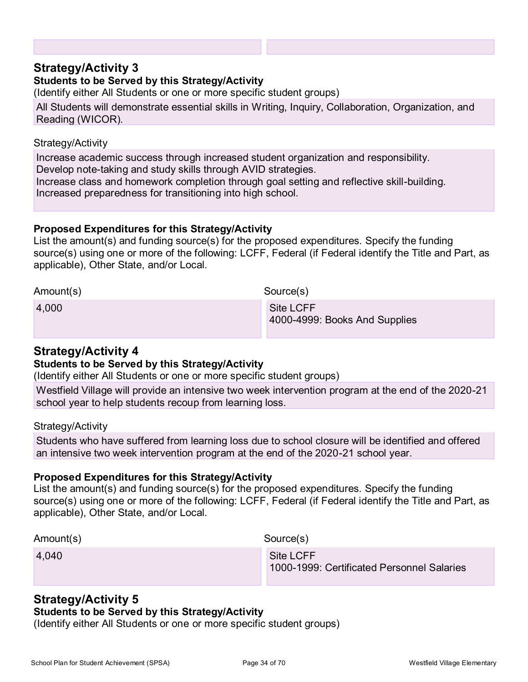### **Strategy/Activity 3**

#### **Students to be Served by this Strategy/Activity**

(Identify either All Students or one or more specific student groups)

All Students will demonstrate essential skills in Writing, Inquiry, Collaboration, Organization, and Reading (WICOR).

#### Strategy/Activity

Increase academic success through increased student organization and responsibility. Develop note-taking and study skills through AVID strategies.

Increase class and homework completion through goal setting and reflective skill-building. Increased preparedness for transitioning into high school.

#### **Proposed Expenditures for this Strategy/Activity**

List the amount(s) and funding source(s) for the proposed expenditures. Specify the funding source(s) using one or more of the following: LCFF, Federal (if Federal identify the Title and Part, as applicable), Other State, and/or Local.

| Amount(s) | Source(s)                                         |
|-----------|---------------------------------------------------|
| 4,000     | <b>Site LCFF</b><br>4000-4999: Books And Supplies |

#### **Strategy/Activity 4**

#### **Students to be Served by this Strategy/Activity**

(Identify either All Students or one or more specific student groups)

Westfield Village will provide an intensive two week intervention program at the end of the 2020-21 school year to help students recoup from learning loss.

#### Strategy/Activity

Students who have suffered from learning loss due to school closure will be identified and offered an intensive two week intervention program at the end of the 2020-21 school year.

#### **Proposed Expenditures for this Strategy/Activity**

List the amount(s) and funding source(s) for the proposed expenditures. Specify the funding source(s) using one or more of the following: LCFF, Federal (if Federal identify the Title and Part, as applicable), Other State, and/or Local.

| Amount(s) | Source(s)                                               |
|-----------|---------------------------------------------------------|
| 4,040     | Site LCFF<br>1000-1999: Certificated Personnel Salaries |

## **Strategy/Activity 5**

### **Students to be Served by this Strategy/Activity**

(Identify either All Students or one or more specific student groups)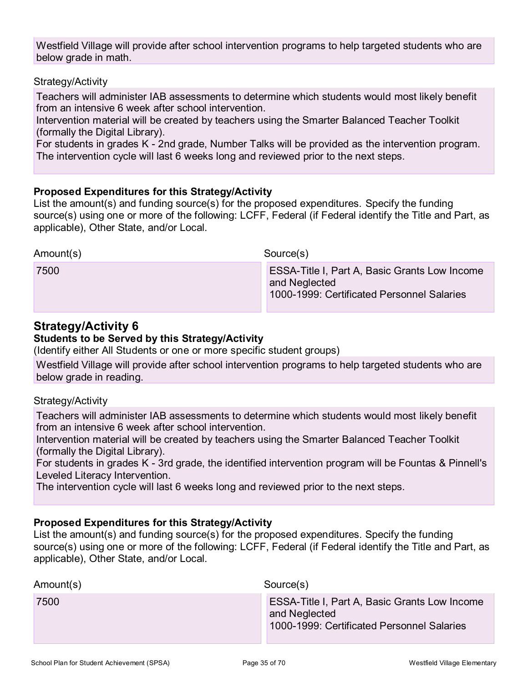Westfield Village will provide after school intervention programs to help targeted students who are below grade in math.

#### Strategy/Activity

Teachers will administer IAB assessments to determine which students would most likely benefit from an intensive 6 week after school intervention.

Intervention material will be created by teachers using the Smarter Balanced Teacher Toolkit (formally the Digital Library).

For students in grades K - 2nd grade, Number Talks will be provided as the intervention program. The intervention cycle will last 6 weeks long and reviewed prior to the next steps.

#### **Proposed Expenditures for this Strategy/Activity**

List the amount(s) and funding source(s) for the proposed expenditures. Specify the funding source(s) using one or more of the following: LCFF, Federal (if Federal identify the Title and Part, as applicable), Other State, and/or Local.

Amount(s) Source(s) 7500 ESSA-Title I, Part A, Basic Grants Low Income and Neglected 1000-1999: Certificated Personnel Salaries

### **Strategy/Activity 6**

#### **Students to be Served by this Strategy/Activity**

(Identify either All Students or one or more specific student groups)

Westfield Village will provide after school intervention programs to help targeted students who are below grade in reading.

#### Strategy/Activity

Teachers will administer IAB assessments to determine which students would most likely benefit from an intensive 6 week after school intervention.

Intervention material will be created by teachers using the Smarter Balanced Teacher Toolkit (formally the Digital Library).

For students in grades K - 3rd grade, the identified intervention program will be Fountas & Pinnell's Leveled Literacy Intervention.

The intervention cycle will last 6 weeks long and reviewed prior to the next steps.

#### **Proposed Expenditures for this Strategy/Activity**

List the amount(s) and funding source(s) for the proposed expenditures. Specify the funding source(s) using one or more of the following: LCFF, Federal (if Federal identify the Title and Part, as applicable), Other State, and/or Local.

| Amount(s) | Source(s)                                                                                                           |
|-----------|---------------------------------------------------------------------------------------------------------------------|
| 7500      | <b>ESSA-Title I, Part A, Basic Grants Low Income</b><br>and Neglected<br>1000-1999: Certificated Personnel Salaries |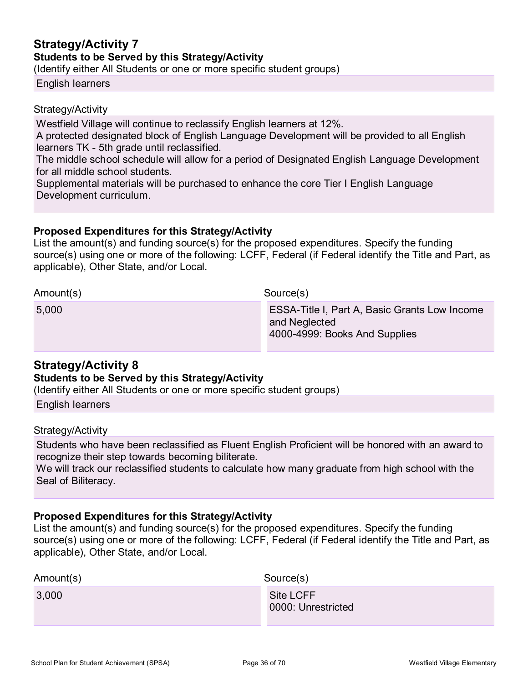### **Strategy/Activity 7 Students to be Served by this Strategy/Activity**

(Identify either All Students or one or more specific student groups)

English learners

#### Strategy/Activity

Westfield Village will continue to reclassify English learners at 12%.

A protected designated block of English Language Development will be provided to all English learners TK - 5th grade until reclassified.

The middle school schedule will allow for a period of Designated English Language Development for all middle school students.

Supplemental materials will be purchased to enhance the core Tier I English Language Development curriculum.

#### **Proposed Expenditures for this Strategy/Activity**

List the amount(s) and funding source(s) for the proposed expenditures. Specify the funding source(s) using one or more of the following: LCFF, Federal (if Federal identify the Title and Part, as applicable), Other State, and/or Local.

#### Amount(s) Source(s)

| 5,000 | <b>ESSA-Title I, Part A, Basic Grants Low Income</b><br>and Neglected<br>4000-4999: Books And Supplies |
|-------|--------------------------------------------------------------------------------------------------------|
|       |                                                                                                        |

## **Strategy/Activity 8**

#### **Students to be Served by this Strategy/Activity**

(Identify either All Students or one or more specific student groups)

English learners

#### Strategy/Activity

Students who have been reclassified as Fluent English Proficient will be honored with an award to recognize their step towards becoming biliterate.

We will track our reclassified students to calculate how many graduate from high school with the Seal of Biliteracy.

#### **Proposed Expenditures for this Strategy/Activity**

List the amount(s) and funding source(s) for the proposed expenditures. Specify the funding source(s) using one or more of the following: LCFF, Federal (if Federal identify the Title and Part, as applicable), Other State, and/or Local.

| Amount(s) | Source(s)                       |
|-----------|---------------------------------|
| 3,000     | Site LCFF<br>0000: Unrestricted |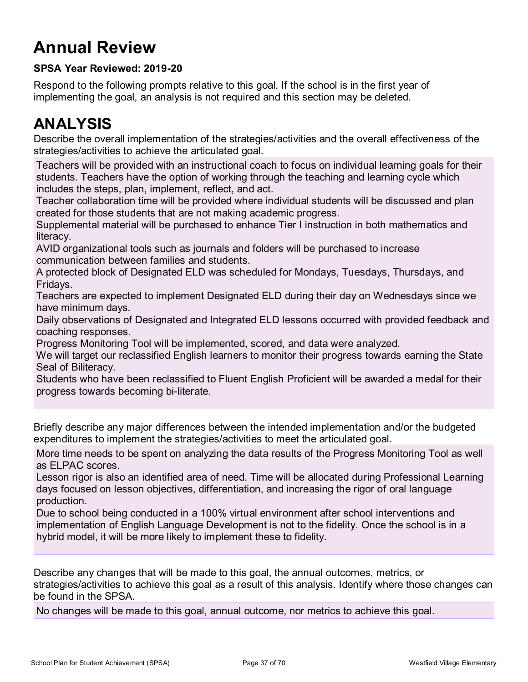# **Annual Review**

### **SPSA Year Reviewed: 2019-20**

Respond to the following prompts relative to this goal. If the school is in the first year of implementing the goal, an analysis is not required and this section may be deleted.

## **ANALYSIS**

Describe the overall implementation of the strategies/activities and the overall effectiveness of the strategies/activities to achieve the articulated goal.

Teachers will be provided with an instructional coach to focus on individual learning goals for their students. Teachers have the option of working through the teaching and learning cycle which includes the steps, plan, implement, reflect, and act.

Teacher collaboration time will be provided where individual students will be discussed and plan created for those students that are not making academic progress.

Supplemental material will be purchased to enhance Tier I instruction in both mathematics and literacy.

AVID organizational tools such as journals and folders will be purchased to increase communication between families and students.

A protected block of Designated ELD was scheduled for Mondays, Tuesdays, Thursdays, and Fridays.

Teachers are expected to implement Designated ELD during their day on Wednesdays since we have minimum days.

Daily observations of Designated and Integrated ELD lessons occurred with provided feedback and coaching responses.

Progress Monitoring Tool will be implemented, scored, and data were analyzed.

We will target our reclassified English learners to monitor their progress towards earning the State Seal of Biliteracy.

Students who have been reclassified to Fluent English Proficient will be awarded a medal for their progress towards becoming bi-literate.

Briefly describe any major differences between the intended implementation and/or the budgeted expenditures to implement the strategies/activities to meet the articulated goal.

More time needs to be spent on analyzing the data results of the Progress Monitoring Tool as well as ELPAC scores.

Lesson rigor is also an identified area of need. Time will be allocated during Professional Learning days focused on lesson objectives, differentiation, and increasing the rigor of oral language production.

Due to school being conducted in a 100% virtual environment after school interventions and implementation of English Language Development is not to the fidelity. Once the school is in a hybrid model, it will be more likely to implement these to fidelity.

Describe any changes that will be made to this goal, the annual outcomes, metrics, or strategies/activities to achieve this goal as a result of this analysis. Identify where those changes can be found in the SPSA.

No changes will be made to this goal, annual outcome, nor metrics to achieve this goal.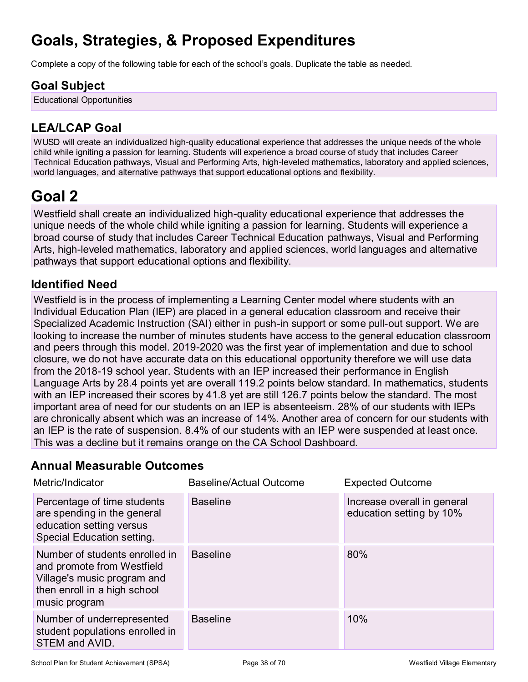## **Goals, Strategies, & Proposed Expenditures**

Complete a copy of the following table for each of the school's goals. Duplicate the table as needed.

## **Goal Subject**

Educational Opportunities

## **LEA/LCAP Goal**

WUSD will create an individualized high-quality educational experience that addresses the unique needs of the whole child while igniting a passion for learning. Students will experience a broad course of study that includes Career Technical Education pathways, Visual and Performing Arts, high-leveled mathematics, laboratory and applied sciences, world languages, and alternative pathways that support educational options and flexibility.

## **Goal 2**

Westfield shall create an individualized high-quality educational experience that addresses the unique needs of the whole child while igniting a passion for learning. Students will experience a broad course of study that includes Career Technical Education pathways, Visual and Performing Arts, high-leveled mathematics, laboratory and applied sciences, world languages and alternative pathways that support educational options and flexibility.

## **Identified Need**

Westfield is in the process of implementing a Learning Center model where students with an Individual Education Plan (IEP) are placed in a general education classroom and receive their Specialized Academic Instruction (SAI) either in push-in support or some pull-out support. We are looking to increase the number of minutes students have access to the general education classroom and peers through this model. 2019-2020 was the first year of implementation and due to school closure, we do not have accurate data on this educational opportunity therefore we will use data from the 2018-19 school year. Students with an IEP increased their performance in English Language Arts by 28.4 points yet are overall 119.2 points below standard. In mathematics, students with an IEP increased their scores by 41.8 yet are still 126.7 points below the standard. The most important area of need for our students on an IEP is absenteeism. 28% of our students with IEPs are chronically absent which was an increase of 14%. Another area of concern for our students with an IEP is the rate of suspension. 8.4% of our students with an IEP were suspended at least once. This was a decline but it remains orange on the CA School Dashboard.

## **Annual Measurable Outcomes**

| Metric/Indicator                                                                                                                             | Baseline/Actual Outcome | <b>Expected Outcome</b>                                 |
|----------------------------------------------------------------------------------------------------------------------------------------------|-------------------------|---------------------------------------------------------|
| Percentage of time students<br>are spending in the general<br>education setting versus<br>Special Education setting.                         | <b>Baseline</b>         | Increase overall in general<br>education setting by 10% |
| Number of students enrolled in<br>and promote from Westfield<br>Village's music program and<br>then enroll in a high school<br>music program | <b>Baseline</b>         | 80%                                                     |
| Number of underrepresented<br>student populations enrolled in<br>STEM and AVID.                                                              | <b>Baseline</b>         | 10%                                                     |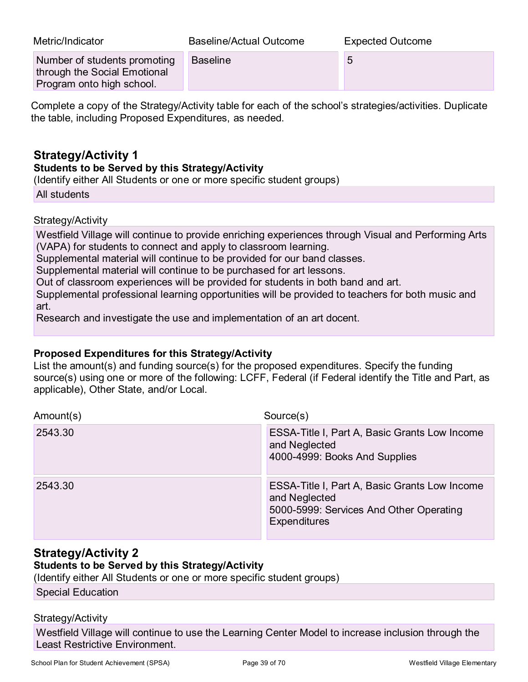| Metric/Indicator                                                                          | <b>Baseline/Actual Outcome</b> | <b>Expected Outcome</b> |
|-------------------------------------------------------------------------------------------|--------------------------------|-------------------------|
| Number of students promoting<br>through the Social Emotional<br>Program onto high school. | <b>Baseline</b>                | 5                       |

Complete a copy of the Strategy/Activity table for each of the school's strategies/activities. Duplicate the table, including Proposed Expenditures, as needed.

### **Strategy/Activity 1**

#### **Students to be Served by this Strategy/Activity**

(Identify either All Students or one or more specific student groups)

All students

Strategy/Activity

Westfield Village will continue to provide enriching experiences through Visual and Performing Arts (VAPA) for students to connect and apply to classroom learning.

Supplemental material will continue to be provided for our band classes.

Supplemental material will continue to be purchased for art lessons.

Out of classroom experiences will be provided for students in both band and art.

Supplemental professional learning opportunities will be provided to teachers for both music and art.

Research and investigate the use and implementation of an art docent.

#### **Proposed Expenditures for this Strategy/Activity**

List the amount(s) and funding source(s) for the proposed expenditures. Specify the funding source(s) using one or more of the following: LCFF, Federal (if Federal identify the Title and Part, as applicable), Other State, and/or Local.

| Amount(s) | Source(s)                                                                                                                        |
|-----------|----------------------------------------------------------------------------------------------------------------------------------|
| 2543.30   | ESSA-Title I, Part A, Basic Grants Low Income<br>and Neglected<br>4000-4999: Books And Supplies                                  |
| 2543.30   | ESSA-Title I, Part A, Basic Grants Low Income<br>and Neglected<br>5000-5999: Services And Other Operating<br><b>Expenditures</b> |

## **Strategy/Activity 2**

#### **Students to be Served by this Strategy/Activity**

(Identify either All Students or one or more specific student groups)

Special Education

#### Strategy/Activity

Westfield Village will continue to use the Learning Center Model to increase inclusion through the Least Restrictive Environment.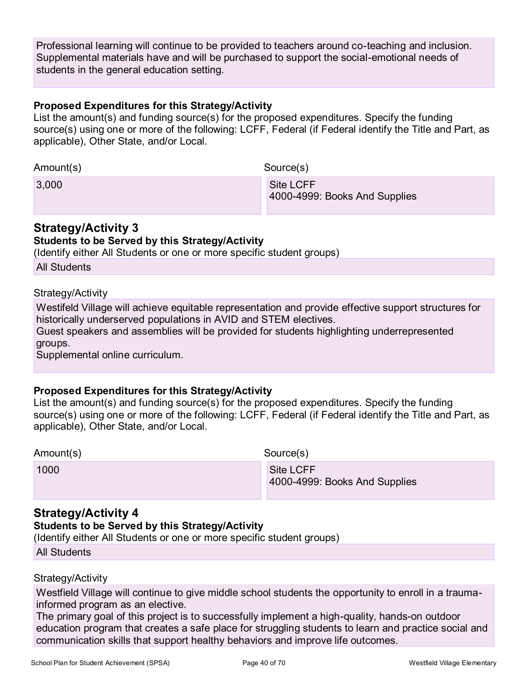Professional learning will continue to be provided to teachers around co-teaching and inclusion. Supplemental materials have and will be purchased to support the social-emotional needs of students in the general education setting.

#### **Proposed Expenditures for this Strategy/Activity**

List the amount(s) and funding source(s) for the proposed expenditures. Specify the funding source(s) using one or more of the following: LCFF, Federal (if Federal identify the Title and Part, as applicable), Other State, and/or Local.

| Amount(s) | Source(s)                                  |  |
|-----------|--------------------------------------------|--|
| 3,000     | Site LCFF<br>4000-4999: Books And Supplies |  |

### **Strategy/Activity 3**

### **Students to be Served by this Strategy/Activity**

(Identify either All Students or one or more specific student groups)

Strategy/Activity

Westifeld Village will achieve equitable representation and provide effective support structures for historically underserved populations in AVID and STEM electives.

Guest speakers and assemblies will be provided for students highlighting underrepresented groups.

Supplemental online curriculum.

#### **Proposed Expenditures for this Strategy/Activity**

List the amount(s) and funding source(s) for the proposed expenditures. Specify the funding source(s) using one or more of the following: LCFF, Federal (if Federal identify the Title and Part, as applicable), Other State, and/or Local.

| Amount(s) |  |
|-----------|--|
|-----------|--|

Source(s)

1000 Site LCFF 4000-4999: Books And Supplies

### **Strategy/Activity 4**

#### **Students to be Served by this Strategy/Activity**

(Identify either All Students or one or more specific student groups)

All Students

#### Strategy/Activity

Westfield Village will continue to give middle school students the opportunity to enroll in a traumainformed program as an elective.

The primary goal of this project is to successfully implement a high-quality, hands-on outdoor education program that creates a safe place for struggling students to learn and practice social and communication skills that support healthy behaviors and improve life outcomes.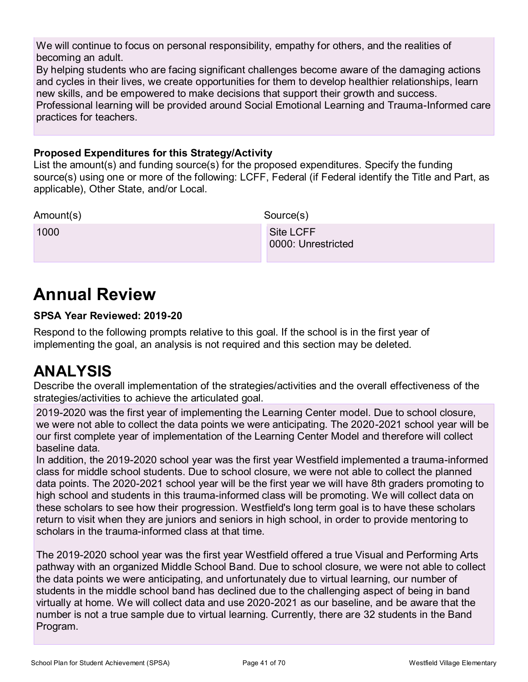We will continue to focus on personal responsibility, empathy for others, and the realities of becoming an adult.

By helping students who are facing significant challenges become aware of the damaging actions and cycles in their lives, we create opportunities for them to develop healthier relationships, learn new skills, and be empowered to make decisions that support their growth and success. Professional learning will be provided around Social Emotional Learning and Trauma-Informed care

#### **Proposed Expenditures for this Strategy/Activity**

List the amount(s) and funding source(s) for the proposed expenditures. Specify the funding source(s) using one or more of the following: LCFF, Federal (if Federal identify the Title and Part, as applicable), Other State, and/or Local.

Amount(s) Source(s) 1000 Site LCFF 0000: Unrestricted

## **Annual Review**

practices for teachers.

#### **SPSA Year Reviewed: 2019-20**

Respond to the following prompts relative to this goal. If the school is in the first year of implementing the goal, an analysis is not required and this section may be deleted.

## **ANALYSIS**

Describe the overall implementation of the strategies/activities and the overall effectiveness of the strategies/activities to achieve the articulated goal.

2019-2020 was the first year of implementing the Learning Center model. Due to school closure, we were not able to collect the data points we were anticipating. The 2020-2021 school year will be our first complete year of implementation of the Learning Center Model and therefore will collect baseline data.

In addition, the 2019-2020 school year was the first year Westfield implemented a trauma-informed class for middle school students. Due to school closure, we were not able to collect the planned data points. The 2020-2021 school year will be the first year we will have 8th graders promoting to high school and students in this trauma-informed class will be promoting. We will collect data on these scholars to see how their progression. Westfield's long term goal is to have these scholars return to visit when they are juniors and seniors in high school, in order to provide mentoring to scholars in the trauma-informed class at that time.

The 2019-2020 school year was the first year Westfield offered a true Visual and Performing Arts pathway with an organized Middle School Band. Due to school closure, we were not able to collect the data points we were anticipating, and unfortunately due to virtual learning, our number of students in the middle school band has declined due to the challenging aspect of being in band virtually at home. We will collect data and use 2020-2021 as our baseline, and be aware that the number is not a true sample due to virtual learning. Currently, there are 32 students in the Band Program.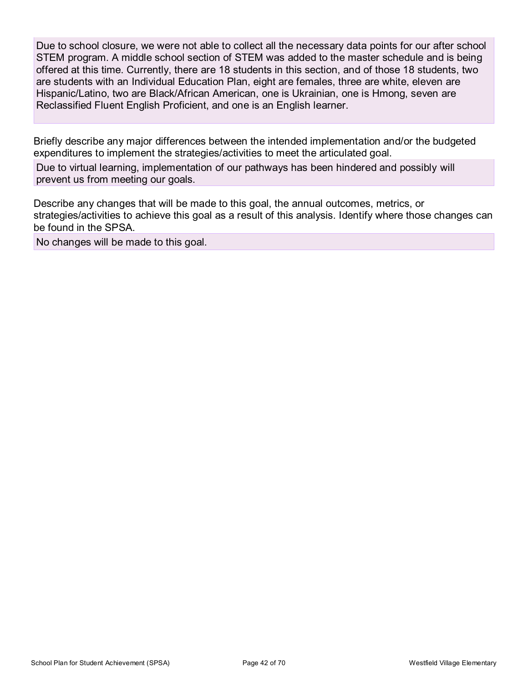Due to school closure, we were not able to collect all the necessary data points for our after school STEM program. A middle school section of STEM was added to the master schedule and is being offered at this time. Currently, there are 18 students in this section, and of those 18 students, two are students with an Individual Education Plan, eight are females, three are white, eleven are Hispanic/Latino, two are Black/African American, one is Ukrainian, one is Hmong, seven are Reclassified Fluent English Proficient, and one is an English learner.

Briefly describe any major differences between the intended implementation and/or the budgeted expenditures to implement the strategies/activities to meet the articulated goal.

Due to virtual learning, implementation of our pathways has been hindered and possibly will prevent us from meeting our goals.

Describe any changes that will be made to this goal, the annual outcomes, metrics, or strategies/activities to achieve this goal as a result of this analysis. Identify where those changes can be found in the SPSA.

No changes will be made to this goal.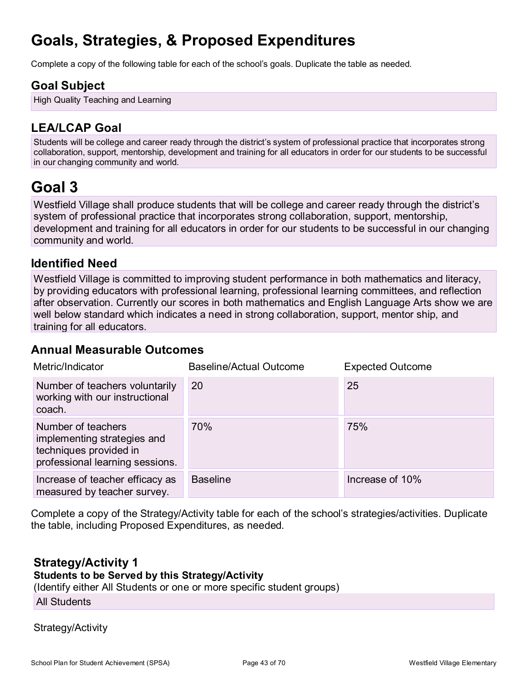## **Goals, Strategies, & Proposed Expenditures**

Complete a copy of the following table for each of the school's goals. Duplicate the table as needed.

## **Goal Subject**

High Quality Teaching and Learning

## **LEA/LCAP Goal**

Students will be college and career ready through the district's system of professional practice that incorporates strong collaboration, support, mentorship, development and training for all educators in order for our students to be successful in our changing community and world.

## **Goal 3**

Westfield Village shall produce students that will be college and career ready through the district's system of professional practice that incorporates strong collaboration, support, mentorship, development and training for all educators in order for our students to be successful in our changing community and world.

## **Identified Need**

Westfield Village is committed to improving student performance in both mathematics and literacy, by providing educators with professional learning, professional learning committees, and reflection after observation. Currently our scores in both mathematics and English Language Arts show we are well below standard which indicates a need in strong collaboration, support, mentor ship, and training for all educators.

### **Annual Measurable Outcomes**

| Metric/Indicator                                                                                               | <b>Baseline/Actual Outcome</b> | <b>Expected Outcome</b> |
|----------------------------------------------------------------------------------------------------------------|--------------------------------|-------------------------|
| Number of teachers voluntarily<br>working with our instructional<br>coach.                                     | 20                             | 25                      |
| Number of teachers<br>implementing strategies and<br>techniques provided in<br>professional learning sessions. | 70%                            | 75%                     |
| Increase of teacher efficacy as<br>measured by teacher survey.                                                 | <b>Baseline</b>                | Increase of 10%         |

Complete a copy of the Strategy/Activity table for each of the school's strategies/activities. Duplicate the table, including Proposed Expenditures, as needed.

### **Strategy/Activity 1**

### **Students to be Served by this Strategy/Activity**

(Identify either All Students or one or more specific student groups)

All Students

Strategy/Activity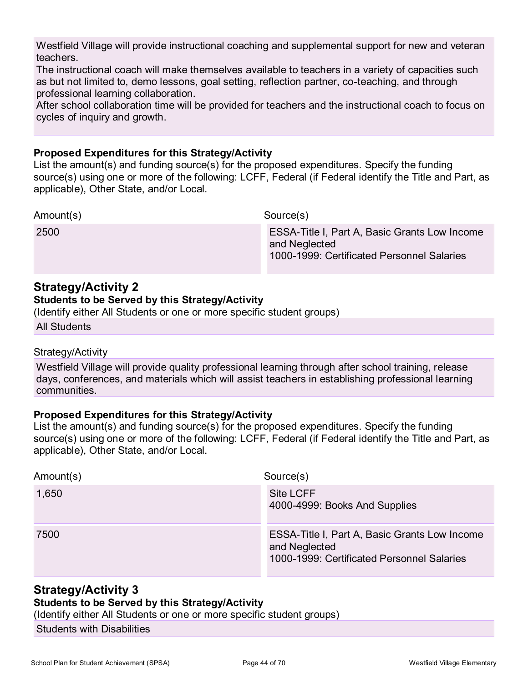Westfield Village will provide instructional coaching and supplemental support for new and veteran teachers.

The instructional coach will make themselves available to teachers in a variety of capacities such as but not limited to, demo lessons, goal setting, reflection partner, co-teaching, and through professional learning collaboration.

After school collaboration time will be provided for teachers and the instructional coach to focus on cycles of inquiry and growth.

#### **Proposed Expenditures for this Strategy/Activity**

List the amount(s) and funding source(s) for the proposed expenditures. Specify the funding source(s) using one or more of the following: LCFF, Federal (if Federal identify the Title and Part, as applicable), Other State, and/or Local.

Amount(s) Source(s)

2500 ESSA-Title I, Part A, Basic Grants Low Income and Neglected 1000-1999: Certificated Personnel Salaries

### **Strategy/Activity 2**

#### **Students to be Served by this Strategy/Activity**

(Identify either All Students or one or more specific student groups)

All Students

#### Strategy/Activity

Westfield Village will provide quality professional learning through after school training, release days, conferences, and materials which will assist teachers in establishing professional learning communities.

#### **Proposed Expenditures for this Strategy/Activity**

List the amount(s) and funding source(s) for the proposed expenditures. Specify the funding source(s) using one or more of the following: LCFF, Federal (if Federal identify the Title and Part, as applicable), Other State, and/or Local.

| Amount(s) | Source(s)                                                                                                    |
|-----------|--------------------------------------------------------------------------------------------------------------|
| 1,650     | Site LCFF<br>4000-4999: Books And Supplies                                                                   |
| 7500      | ESSA-Title I, Part A, Basic Grants Low Income<br>and Neglected<br>1000-1999: Certificated Personnel Salaries |

#### **Strategy/Activity 3**

#### **Students to be Served by this Strategy/Activity**

(Identify either All Students or one or more specific student groups)

Students with Disabilities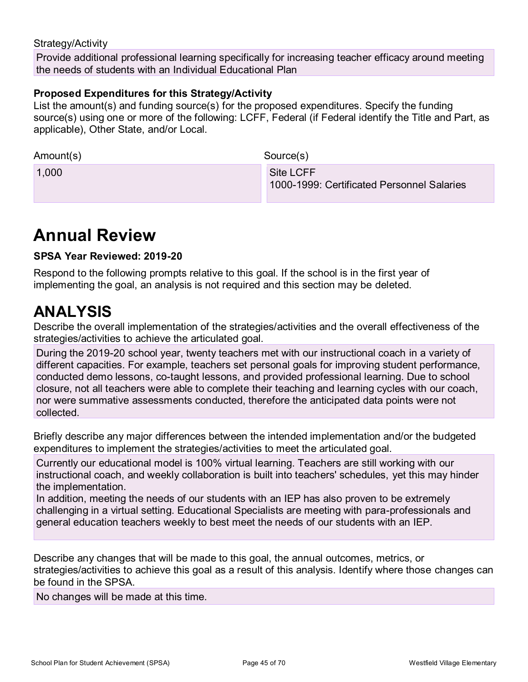#### Strategy/Activity

Provide additional professional learning specifically for increasing teacher efficacy around meeting the needs of students with an Individual Educational Plan

#### **Proposed Expenditures for this Strategy/Activity**

List the amount(s) and funding source(s) for the proposed expenditures. Specify the funding source(s) using one or more of the following: LCFF, Federal (if Federal identify the Title and Part, as applicable), Other State, and/or Local.

| Amount(s) | Source(s)                                               |
|-----------|---------------------------------------------------------|
| 1,000     | Site LCFF<br>1000-1999: Certificated Personnel Salaries |

## **Annual Review**

#### **SPSA Year Reviewed: 2019-20**

Respond to the following prompts relative to this goal. If the school is in the first year of implementing the goal, an analysis is not required and this section may be deleted.

## **ANALYSIS**

Describe the overall implementation of the strategies/activities and the overall effectiveness of the strategies/activities to achieve the articulated goal.

During the 2019-20 school year, twenty teachers met with our instructional coach in a variety of different capacities. For example, teachers set personal goals for improving student performance, conducted demo lessons, co-taught lessons, and provided professional learning. Due to school closure, not all teachers were able to complete their teaching and learning cycles with our coach, nor were summative assessments conducted, therefore the anticipated data points were not collected.

Briefly describe any major differences between the intended implementation and/or the budgeted expenditures to implement the strategies/activities to meet the articulated goal.

Currently our educational model is 100% virtual learning. Teachers are still working with our instructional coach, and weekly collaboration is built into teachers' schedules, yet this may hinder the implementation.

In addition, meeting the needs of our students with an IEP has also proven to be extremely challenging in a virtual setting. Educational Specialists are meeting with para-professionals and general education teachers weekly to best meet the needs of our students with an IEP.

Describe any changes that will be made to this goal, the annual outcomes, metrics, or strategies/activities to achieve this goal as a result of this analysis. Identify where those changes can be found in the SPSA.

No changes will be made at this time.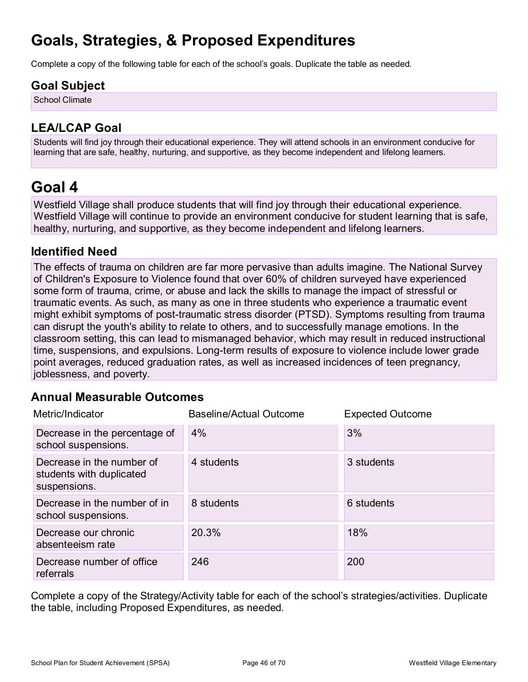## **Goals, Strategies, & Proposed Expenditures**

Complete a copy of the following table for each of the school's goals. Duplicate the table as needed.

## **Goal Subject**

School Climate

## **LEA/LCAP Goal**

Students will find joy through their educational experience. They will attend schools in an environment conducive for learning that are safe, healthy, nurturing, and supportive, as they become independent and lifelong learners.

## **Goal 4**

Westfield Village shall produce students that will find joy through their educational experience. Westfield Village will continue to provide an environment conducive for student learning that is safe, healthy, nurturing, and supportive, as they become independent and lifelong learners.

### **Identified Need**

The effects of trauma on children are far more pervasive than adults imagine. The National Survey of Children's Exposure to Violence found that over 60% of children surveyed have experienced some form of trauma, crime, or abuse and lack the skills to manage the impact of stressful or traumatic events. As such, as many as one in three students who experience a traumatic event might exhibit symptoms of post-traumatic stress disorder (PTSD). Symptoms resulting from trauma can disrupt the youth's ability to relate to others, and to successfully manage emotions. In the classroom setting, this can lead to mismanaged behavior, which may result in reduced instructional time, suspensions, and expulsions. Long-term results of exposure to violence include lower grade point averages, reduced graduation rates, as well as increased incidences of teen pregnancy, joblessness, and poverty.

## **Annual Measurable Outcomes**

| Metric/Indicator                                                      | <b>Baseline/Actual Outcome</b> | <b>Expected Outcome</b> |
|-----------------------------------------------------------------------|--------------------------------|-------------------------|
| Decrease in the percentage of<br>school suspensions.                  | 4%                             | 3%                      |
| Decrease in the number of<br>students with duplicated<br>suspensions. | 4 students                     | 3 students              |
| Decrease in the number of in<br>school suspensions.                   | 8 students                     | 6 students              |
| Decrease our chronic<br>absenteeism rate                              | 20.3%                          | 18%                     |
| Decrease number of office<br>referrals                                | 246                            | 200                     |

Complete a copy of the Strategy/Activity table for each of the school's strategies/activities. Duplicate the table, including Proposed Expenditures, as needed.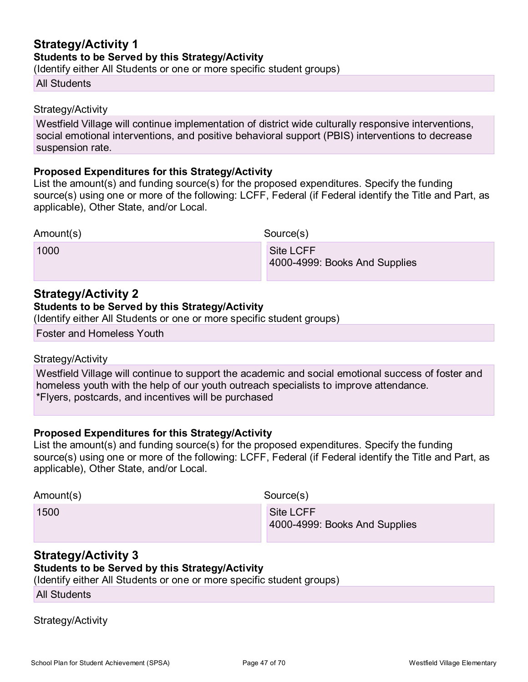### **Strategy/Activity 1 Students to be Served by this Strategy/Activity**

(Identify either All Students or one or more specific student groups)

#### All Students

#### Strategy/Activity

Westfield Village will continue implementation of district wide culturally responsive interventions, social emotional interventions, and positive behavioral support (PBIS) interventions to decrease suspension rate.

#### **Proposed Expenditures for this Strategy/Activity**

List the amount(s) and funding source(s) for the proposed expenditures. Specify the funding source(s) using one or more of the following: LCFF, Federal (if Federal identify the Title and Part, as applicable), Other State, and/or Local.

| Amount(s) | Source(s)                     |  |
|-----------|-------------------------------|--|
| 1000      | Site LCFF                     |  |
|           | 4000-4999: Books And Supplies |  |

#### **Strategy/Activity 2**

#### **Students to be Served by this Strategy/Activity**

(Identify either All Students or one or more specific student groups)

Foster and Homeless Youth

#### Strategy/Activity

Westfield Village will continue to support the academic and social emotional success of foster and homeless youth with the help of our youth outreach specialists to improve attendance. \*Flyers, postcards, and incentives will be purchased

#### **Proposed Expenditures for this Strategy/Activity**

List the amount(s) and funding source(s) for the proposed expenditures. Specify the funding source(s) using one or more of the following: LCFF, Federal (if Federal identify the Title and Part, as applicable), Other State, and/or Local.

| Amount(s) | Source(s)                                  |
|-----------|--------------------------------------------|
| 1500      | Site LCFF<br>4000-4999: Books And Supplies |

## **Strategy/Activity 3**

### **Students to be Served by this Strategy/Activity**

(Identify either All Students or one or more specific student groups)

All Students

#### Strategy/Activity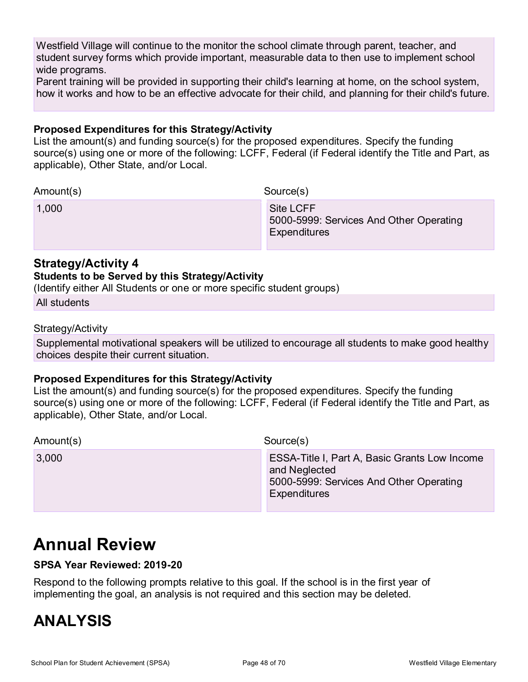Westfield Village will continue to the monitor the school climate through parent, teacher, and student survey forms which provide important, measurable data to then use to implement school wide programs.

Parent training will be provided in supporting their child's learning at home, on the school system, how it works and how to be an effective advocate for their child, and planning for their child's future.

#### **Proposed Expenditures for this Strategy/Activity**

List the amount(s) and funding source(s) for the proposed expenditures. Specify the funding source(s) using one or more of the following: LCFF, Federal (if Federal identify the Title and Part, as applicable), Other State, and/or Local.

| Amount(s) | Source(s)                                                                   |
|-----------|-----------------------------------------------------------------------------|
| 1,000     | <b>Site LCFF</b><br>5000-5999: Services And Other Operating<br>Expenditures |

### **Strategy/Activity 4**

#### **Students to be Served by this Strategy/Activity**

(Identify either All Students or one or more specific student groups)

All students

#### Strategy/Activity

Supplemental motivational speakers will be utilized to encourage all students to make good healthy choices despite their current situation.

#### **Proposed Expenditures for this Strategy/Activity**

List the amount(s) and funding source(s) for the proposed expenditures. Specify the funding source(s) using one or more of the following: LCFF, Federal (if Federal identify the Title and Part, as applicable), Other State, and/or Local.

Amount(s) Source(s) 3,000 ESSA-Title I, Part A, Basic Grants Low Income and Neglected 5000-5999: Services And Other Operating **Expenditures** 

## **Annual Review**

#### **SPSA Year Reviewed: 2019-20**

Respond to the following prompts relative to this goal. If the school is in the first year of implementing the goal, an analysis is not required and this section may be deleted.

## **ANALYSIS**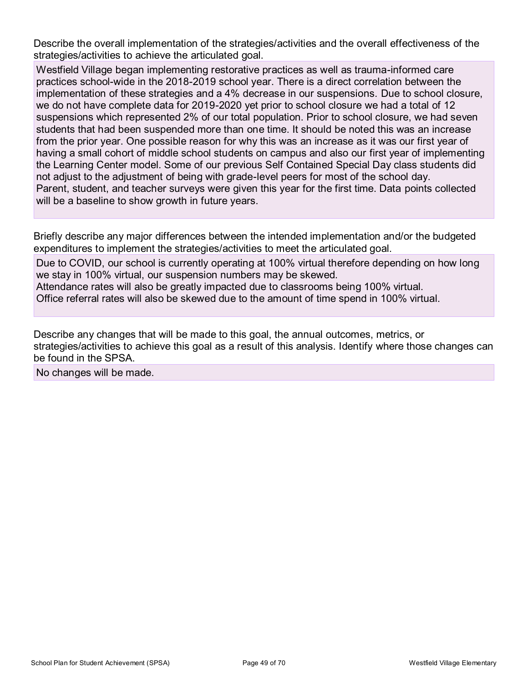Describe the overall implementation of the strategies/activities and the overall effectiveness of the strategies/activities to achieve the articulated goal.

Westfield Village began implementing restorative practices as well as trauma-informed care practices school-wide in the 2018-2019 school year. There is a direct correlation between the implementation of these strategies and a 4% decrease in our suspensions. Due to school closure, we do not have complete data for 2019-2020 yet prior to school closure we had a total of 12 suspensions which represented 2% of our total population. Prior to school closure, we had seven students that had been suspended more than one time. It should be noted this was an increase from the prior year. One possible reason for why this was an increase as it was our first year of having a small cohort of middle school students on campus and also our first year of implementing the Learning Center model. Some of our previous Self Contained Special Day class students did not adjust to the adjustment of being with grade-level peers for most of the school day. Parent, student, and teacher surveys were given this year for the first time. Data points collected will be a baseline to show growth in future years.

Briefly describe any major differences between the intended implementation and/or the budgeted expenditures to implement the strategies/activities to meet the articulated goal.

Due to COVID, our school is currently operating at 100% virtual therefore depending on how long we stay in 100% virtual, our suspension numbers may be skewed. Attendance rates will also be greatly impacted due to classrooms being 100% virtual. Office referral rates will also be skewed due to the amount of time spend in 100% virtual.

Describe any changes that will be made to this goal, the annual outcomes, metrics, or strategies/activities to achieve this goal as a result of this analysis. Identify where those changes can be found in the SPSA.

No changes will be made.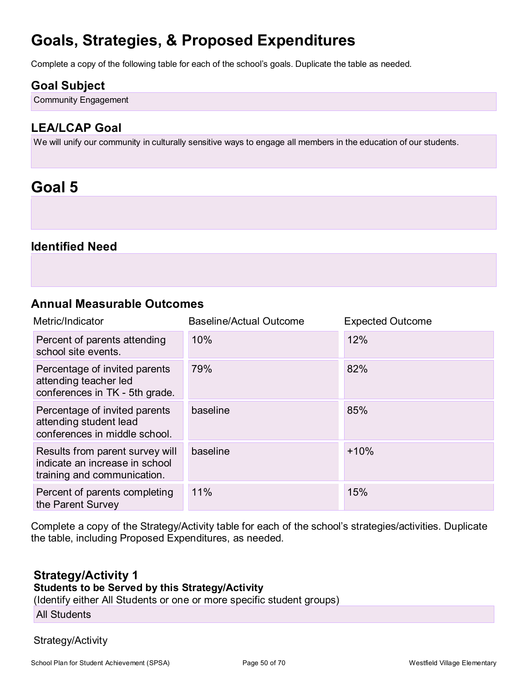## **Goals, Strategies, & Proposed Expenditures**

Complete a copy of the following table for each of the school's goals. Duplicate the table as needed.

### **Goal Subject**

Community Engagement

## **LEA/LCAP Goal**

We will unify our community in culturally sensitive ways to engage all members in the education of our students.

## **Goal 5**

### **Identified Need**

### **Annual Measurable Outcomes**

| Metric/Indicator                                                                                 | <b>Baseline/Actual Outcome</b> | <b>Expected Outcome</b> |
|--------------------------------------------------------------------------------------------------|--------------------------------|-------------------------|
| Percent of parents attending<br>school site events.                                              | 10%                            | 12%                     |
| Percentage of invited parents<br>attending teacher led<br>conferences in TK - 5th grade.         | 79%                            | 82%                     |
| Percentage of invited parents<br>attending student lead<br>conferences in middle school.         | baseline                       | 85%                     |
| Results from parent survey will<br>indicate an increase in school<br>training and communication. | baseline                       | $+10%$                  |
| Percent of parents completing<br>the Parent Survey                                               | 11%                            | 15%                     |

Complete a copy of the Strategy/Activity table for each of the school's strategies/activities. Duplicate the table, including Proposed Expenditures, as needed.

### **Strategy/Activity 1**

#### **Students to be Served by this Strategy/Activity**

(Identify either All Students or one or more specific student groups)

All Students

#### Strategy/Activity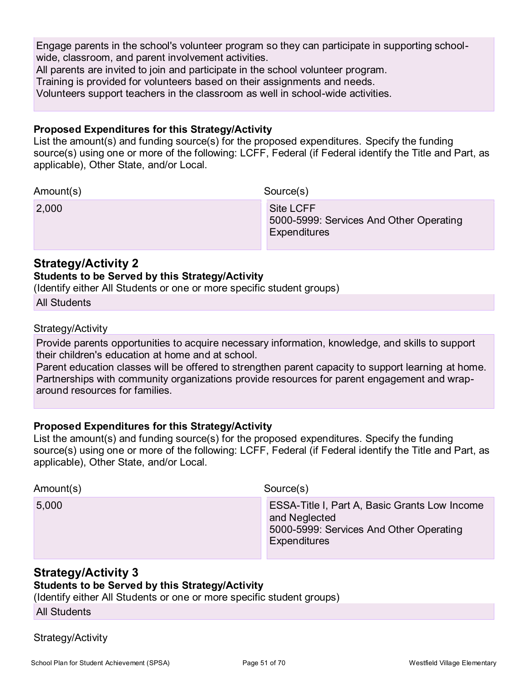Engage parents in the school's volunteer program so they can participate in supporting schoolwide, classroom, and parent involvement activities.

All parents are invited to join and participate in the school volunteer program.

Training is provided for volunteers based on their assignments and needs.

Volunteers support teachers in the classroom as well in school-wide activities.

#### **Proposed Expenditures for this Strategy/Activity**

List the amount(s) and funding source(s) for the proposed expenditures. Specify the funding source(s) using one or more of the following: LCFF, Federal (if Federal identify the Title and Part, as applicable), Other State, and/or Local.

| Amount(s) | Source(s)                                                                   |
|-----------|-----------------------------------------------------------------------------|
| 2,000     | Site LCFF<br>5000-5999: Services And Other Operating<br><b>Expenditures</b> |

### **Strategy/Activity 2 Students to be Served by this Strategy/Activity**

(Identify either All Students or one or more specific student groups)

All Students

Strategy/Activity

Provide parents opportunities to acquire necessary information, knowledge, and skills to support their children's education at home and at school.

Parent education classes will be offered to strengthen parent capacity to support learning at home. Partnerships with community organizations provide resources for parent engagement and wraparound resources for families.

#### **Proposed Expenditures for this Strategy/Activity**

List the amount(s) and funding source(s) for the proposed expenditures. Specify the funding source(s) using one or more of the following: LCFF, Federal (if Federal identify the Title and Part, as applicable), Other State, and/or Local.

| Amount(s) | Source(s)                                                                                                                 |
|-----------|---------------------------------------------------------------------------------------------------------------------------|
| 5,000     | ESSA-Title I, Part A, Basic Grants Low Income<br>and Neglected<br>5000-5999: Services And Other Operating<br>Expenditures |

## **Strategy/Activity 3**

**Students to be Served by this Strategy/Activity**

(Identify either All Students or one or more specific student groups)

All Students

Strategy/Activity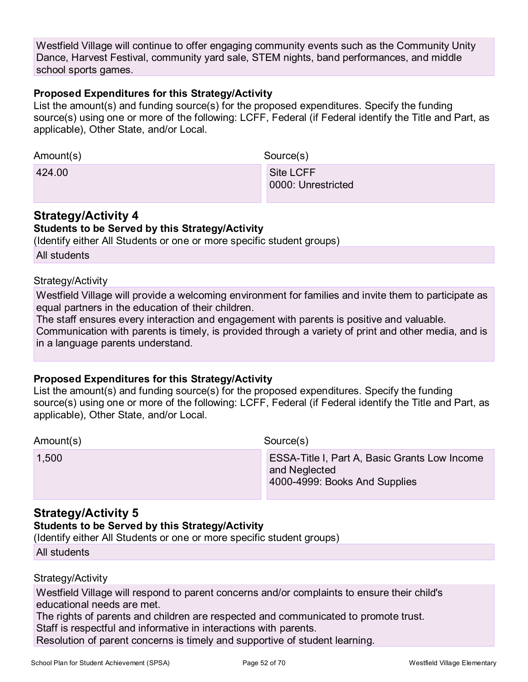Westfield Village will continue to offer engaging community events such as the Community Unity Dance, Harvest Festival, community yard sale, STEM nights, band performances, and middle school sports games.

#### **Proposed Expenditures for this Strategy/Activity**

List the amount(s) and funding source(s) for the proposed expenditures. Specify the funding source(s) using one or more of the following: LCFF, Federal (if Federal identify the Title and Part, as applicable), Other State, and/or Local.

| Amount(s) | Source(s)                       |
|-----------|---------------------------------|
| 424.00    | Site LCFF<br>0000: Unrestricted |

### **Strategy/Activity 4**

#### **Students to be Served by this Strategy/Activity**

(Identify either All Students or one or more specific student groups)

All students

#### Strategy/Activity

Westfield Village will provide a welcoming environment for families and invite them to participate as equal partners in the education of their children.

The staff ensures every interaction and engagement with parents is positive and valuable.

Communication with parents is timely, is provided through a variety of print and other media, and is in a language parents understand.

#### **Proposed Expenditures for this Strategy/Activity**

List the amount(s) and funding source(s) for the proposed expenditures. Specify the funding source(s) using one or more of the following: LCFF, Federal (if Federal identify the Title and Part, as applicable), Other State, and/or Local.

| Amount(s) | Source(s)       |  |
|-----------|-----------------|--|
| 1500      | <b>ESSA-Til</b> |  |

1,500 ESSA-Title I, Part A, Basic Grants Low Income and Neglected 4000-4999: Books And Supplies

### **Strategy/Activity 5**

#### **Students to be Served by this Strategy/Activity**

(Identify either All Students or one or more specific student groups)

| <b>All students</b> |
|---------------------|
|                     |

#### Strategy/Activity

Westfield Village will respond to parent concerns and/or complaints to ensure their child's educational needs are met.

The rights of parents and children are respected and communicated to promote trust.

Staff is respectful and informative in interactions with parents.

Resolution of parent concerns is timely and supportive of student learning.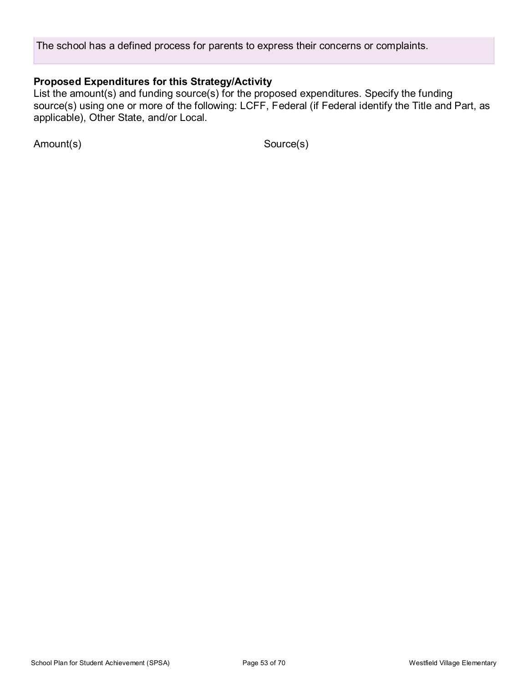The school has a defined process for parents to express their concerns or complaints.

### **Proposed Expenditures for this Strategy/Activity**

List the amount(s) and funding source(s) for the proposed expenditures. Specify the funding source(s) using one or more of the following: LCFF, Federal (if Federal identify the Title and Part, as applicable), Other State, and/or Local.

Amount(s) Source(s)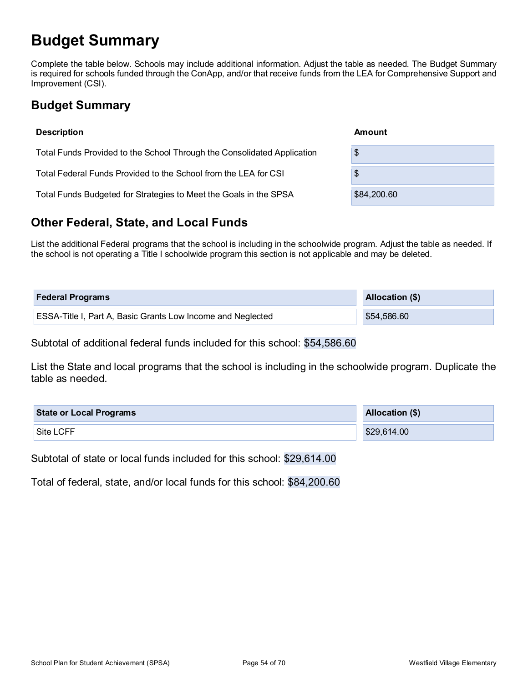## **Budget Summary**

Complete the table below. Schools may include additional information. Adjust the table as needed. The Budget Summary is required for schools funded through the ConApp, and/or that receive funds from the LEA for Comprehensive Support and Improvement (CSI).

## **Budget Summary**

| <b>Description</b>                                                      | Amount      |
|-------------------------------------------------------------------------|-------------|
| Total Funds Provided to the School Through the Consolidated Application | \$          |
| Total Federal Funds Provided to the School from the LEA for CSI         | \$          |
| Total Funds Budgeted for Strategies to Meet the Goals in the SPSA       | \$84,200.60 |

## **Other Federal, State, and Local Funds**

List the additional Federal programs that the school is including in the schoolwide program. Adjust the table as needed. If the school is not operating a Title I schoolwide program this section is not applicable and may be deleted.

| <b>Federal Programs</b>                                            | Allocation (\$) |
|--------------------------------------------------------------------|-----------------|
| <b>ESSA-Title I, Part A, Basic Grants Low Income and Neglected</b> | \$54,586.60     |

Subtotal of additional federal funds included for this school: \$54,586.60

List the State and local programs that the school is including in the schoolwide program. Duplicate the table as needed.

| <b>State or Local Programs</b> | Allocation (\$) |
|--------------------------------|-----------------|
| Site LCFF                      | \$29,614.00     |

Subtotal of state or local funds included for this school: \$29,614.00

Total of federal, state, and/or local funds for this school: \$84,200.60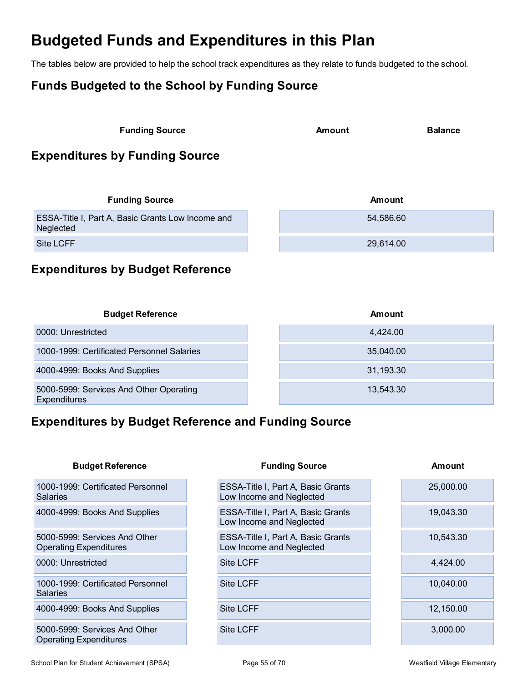## **Budgeted Funds and Expenditures in this Plan**

The tables below are provided to help the school track expenditures as they relate to funds budgeted to the school.

## **Funds Budgeted to the School by Funding Source**

| <b>Funding Source</b> | Amount | <b>Balance</b> |
|-----------------------|--------|----------------|
|                       |        |                |

## **Expenditures by Funding Source**

| <b>Funding Source</b>                                          | Amount    |
|----------------------------------------------------------------|-----------|
| ESSA-Title I, Part A, Basic Grants Low Income and<br>Neglected | 54.586.60 |
| Site LCFF                                                      | 29,614.00 |

## **Expenditures by Budget Reference**

| <b>Budget Reference</b>                                 | Amount    |
|---------------------------------------------------------|-----------|
| 0000: Unrestricted                                      | 4,424.00  |
| 1000-1999: Certificated Personnel Salaries              | 35,040.00 |
| 4000-4999: Books And Supplies                           | 31,193.30 |
| 5000-5999: Services And Other Operating<br>Expenditures | 13,543.30 |

## **Expenditures by Budget Reference and Funding Source**

| <b>Budget Reference</b>                                 | <b>Funding Source</b>                                          | Amount    |
|---------------------------------------------------------|----------------------------------------------------------------|-----------|
| 1000-1999: Certificated Personnel<br><b>Salaries</b>    | ESSA-Title I, Part A, Basic Grants<br>Low Income and Neglected | 25,000.00 |
| 4000-4999: Books And Supplies                           | ESSA-Title I, Part A, Basic Grants<br>Low Income and Neglected | 19,043.30 |
| 5000-5999: Services And Other<br>Operating Expenditures | ESSA-Title I, Part A, Basic Grants<br>Low Income and Neglected | 10,543.30 |
| 0000: Unrestricted                                      | <b>Site LCFF</b>                                               | 4,424.00  |
| 1000-1999: Certificated Personnel<br><b>Salaries</b>    | <b>Site LCFF</b>                                               | 10,040.00 |
| 4000-4999: Books And Supplies                           | <b>Site LCFF</b>                                               | 12,150.00 |
| 5000-5999: Services And Other                           | <b>Site LCFF</b>                                               | 3,000.00  |

Operating Expenditures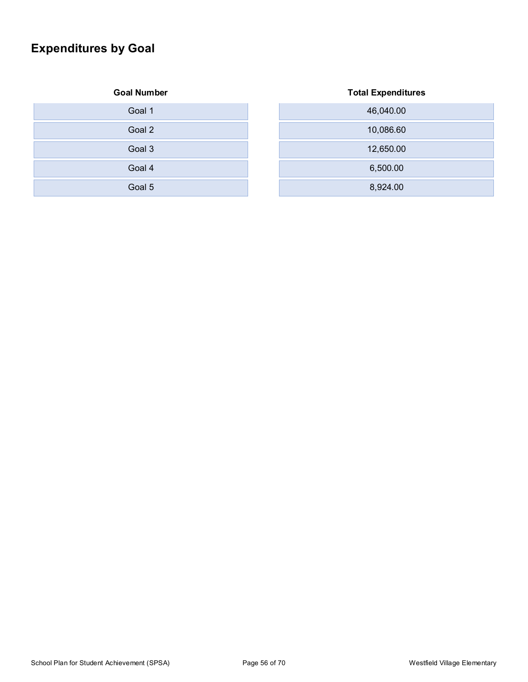## **Expenditures by Goal**

#### **Goal Number Total Expenditures**

| Goal 1 |
|--------|
| Goal 2 |
| Goal 3 |
| Goal 4 |
| Goal 5 |

| .      | $. 3.001$ = $.0001$ . $.001$ . $.001$ |
|--------|---------------------------------------|
| Goal 1 | 46,040.00                             |
| Goal 2 | 10,086.60                             |
| Goal 3 | 12,650.00                             |
| Goal 4 | 6,500.00                              |
| Goal 5 | 8,924.00                              |

#### School Plan for Student Achievement (SPSA) Page 56 of 70 Mestfield Village Elementary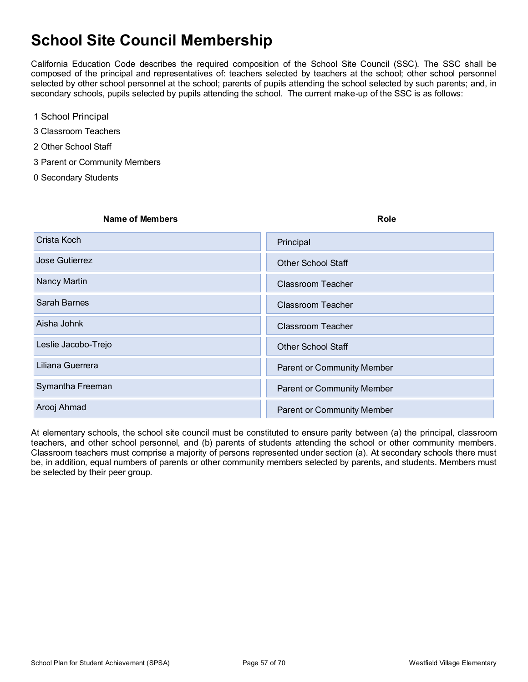## **School Site Council Membership**

California Education Code describes the required composition of the School Site Council (SSC). The SSC shall be composed of the principal and representatives of: teachers selected by teachers at the school; other school personnel selected by other school personnel at the school; parents of pupils attending the school selected by such parents; and, in secondary schools, pupils selected by pupils attending the school. The current make-up of the SSC is as follows:

- 1 School Principal
- 3 Classroom Teachers
- 2 Other School Staff
- 3 Parent or Community Members
- 0 Secondary Students

# **Name of Members Role** Crista Koch i Demokratik Koch i Serbija i Serbija i Serbija i Serbija i Serbija i Principal **Jose Gutierrez XOTHER School Staff** Control Control Control Control Control Control Control Staff Nancy Martin XClassroom Teacher Sarah Barnes XClassroom Teacher Aisha Johnk XClassroom Teacher XClassroom Teacher Leslie Jacobo-Trejo XOTHER School Staff Liliana Guerrera XParent or Community Member Symantha Freeman XParent or Community Member Arooj Ahmad XParent or Community Member

At elementary schools, the school site council must be constituted to ensure parity between (a) the principal, classroom teachers, and other school personnel, and (b) parents of students attending the school or other community members. Classroom teachers must comprise a majority of persons represented under section (a). At secondary schools there must be, in addition, equal numbers of parents or other community members selected by parents, and students. Members must be selected by their peer group.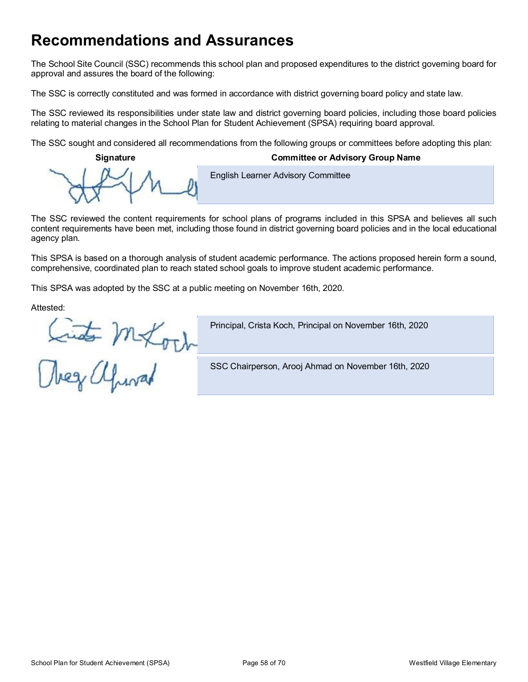## **Recommendations and Assurances**

The School Site Council (SSC) recommends this school plan and proposed expenditures to the district governing board for approval and assures the board of the following:

The SSC is correctly constituted and was formed in accordance with district governing board policy and state law.

The SSC reviewed its responsibilities under state law and district governing board policies, including those board policies relating to material changes in the School Plan for Student Achievement (SPSA) requiring board approval.

The SSC sought and considered all recommendations from the following groups or committees before adopting this plan:

**Signature Committee or Advisory Group Name**

**English Learner Advisory Committee** 

The SSC reviewed the content requirements for school plans of programs included in this SPSA and believes all such content requirements have been met, including those found in district governing board policies and in the local educational agency plan.

This SPSA is based on a thorough analysis of student academic performance. The actions proposed herein form a sound, comprehensive, coordinated plan to reach stated school goals to improve student academic performance.

This SPSA was adopted by the SSC at a public meeting on November 16th, 2020.

Attested:

Linto Mexoch

Principal, Crista Koch, Principal on November 16th, 2020

SSC Chairperson, Arooj Ahmad on November 16th, 2020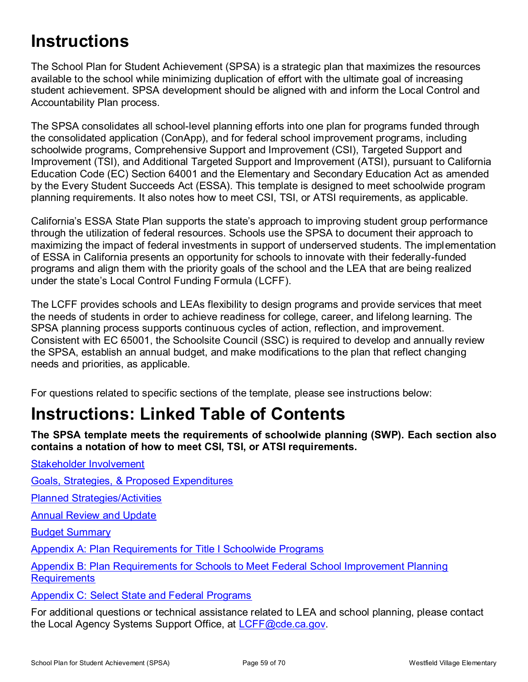# **Instructions**

The School Plan for Student Achievement (SPSA) is a strategic plan that maximizes the resources available to the school while minimizing duplication of effort with the ultimate goal of increasing student achievement. SPSA development should be aligned with and inform the Local Control and Accountability Plan process.

The SPSA consolidates all school-level planning efforts into one plan for programs funded through the consolidated application (ConApp), and for federal school improvement programs, including schoolwide programs, Comprehensive Support and Improvement (CSI), Targeted Support and Improvement (TSI), and Additional Targeted Support and Improvement (ATSI), pursuant to California Education Code (EC) Section 64001 and the Elementary and Secondary Education Act as amended by the Every Student Succeeds Act (ESSA). This template is designed to meet schoolwide program planning requirements. It also notes how to meet CSI, TSI, or ATSI requirements, as applicable.

California's ESSA State Plan supports the state's approach to improving student group performance through the utilization of federal resources. Schools use the SPSA to document their approach to maximizing the impact of federal investments in support of underserved students. The implementation of ESSA in California presents an opportunity for schools to innovate with their federally-funded programs and align them with the priority goals of the school and the LEA that are being realized under the state's Local Control Funding Formula (LCFF).

The LCFF provides schools and LEAs flexibility to design programs and provide services that meet the needs of students in order to achieve readiness for college, career, and lifelong learning. The SPSA planning process supports continuous cycles of action, reflection, and improvement. Consistent with EC 65001, the Schoolsite Council (SSC) is required to develop and annually review the SPSA, establish an annual budget, and make modifications to the plan that reflect changing needs and priorities, as applicable.

For questions related to specific sections of the template, please see instructions below:

# **Instructions: Linked Table of Contents**

**The SPSA template meets the requirements of schoolwide planning (SWP). Each section also contains a notation of how to meet CSI, TSI, or ATSI requirements.** 

Stakeholder Involvement

Goals, Strategies, & Proposed Expenditures

Planned Strategies/Activities

Annual Review and Update

Budget Summary

Appendix A: Plan Requirements for Title I Schoolwide Programs

Appendix B: Plan Requirements for Schools to Meet Federal School Improvement Planning **Requirements** 

Appendix C: Select State and Federal Programs

For additional questions or technical assistance related to LEA and school planning, please contact the Local Agency Systems Support Office, at LCFF@cde.ca.gov.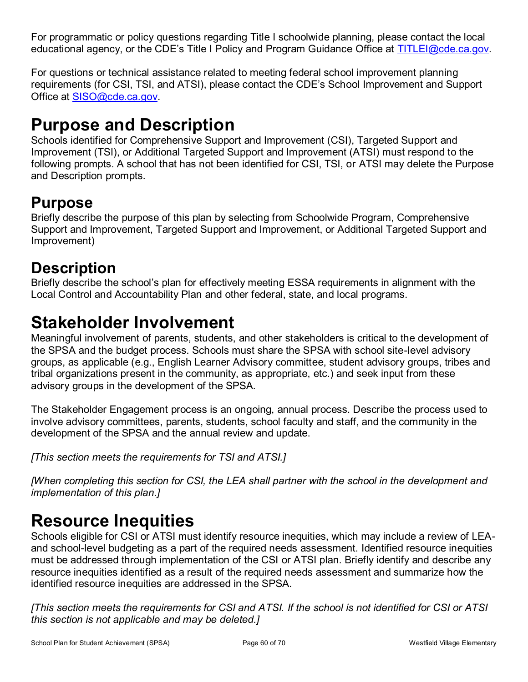For programmatic or policy questions regarding Title I schoolwide planning, please contact the local educational agency, or the CDE's Title I Policy and Program Guidance Office at TITLEI@cde.ca.gov.

For questions or technical assistance related to meeting federal school improvement planning requirements (for CSI, TSI, and ATSI), please contact the CDE's School Improvement and Support Office at SISO@cde.ca.gov.

# **Purpose and Description**

Schools identified for Comprehensive Support and Improvement (CSI), Targeted Support and Improvement (TSI), or Additional Targeted Support and Improvement (ATSI) must respond to the following prompts. A school that has not been identified for CSI, TSI, or ATSI may delete the Purpose and Description prompts.

## **Purpose**

Briefly describe the purpose of this plan by selecting from Schoolwide Program, Comprehensive Support and Improvement, Targeted Support and Improvement, or Additional Targeted Support and Improvement)

## **Description**

Briefly describe the school's plan for effectively meeting ESSA requirements in alignment with the Local Control and Accountability Plan and other federal, state, and local programs.

## **Stakeholder Involvement**

Meaningful involvement of parents, students, and other stakeholders is critical to the development of the SPSA and the budget process. Schools must share the SPSA with school site-level advisory groups, as applicable (e.g., English Learner Advisory committee, student advisory groups, tribes and tribal organizations present in the community, as appropriate, etc.) and seek input from these advisory groups in the development of the SPSA.

The Stakeholder Engagement process is an ongoing, annual process. Describe the process used to involve advisory committees, parents, students, school faculty and staff, and the community in the development of the SPSA and the annual review and update.

*[This section meets the requirements for TSI and ATSI.]*

*[When completing this section for CSI, the LEA shall partner with the school in the development and implementation of this plan.]*

# **Resource Inequities**

Schools eligible for CSI or ATSI must identify resource inequities, which may include a review of LEAand school-level budgeting as a part of the required needs assessment. Identified resource inequities must be addressed through implementation of the CSI or ATSI plan. Briefly identify and describe any resource inequities identified as a result of the required needs assessment and summarize how the identified resource inequities are addressed in the SPSA.

*[This section meets the requirements for CSI and ATSI. If the school is not identified for CSI or ATSI this section is not applicable and may be deleted.]*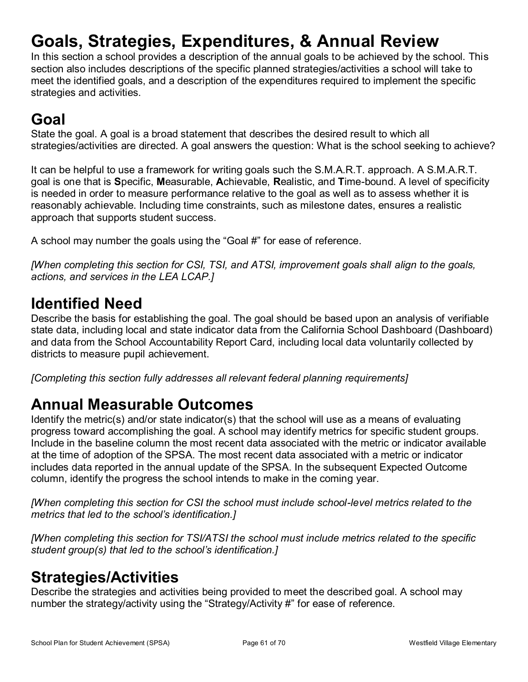# **Goals, Strategies, Expenditures, & Annual Review**

In this section a school provides a description of the annual goals to be achieved by the school. This section also includes descriptions of the specific planned strategies/activities a school will take to meet the identified goals, and a description of the expenditures required to implement the specific strategies and activities.

## **Goal**

State the goal. A goal is a broad statement that describes the desired result to which all strategies/activities are directed. A goal answers the question: What is the school seeking to achieve?

It can be helpful to use a framework for writing goals such the S.M.A.R.T. approach. A S.M.A.R.T. goal is one that is **S**pecific, **M**easurable, **A**chievable, **R**ealistic, and **T**ime-bound. A level of specificity is needed in order to measure performance relative to the goal as well as to assess whether it is reasonably achievable. Including time constraints, such as milestone dates, ensures a realistic approach that supports student success.

A school may number the goals using the "Goal #" for ease of reference.

*[When completing this section for CSI, TSI, and ATSI, improvement goals shall align to the goals, actions, and services in the LEA LCAP.]*

## **Identified Need**

Describe the basis for establishing the goal. The goal should be based upon an analysis of verifiable state data, including local and state indicator data from the California School Dashboard (Dashboard) and data from the School Accountability Report Card, including local data voluntarily collected by districts to measure pupil achievement.

*[Completing this section fully addresses all relevant federal planning requirements]*

## **Annual Measurable Outcomes**

Identify the metric(s) and/or state indicator(s) that the school will use as a means of evaluating progress toward accomplishing the goal. A school may identify metrics for specific student groups. Include in the baseline column the most recent data associated with the metric or indicator available at the time of adoption of the SPSA. The most recent data associated with a metric or indicator includes data reported in the annual update of the SPSA. In the subsequent Expected Outcome column, identify the progress the school intends to make in the coming year.

*[When completing this section for CSI the school must include school-level metrics related to the metrics that led to the school's identification.]*

*[When completing this section for TSI/ATSI the school must include metrics related to the specific student group(s) that led to the school's identification.]* 

## **Strategies/Activities**

Describe the strategies and activities being provided to meet the described goal. A school may number the strategy/activity using the "Strategy/Activity #" for ease of reference.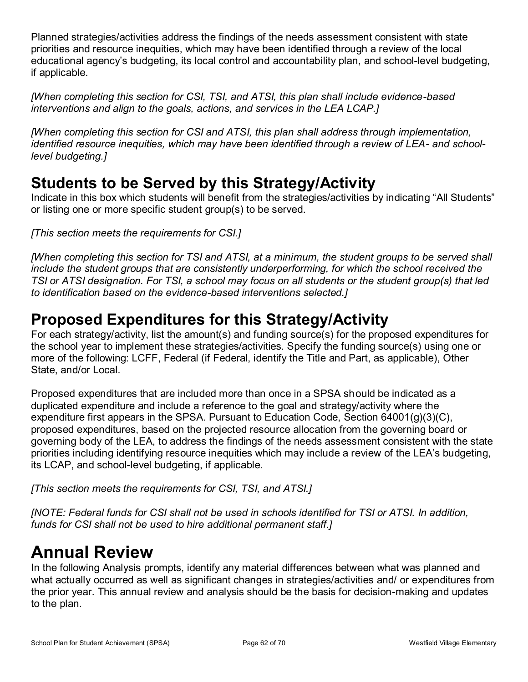Planned strategies/activities address the findings of the needs assessment consistent with state priorities and resource inequities, which may have been identified through a review of the local educational agency's budgeting, its local control and accountability plan, and school-level budgeting, if applicable.

*[When completing this section for CSI, TSI, and ATSI, this plan shall include evidence-based interventions and align to the goals, actions, and services in the LEA LCAP.]*

*[When completing this section for CSI and ATSI, this plan shall address through implementation, identified resource inequities, which may have been identified through a review of LEA- and schoollevel budgeting.]*

## **Students to be Served by this Strategy/Activity**

Indicate in this box which students will benefit from the strategies/activities by indicating "All Students" or listing one or more specific student group(s) to be served.

*[This section meets the requirements for CSI.]*

*[When completing this section for TSI and ATSI, at a minimum, the student groups to be served shall include the student groups that are consistently underperforming, for which the school received the TSI or ATSI designation. For TSI, a school may focus on all students or the student group(s) that led to identification based on the evidence-based interventions selected.]*

## **Proposed Expenditures for this Strategy/Activity**

For each strategy/activity, list the amount(s) and funding source(s) for the proposed expenditures for the school year to implement these strategies/activities. Specify the funding source(s) using one or more of the following: LCFF, Federal (if Federal, identify the Title and Part, as applicable), Other State, and/or Local.

Proposed expenditures that are included more than once in a SPSA should be indicated as a duplicated expenditure and include a reference to the goal and strategy/activity where the expenditure first appears in the SPSA. Pursuant to Education Code, Section 64001(g)(3)(C), proposed expenditures, based on the projected resource allocation from the governing board or governing body of the LEA, to address the findings of the needs assessment consistent with the state priorities including identifying resource inequities which may include a review of the LEA's budgeting, its LCAP, and school-level budgeting, if applicable.

*[This section meets the requirements for CSI, TSI, and ATSI.]*

*[NOTE: Federal funds for CSI shall not be used in schools identified for TSI or ATSI. In addition, funds for CSI shall not be used to hire additional permanent staff.]*

# **Annual Review**

In the following Analysis prompts, identify any material differences between what was planned and what actually occurred as well as significant changes in strategies/activities and/ or expenditures from the prior year. This annual review and analysis should be the basis for decision-making and updates to the plan.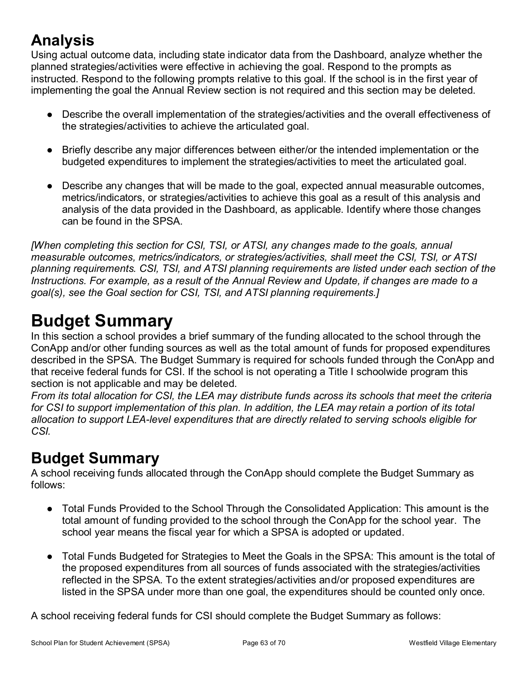## **Analysis**

Using actual outcome data, including state indicator data from the Dashboard, analyze whether the planned strategies/activities were effective in achieving the goal. Respond to the prompts as instructed. Respond to the following prompts relative to this goal. If the school is in the first year of implementing the goal the Annual Review section is not required and this section may be deleted.

- Describe the overall implementation of the strategies/activities and the overall effectiveness of the strategies/activities to achieve the articulated goal.
- Briefly describe any major differences between either/or the intended implementation or the budgeted expenditures to implement the strategies/activities to meet the articulated goal.
- Describe any changes that will be made to the goal, expected annual measurable outcomes, metrics/indicators, or strategies/activities to achieve this goal as a result of this analysis and analysis of the data provided in the Dashboard, as applicable. Identify where those changes can be found in the SPSA.

*[When completing this section for CSI, TSI, or ATSI, any changes made to the goals, annual measurable outcomes, metrics/indicators, or strategies/activities, shall meet the CSI, TSI, or ATSI planning requirements. CSI, TSI, and ATSI planning requirements are listed under each section of the Instructions. For example, as a result of the Annual Review and Update, if changes are made to a goal(s), see the Goal section for CSI, TSI, and ATSI planning requirements.]* 

# **Budget Summary**

In this section a school provides a brief summary of the funding allocated to the school through the ConApp and/or other funding sources as well as the total amount of funds for proposed expenditures described in the SPSA. The Budget Summary is required for schools funded through the ConApp and that receive federal funds for CSI. If the school is not operating a Title I schoolwide program this section is not applicable and may be deleted.

*From its total allocation for CSI, the LEA may distribute funds across its schools that meet the criteria for CSI to support implementation of this plan. In addition, the LEA may retain a portion of its total allocation to support LEA-level expenditures that are directly related to serving schools eligible for CSI.*

## **Budget Summary**

A school receiving funds allocated through the ConApp should complete the Budget Summary as follows:

- Total Funds Provided to the School Through the Consolidated Application: This amount is the total amount of funding provided to the school through the ConApp for the school year. The school year means the fiscal year for which a SPSA is adopted or updated.
- Total Funds Budgeted for Strategies to Meet the Goals in the SPSA: This amount is the total of the proposed expenditures from all sources of funds associated with the strategies/activities reflected in the SPSA. To the extent strategies/activities and/or proposed expenditures are listed in the SPSA under more than one goal, the expenditures should be counted only once.

A school receiving federal funds for CSI should complete the Budget Summary as follows: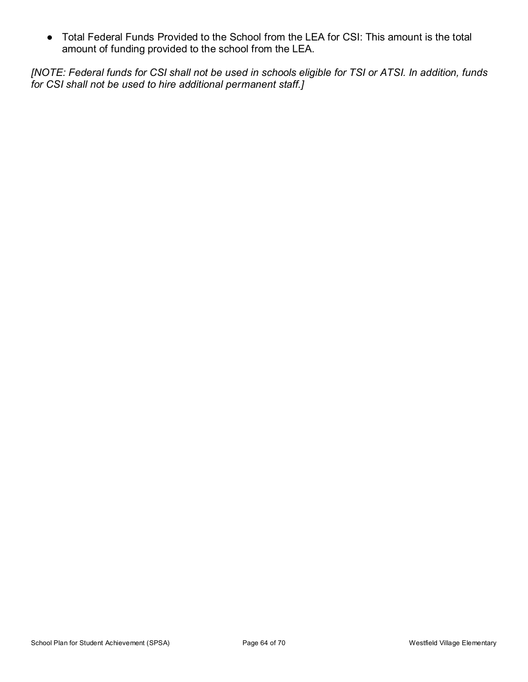● Total Federal Funds Provided to the School from the LEA for CSI: This amount is the total amount of funding provided to the school from the LEA.

*[NOTE: Federal funds for CSI shall not be used in schools eligible for TSI or ATSI. In addition, funds for CSI shall not be used to hire additional permanent staff.]*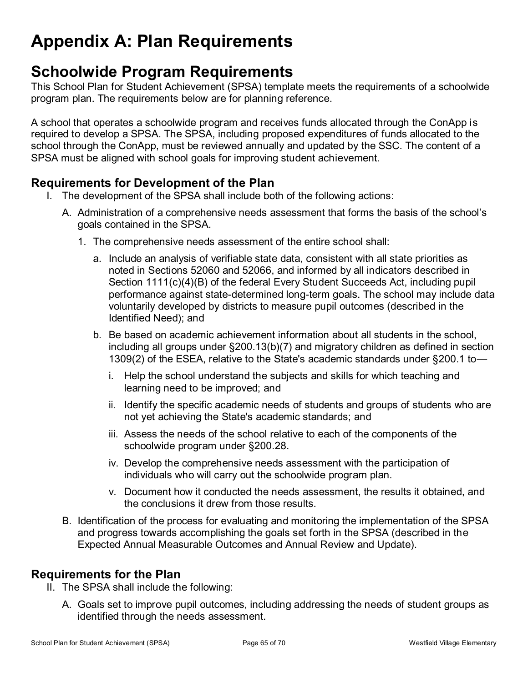# **Appendix A: Plan Requirements**

## **Schoolwide Program Requirements**

This School Plan for Student Achievement (SPSA) template meets the requirements of a schoolwide program plan. The requirements below are for planning reference.

A school that operates a schoolwide program and receives funds allocated through the ConApp is required to develop a SPSA. The SPSA, including proposed expenditures of funds allocated to the school through the ConApp, must be reviewed annually and updated by the SSC. The content of a SPSA must be aligned with school goals for improving student achievement.

### **Requirements for Development of the Plan**

- I. The development of the SPSA shall include both of the following actions:
	- A. Administration of a comprehensive needs assessment that forms the basis of the school's goals contained in the SPSA.
		- 1. The comprehensive needs assessment of the entire school shall:
			- a. Include an analysis of verifiable state data, consistent with all state priorities as noted in Sections 52060 and 52066, and informed by all indicators described in Section 1111(c)(4)(B) of the federal Every Student Succeeds Act, including pupil performance against state-determined long-term goals. The school may include data voluntarily developed by districts to measure pupil outcomes (described in the Identified Need); and
			- b. Be based on academic achievement information about all students in the school, including all groups under §200.13(b)(7) and migratory children as defined in section 1309(2) of the ESEA, relative to the State's academic standards under §200.1 to
				- i. Help the school understand the subjects and skills for which teaching and learning need to be improved; and
				- ii. Identify the specific academic needs of students and groups of students who are not yet achieving the State's academic standards; and
				- iii. Assess the needs of the school relative to each of the components of the schoolwide program under §200.28.
				- iv. Develop the comprehensive needs assessment with the participation of individuals who will carry out the schoolwide program plan.
				- v. Document how it conducted the needs assessment, the results it obtained, and the conclusions it drew from those results.
	- B. Identification of the process for evaluating and monitoring the implementation of the SPSA and progress towards accomplishing the goals set forth in the SPSA (described in the Expected Annual Measurable Outcomes and Annual Review and Update).

### **Requirements for the Plan**

- II. The SPSA shall include the following:
	- A. Goals set to improve pupil outcomes, including addressing the needs of student groups as identified through the needs assessment.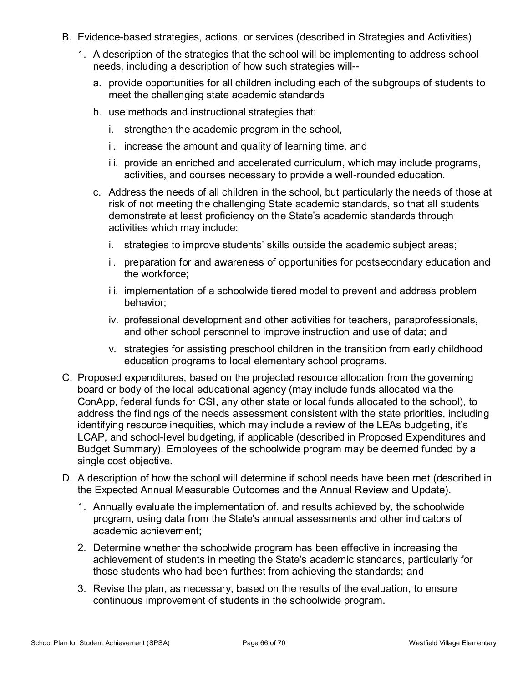- B. Evidence-based strategies, actions, or services (described in Strategies and Activities)
	- 1. A description of the strategies that the school will be implementing to address school needs, including a description of how such strategies will-
		- a. provide opportunities for all children including each of the subgroups of students to meet the challenging state academic standards
		- b. use methods and instructional strategies that:
			- i. strengthen the academic program in the school,
			- ii. increase the amount and quality of learning time, and
			- iii. provide an enriched and accelerated curriculum, which may include programs, activities, and courses necessary to provide a well-rounded education.
		- c. Address the needs of all children in the school, but particularly the needs of those at risk of not meeting the challenging State academic standards, so that all students demonstrate at least proficiency on the State's academic standards through activities which may include:
			- i. strategies to improve students' skills outside the academic subject areas;
			- ii. preparation for and awareness of opportunities for postsecondary education and the workforce;
			- iii. implementation of a schoolwide tiered model to prevent and address problem behavior;
			- iv. professional development and other activities for teachers, paraprofessionals, and other school personnel to improve instruction and use of data; and
			- v. strategies for assisting preschool children in the transition from early childhood education programs to local elementary school programs.
- C. Proposed expenditures, based on the projected resource allocation from the governing board or body of the local educational agency (may include funds allocated via the ConApp, federal funds for CSI, any other state or local funds allocated to the school), to address the findings of the needs assessment consistent with the state priorities, including identifying resource inequities, which may include a review of the LEAs budgeting, it's LCAP, and school-level budgeting, if applicable (described in Proposed Expenditures and Budget Summary). Employees of the schoolwide program may be deemed funded by a single cost objective.
- D. A description of how the school will determine if school needs have been met (described in the Expected Annual Measurable Outcomes and the Annual Review and Update).
	- 1. Annually evaluate the implementation of, and results achieved by, the schoolwide program, using data from the State's annual assessments and other indicators of academic achievement;
	- 2. Determine whether the schoolwide program has been effective in increasing the achievement of students in meeting the State's academic standards, particularly for those students who had been furthest from achieving the standards; and
	- 3. Revise the plan, as necessary, based on the results of the evaluation, to ensure continuous improvement of students in the schoolwide program.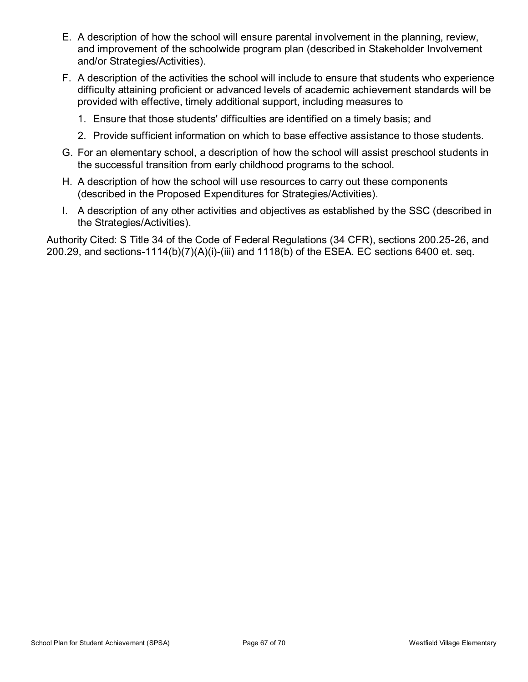- E. A description of how the school will ensure parental involvement in the planning, review, and improvement of the schoolwide program plan (described in Stakeholder Involvement and/or Strategies/Activities).
- F. A description of the activities the school will include to ensure that students who experience difficulty attaining proficient or advanced levels of academic achievement standards will be provided with effective, timely additional support, including measures to
	- 1. Ensure that those students' difficulties are identified on a timely basis; and
	- 2. Provide sufficient information on which to base effective assistance to those students.
- G. For an elementary school, a description of how the school will assist preschool students in the successful transition from early childhood programs to the school.
- H. A description of how the school will use resources to carry out these components (described in the Proposed Expenditures for Strategies/Activities).
- I. A description of any other activities and objectives as established by the SSC (described in the Strategies/Activities).

Authority Cited: S Title 34 of the Code of Federal Regulations (34 CFR), sections 200.25-26, and 200.29, and sections-1114(b)(7)(A)(i)-(iii) and 1118(b) of the ESEA. EC sections 6400 et. seq.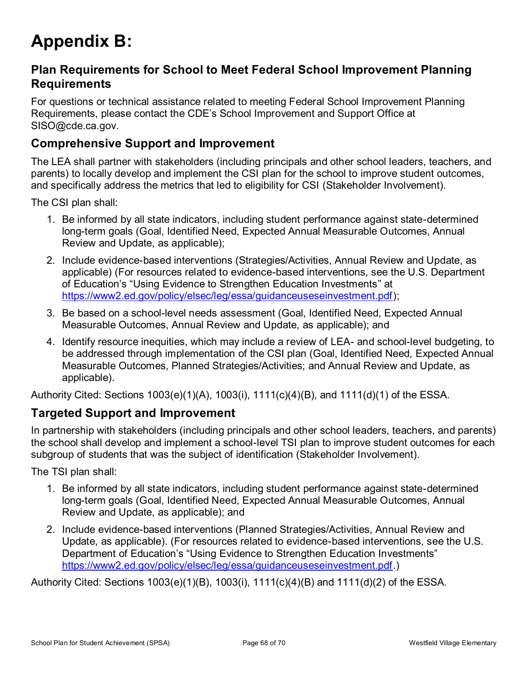# **Appendix B:**

### **Plan Requirements for School to Meet Federal School Improvement Planning Requirements**

For questions or technical assistance related to meeting Federal School Improvement Planning Requirements, please contact the CDE's School Improvement and Support Office at SISO@cde.ca.gov.

### **Comprehensive Support and Improvement**

The LEA shall partner with stakeholders (including principals and other school leaders, teachers, and parents) to locally develop and implement the CSI plan for the school to improve student outcomes, and specifically address the metrics that led to eligibility for CSI (Stakeholder Involvement).

The CSI plan shall:

- 1. Be informed by all state indicators, including student performance against state-determined long-term goals (Goal, Identified Need, Expected Annual Measurable Outcomes, Annual Review and Update, as applicable);
- 2. Include evidence-based interventions (Strategies/Activities, Annual Review and Update, as applicable) (For resources related to evidence-based interventions, see the U.S. Department of Education's "Using Evidence to Strengthen Education Investments" at https://www2.ed.gov/policy/elsec/leg/essa/guidanceuseseinvestment.pdf);
- 3. Be based on a school-level needs assessment (Goal, Identified Need, Expected Annual Measurable Outcomes, Annual Review and Update, as applicable); and
- 4. Identify resource inequities, which may include a review of LEA- and school-level budgeting, to be addressed through implementation of the CSI plan (Goal, Identified Need, Expected Annual Measurable Outcomes, Planned Strategies/Activities; and Annual Review and Update, as applicable).

Authority Cited: Sections 1003(e)(1)(A), 1003(i), 1111(c)(4)(B), and 1111(d)(1) of the ESSA.

## **Targeted Support and Improvement**

In partnership with stakeholders (including principals and other school leaders, teachers, and parents) the school shall develop and implement a school-level TSI plan to improve student outcomes for each subgroup of students that was the subject of identification (Stakeholder Involvement).

The TSI plan shall:

- 1. Be informed by all state indicators, including student performance against state-determined long-term goals (Goal, Identified Need, Expected Annual Measurable Outcomes, Annual Review and Update, as applicable); and
- 2. Include evidence-based interventions (Planned Strategies/Activities, Annual Review and Update, as applicable). (For resources related to evidence-based interventions, see the U.S. Department of Education's "Using Evidence to Strengthen Education Investments" https://www2.ed.gov/policy/elsec/leg/essa/guidanceuseseinvestment.pdf.)

Authority Cited: Sections 1003(e)(1)(B), 1003(i), 1111(c)(4)(B) and 1111(d)(2) of the ESSA.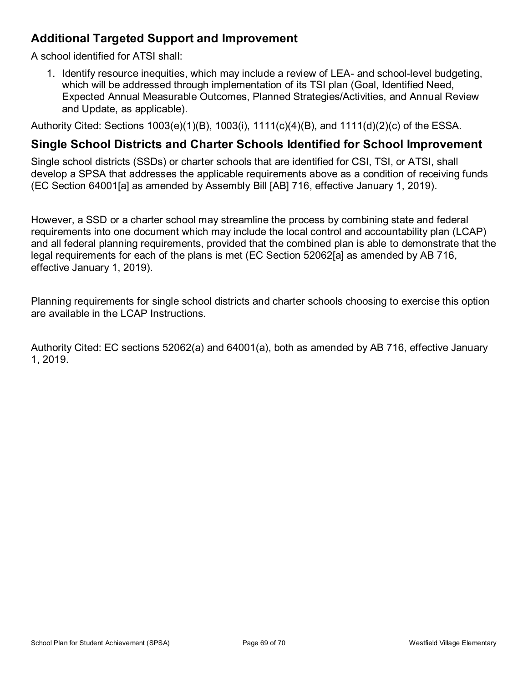## **Additional Targeted Support and Improvement**

A school identified for ATSI shall:

1. Identify resource inequities, which may include a review of LEA- and school-level budgeting, which will be addressed through implementation of its TSI plan (Goal, Identified Need, Expected Annual Measurable Outcomes, Planned Strategies/Activities, and Annual Review and Update, as applicable).

Authority Cited: Sections 1003(e)(1)(B), 1003(i), 1111(c)(4)(B), and 1111(d)(2)(c) of the ESSA.

### **Single School Districts and Charter Schools Identified for School Improvement**

Single school districts (SSDs) or charter schools that are identified for CSI, TSI, or ATSI, shall develop a SPSA that addresses the applicable requirements above as a condition of receiving funds (EC Section 64001[a] as amended by Assembly Bill [AB] 716, effective January 1, 2019).

However, a SSD or a charter school may streamline the process by combining state and federal requirements into one document which may include the local control and accountability plan (LCAP) and all federal planning requirements, provided that the combined plan is able to demonstrate that the legal requirements for each of the plans is met (EC Section 52062[a] as amended by AB 716, effective January 1, 2019).

Planning requirements for single school districts and charter schools choosing to exercise this option are available in the LCAP Instructions.

Authority Cited: EC sections 52062(a) and 64001(a), both as amended by AB 716, effective January 1, 2019.